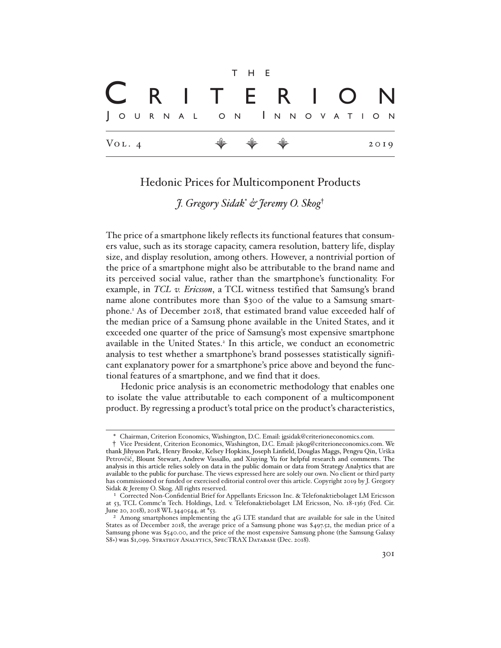Vol. 4 E E E 2019 t h e J o u r n a l o n I n n o v a t <sup>i</sup> o n C r i t e r i o n

# Hedonic Prices for Multicomponent Products

*J. Gregory Sidak*\* *& Jeremy O. Skog*†

The price of a smartphone likely reflects its functional features that consumers value, such as its storage capacity, camera resolution, battery life, display size, and display resolution, among others. However, a nontrivial portion of the price of a smartphone might also be attributable to the brand name and its perceived social value, rather than the smartphone's functionality. For example, in *TCL v. Ericsson*, a TCL witness testified that Samsung's brand name alone contributes more than \$300 of the value to a Samsung smartphone.<sup>1</sup> As of December 2018, that estimated brand value exceeded half of the median price of a Samsung phone available in the United States, and it exceeded one quarter of the price of Samsung's most expensive smartphone available in the United States.<sup>2</sup> In this article, we conduct an econometric analysis to test whether a smartphone's brand possesses statistically significant explanatory power for a smartphone's price above and beyond the functional features of a smartphone, and we find that it does.

Hedonic price analysis is an econometric methodology that enables one to isolate the value attributable to each component of a multicomponent product. By regressing a product's total price on the product's characteristics,

<sup>\*</sup> Chairman, Criterion Economics, Washington, D.C. Email: jgsidak@criterioneconomics.com.

<sup>†</sup> Vice President, Criterion Economics, Washington, D.C. Email: jskog@criterioneconomics.com. We thank Jihyuon Park, Henry Brooke, Kelsey Hopkins, Joseph Linfield, Douglas Maggs, Pengyu Qin, Urška Petrovčič, Blount Stewart, Andrew Vassallo, and Xiuying Yu for helpful research and comments. The analysis in this article relies solely on data in the public domain or data from Strategy Analytics that are available to the public for purchase. The views expressed here are solely our own. No client or third party has commissioned or funded or exercised editorial control over this article. Copyright 2019 by J. Gregory Sidak & Jeremy O. Skog. All rights reserved.

<sup>1</sup> Corrected Non-Confidential Brief for Appellants Ericsson Inc. & Telefonaktiebolaget LM Ericsson at 53, TCL Commc'n Tech. Holdings, Ltd. v. Telefonaktiebolaget LM Ericsson, No. 18-1363 (Fed. Cir. June 20, 2018), 2018 WL 3440544, at \*53.

<sup>&</sup>lt;sup>2</sup> Among smartphones implementing the 4G LTE standard that are available for sale in the United States as of December 2018, the average price of a Samsung phone was \$497.52, the median price of a Samsung phone was \$540.00, and the price of the most expensive Samsung phone (the Samsung Galaxy S8+) was \$1,099. STRATEGY ANALYTICS, SPECTRAX DATABASE (Dec. 2018).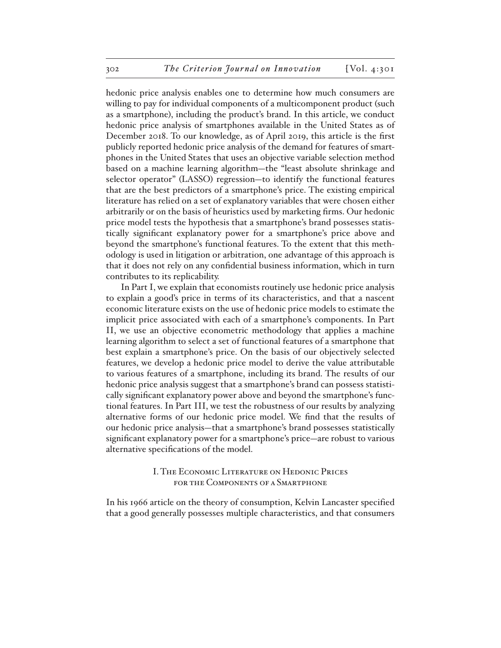hedonic price analysis enables one to determine how much consumers are willing to pay for individual components of a multicomponent product (such as a smartphone), including the product's brand. In this article, we conduct hedonic price analysis of smartphones available in the United States as of December 2018. To our knowledge, as of April 2019, this article is the first publicly reported hedonic price analysis of the demand for features of smartphones in the United States that uses an objective variable selection method based on a machine learning algorithm—the "least absolute shrinkage and selector operator" (LASSO) regression—to identify the functional features that are the best predictors of a smartphone's price. The existing empirical literature has relied on a set of explanatory variables that were chosen either arbitrarily or on the basis of heuristics used by marketing firms. Our hedonic price model tests the hypothesis that a smartphone's brand possesses statistically significant explanatory power for a smartphone's price above and beyond the smartphone's functional features. To the extent that this methodology is used in litigation or arbitration, one advantage of this approach is that it does not rely on any confidential business information, which in turn contributes to its replicability.

In Part I, we explain that economists routinely use hedonic price analysis to explain a good's price in terms of its characteristics, and that a nascent economic literature exists on the use of hedonic price models to estimate the implicit price associated with each of a smartphone's components. In Part II, we use an objective econometric methodology that applies a machine learning algorithm to select a set of functional features of a smartphone that best explain a smartphone's price. On the basis of our objectively selected features, we develop a hedonic price model to derive the value attributable to various features of a smartphone, including its brand. The results of our hedonic price analysis suggest that a smartphone's brand can possess statistically significant explanatory power above and beyond the smartphone's functional features. In Part III, we test the robustness of our results by analyzing alternative forms of our hedonic price model. We find that the results of our hedonic price analysis—that a smartphone's brand possesses statistically significant explanatory power for a smartphone's price—are robust to various alternative specifications of the model.

## I. The Economic Literature on Hedonic Prices for the Components of a Smartphone

In his 1966 article on the theory of consumption, Kelvin Lancaster specified that a good generally possesses multiple characteristics, and that consumers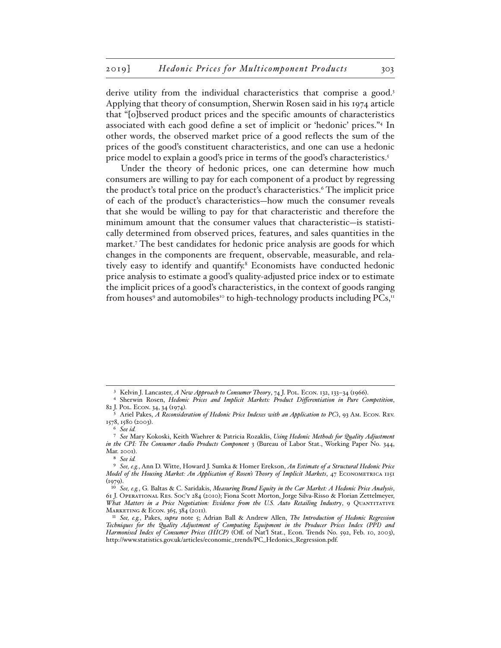derive utility from the individual characteristics that comprise a good.<sup>3</sup> Applying that theory of consumption, Sherwin Rosen said in his 1974 article that "[o]bserved product prices and the specific amounts of characteristics associated with each good define a set of implicit or 'hedonic' prices."4 In other words, the observed market price of a good reflects the sum of the prices of the good's constituent characteristics, and one can use a hedonic price model to explain a good's price in terms of the good's characteristics.<sup>5</sup>

Under the theory of hedonic prices, one can determine how much consumers are willing to pay for each component of a product by regressing the product's total price on the product's characteristics.6 The implicit price of each of the product's characteristics—how much the consumer reveals that she would be willing to pay for that characteristic and therefore the minimum amount that the consumer values that characteristic—is statistically determined from observed prices, features, and sales quantities in the market.7 The best candidates for hedonic price analysis are goods for which changes in the components are frequent, observable, measurable, and relatively easy to identify and quantify.<sup>8</sup> Economists have conducted hedonic price analysis to estimate a good's quality-adjusted price index or to estimate the implicit prices of a good's characteristics, in the context of goods ranging from houses<sup>9</sup> and automobiles<sup>10</sup> to high-technology products including PCs,<sup>11</sup>

<sup>3</sup> Kelvin J. Lancaster, *A New Approach to Consumer Theory*, 74 J. Pol. Econ. 132, 133–34 (1966).

<sup>4</sup> Sherwin Rosen, *Hedonic Prices and Implicit Markets: Product Differentiation in Pure Competition*, 82 J. Pol. Econ. 34, 34 (1974).

<sup>5</sup> Ariel Pakes, *A Reconsideration of Hedonic Price Indexes with an Application to PC's*, 93 Am. Econ. Rev. 1578, 1580 (2003).

<sup>6</sup> *See id.*

<sup>7</sup> *See* Mary Kokoski, Keith Waehrer & Patricia Rozaklis, *Using Hedonic Methods for Quality Adjustment in the CPI: The Consumer Audio Products Component* 3 (Bureau of Labor Stat., Working Paper No. 344, Mar. 2001).

<sup>8</sup> *See id.* 

<sup>9</sup> *See, e.g.*, Ann D. Witte, Howard J. Sumka & Homer Erekson, *An Estimate of a Structural Hedonic Price Model of the Housing Market: An Application of Rosen's Theory of Implicit Markets*, 47 Econometrica 1151  $(1979)$ .

<sup>10</sup> *See, e.g.*, G. Baltas & C. Saridakis, *Measuring Brand Equity in the Car Market: A Hedonic Price Analysis*, 61 J. Operational Res. Soc'y 284 (2010); Fiona Scott Morton, Jorge Silva-Risso & Florian Zettelmeyer, *What Matters in a Price Negotiation: Evidence from the U.S. Auto Retailing Industry*, 9 Quantitative Marketing & Econ. 365, 384 (2011).

<sup>11</sup> *See, e.g.*, Pakes, *supra* note 5; Adrian Ball & Andrew Allen, *The Introduction of Hedonic Regression Techniques for the Quality Adjustment of Computing Equipment in the Producer Prices Index (PPI) and Harmonised Index of Consumer Prices (HICP)* (Off. of Nat'l Stat., Econ. Trends No. 592, Feb. 10, 2003), http://www.statistics.gov.uk/articles/economic\_trends/PC\_Hedonics\_Regression.pdf.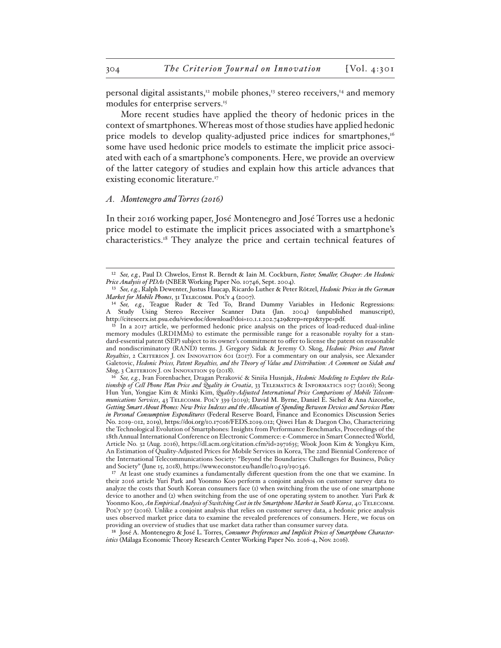personal digital assistants,<sup>12</sup> mobile phones,<sup>13</sup> stereo receivers,<sup>14</sup> and memory modules for enterprise servers.<sup>15</sup>

More recent studies have applied the theory of hedonic prices in the context of smartphones. Whereas most of those studies have applied hedonic price models to develop quality-adjusted price indices for smartphones,<sup>16</sup> some have used hedonic price models to estimate the implicit price associated with each of a smartphone's components. Here, we provide an overview of the latter category of studies and explain how this article advances that existing economic literature.<sup>17</sup>

#### *A. Montenegro and Torres (2016)*

In their 2016 working paper, José Montenegro and José Torres use a hedonic price model to estimate the implicit prices associated with a smartphone's characteristics.18 They analyze the price and certain technical features of

<sup>12</sup> *See, e.g.*, Paul D. Chwelos, Ernst R. Berndt & Iain M. Cockburn, *Faster, Smaller, Cheaper: An Hedonic Price Analysis of PDAs* (NBER Working Paper No. 10746, Sept. 2004).

<sup>13</sup> *See, e.g.*, Ralph Dewenter, Justus Haucap, Ricardo Luther & Peter Rötzel, *Hedonic Prices in the German Market for Mobile Phones*, 31 Telecomm. Pol'y 4 (2007).

<sup>14</sup> *See, e.g.*, Teague Ruder & Ted To, Brand Dummy Variables in Hedonic Regressions: A Study Using Stereo Receiver Scanner Data (Jan. 2004) (unpublished manuscript), http://citeseerx.ist.psu.edu/viewdoc/download?doi=10.1.1.202.7429&rep=rep1&type=pdf.

<sup>&</sup>lt;sup>15</sup> In a 2017 article, we performed hedonic price analysis on the prices of load-reduced dual-inline memory modules (LRDIMMs) to estimate the permissible range for a reasonable royalty for a standard-essential patent (SEP) subject to its owner's commitment to offer to license the patent on reasonable and nondiscriminatory (RAND) terms. J. Gregory Sidak & Jeremy O. Skog, *Hedonic Prices and Patent Royalties*, 2 Criterion J. on Innovation 601 (2017). For a commentary on our analysis, see Alexander Galetovic, *Hedonic Prices, Patent Royalties, and the Theory of Value and Distribution: A Comment on Sidak and*  Skog, 3 CRITERION J. ON INNOVATION 59 (2018).

<sup>16</sup> *See, e.g.*, Ivan Forenbacher, Dragan Peraković & Siniša Husnjak, *Hedonic Modeling to Explore the Relationship of Cell Phone Plan Price and Quality in Croatia*, 33 Telematics & Informatics 1057 (2016); Seong Hun Yun, Yongjae Kim & Minki Kim, *Quality-Adjusted International Price Comparisons of Mobile Telecommunications Services*, 43 Telecomm. Pol'y 339 (2019); David M. Byrne, Daniel E. Sichel & Ana Aizcorbe, *Getting Smart About Phones: New Price Indexes and the Allocation of Spending Between Devices and Services Plans in Personal Consumption Expenditures* (Federal Reserve Board, Finance and Economics Discussion Series No. 2019-012, 2019), https://doi.org/10.17016/FEDS.2019.012; Qiwei Han & Daegon Cho, Characterizing the Technological Evolution of Smartphones: Insights from Performance Benchmarks, Proceedings of the 18th Annual International Conference on Electronic Commerce: e-Commerce in Smart Connected World, Article No. 32 (Aug. 2016), https://dl.acm.org/citation.cfm?id=2971635; Wook Joon Kim & Yongkyu Kim, An Estimation of Quality-Adjusted Prices for Mobile Services in Korea, The 22nd Biennial Conference of the International Telecommunications Society: "Beyond the Boundaries: Challenges for Business, Policy and Society" (June 15, 2018), https://www.econstor.eu/handle/10419/190346.

<sup>&</sup>lt;sup>17</sup> At least one study examines a fundamentally different question from the one that we examine. In their 2016 article Yuri Park and Yoonmo Koo perform a conjoint analysis on customer survey data to analyze the costs that South Korean consumers face (1) when switching from the use of one smartphone device to another and (2) when switching from the use of one operating system to another. Yuri Park & Yoonmo Koo, *An Empirical Analysis of Switching Cost in the Smartphone Market in South Korea*, 40 Telecomm. PoL'y 307 (2016). Unlike a conjoint analysis that relies on customer survey data, a hedonic price analysis uses observed market price data to examine the revealed preferences of consumers. Here, we focus on providing an overview of studies that use market data rather than consumer survey data.

<sup>18</sup> José A. Montenegro & José L. Torres, *Consumer Preferences and Implicit Prices of Smartphone Characteristics* (Málaga Economic Theory Research Center Working Paper No. 2016-4, Nov. 2016).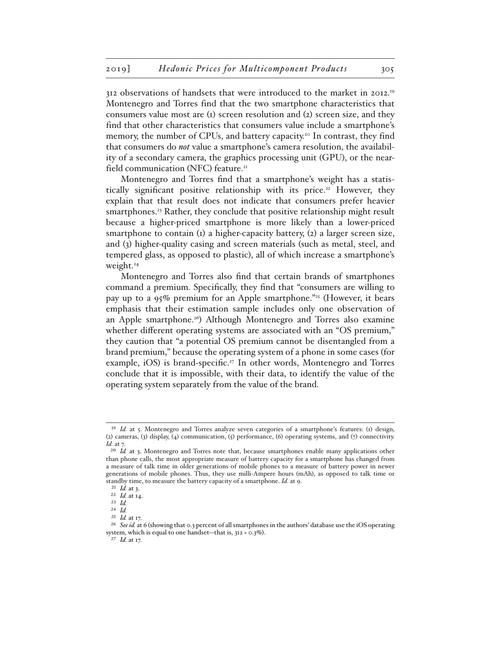312 observations of handsets that were introduced to the market in 2012.19 Montenegro and Torres find that the two smartphone characteristics that consumers value most are (1) screen resolution and (2) screen size, and they find that other characteristics that consumers value include a smartphone's memory, the number of CPUs, and battery capacity.<sup>20</sup> In contrast, they find that consumers do *not* value a smartphone's camera resolution, the availability of a secondary camera, the graphics processing unit (GPU), or the nearfield communication (NFC) feature.<sup>21</sup>

Montenegro and Torres find that a smartphone's weight has a statistically significant positive relationship with its price.<sup>22</sup> However, they explain that that result does not indicate that consumers prefer heavier smartphones.<sup>23</sup> Rather, they conclude that positive relationship might result because a higher-priced smartphone is more likely than a lower-priced smartphone to contain (1) a higher-capacity battery, (2) a larger screen size, and (3) higher-quality casing and screen materials (such as metal, steel, and tempered glass, as opposed to plastic), all of which increase a smartphone's weight.<sup>24</sup>

Montenegro and Torres also find that certain brands of smartphones command a premium. Specifically, they find that "consumers are willing to pay up to a  $95\%$  premium for an Apple smartphone."<sup>25</sup> (However, it bears emphasis that their estimation sample includes only one observation of an Apple smartphone.<sup>26</sup>) Although Montenegro and Torres also examine whether different operating systems are associated with an "OS premium," they caution that "a potential OS premium cannot be disentangled from a brand premium," because the operating system of a phone in some cases (for example, iOS) is brand-specific.<sup>27</sup> In other words, Montenegro and Torres conclude that it is impossible, with their data, to identify the value of the operating system separately from the value of the brand.

<sup>&</sup>lt;sup>19</sup> *Id.* at 5. Montenegro and Torres analyze seven categories of a smartphone's features: (1) design, (2) cameras, (3) display, (4) communication, (5) performance, (6) operating systems, and (7) connectivity. *Id.* at 7.

<sup>&</sup>lt;sup>20</sup> *Id.* at 3. Montenegro and Torres note that, because smartphones enable many applications other than phone calls, the most appropriate measure of battery capacity for a smartphone has changed from a measure of talk time in older generations of mobile phones to a measure of battery power in newer generations of mobile phones. Thus, they use milli-Ampere hours (mAh), as opposed to talk time or standby time, to measure the battery capacity of a smartphone. *Id.* at 9.

<sup>21</sup> *Id.* at 3.

<sup>22</sup> *Id.* at 14.

<sup>23</sup> *Id.*

<sup>24</sup> *Id.*

<sup>25</sup> *Id.* at 17.

<sup>&</sup>lt;sup>26</sup> See id. at 6 (showing that 0.3 percent of all smartphones in the authors' database use the iOS operating system, which is equal to one handset—that is, 312 × 0.3%).

<sup>27</sup> *Id.* at 17.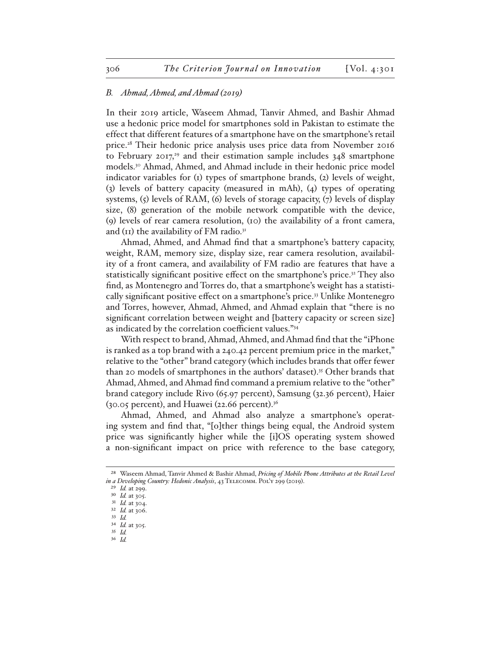#### *B. Ahmad, Ahmed, and Ahmad (2019)*

In their 2019 article, Waseem Ahmad, Tanvir Ahmed, and Bashir Ahmad use a hedonic price model for smartphones sold in Pakistan to estimate the effect that different features of a smartphone have on the smartphone's retail price.28 Their hedonic price analysis uses price data from November 2016 to February  $2017<sub>1</sub><sup>29</sup>$  and their estimation sample includes  $348$  smartphone models.30 Ahmad, Ahmed, and Ahmad include in their hedonic price model indicator variables for (1) types of smartphone brands, (2) levels of weight, (3) levels of battery capacity (measured in mAh), (4) types of operating systems, (5) levels of RAM, (6) levels of storage capacity, (7) levels of display size, (8) generation of the mobile network compatible with the device, (9) levels of rear camera resolution, (10) the availability of a front camera, and ( $\text{II}$ ) the availability of FM radio.<sup>31</sup>

Ahmad, Ahmed, and Ahmad find that a smartphone's battery capacity, weight, RAM, memory size, display size, rear camera resolution, availability of a front camera, and availability of FM radio are features that have a statistically significant positive effect on the smartphone's price.<sup>32</sup> They also find, as Montenegro and Torres do, that a smartphone's weight has a statistically significant positive effect on a smartphone's price.33 Unlike Montenegro and Torres, however, Ahmad, Ahmed, and Ahmad explain that "there is no significant correlation between weight and [battery capacity or screen size] as indicated by the correlation coefficient values."34

With respect to brand, Ahmad, Ahmed, and Ahmad find that the "iPhone is ranked as a top brand with a 240.42 percent premium price in the market," relative to the "other" brand category (which includes brands that offer fewer than 20 models of smartphones in the authors' dataset).<sup>35</sup> Other brands that Ahmad, Ahmed, and Ahmad find command a premium relative to the "other" brand category include Rivo (65.97 percent), Samsung (32.36 percent), Haier (30.05 percent), and Huawei (22.66 percent).36

Ahmad, Ahmed, and Ahmad also analyze a smartphone's operating system and find that, "[o]ther things being equal, the Android system price was significantly higher while the [i]OS operating system showed a non-significant impact on price with reference to the base category,

<sup>28</sup> Waseem Ahmad, Tanvir Ahmed & Bashir Ahmad, *Pricing of Mobile Phone Attributes at the Retail Level in a Developing Country: Hedonic Analysis*, 43 Telecomm. Pol'y 299 (2019).

<sup>29</sup> *Id.* at 299.

<sup>30</sup> *Id.* at 305.

<sup>31</sup> *Id.* at 304.

<sup>32</sup> *Id.* at 306.

<sup>33</sup> *Id.*  34 *Id.* at 305.

<sup>35</sup> *Id.* 

<sup>36</sup> *Id.*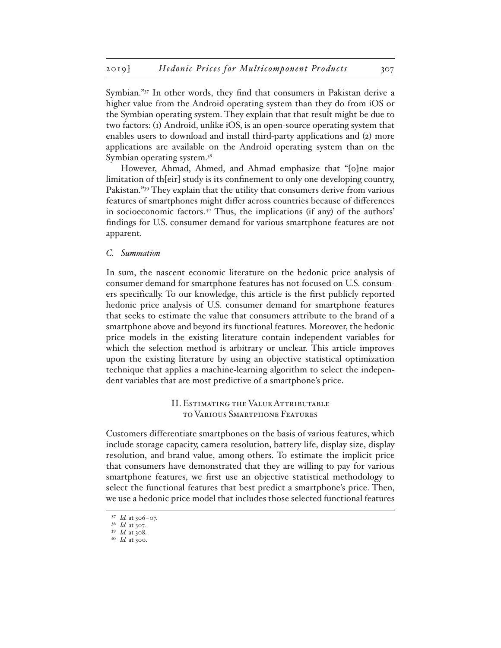Symbian."37 In other words, they find that consumers in Pakistan derive a higher value from the Android operating system than they do from iOS or the Symbian operating system. They explain that that result might be due to two factors: (1) Android, unlike iOS, is an open-source operating system that enables users to download and install third-party applications and (2) more applications are available on the Android operating system than on the Symbian operating system.<sup>38</sup>

However, Ahmad, Ahmed, and Ahmad emphasize that "[o]ne major limitation of th[eir] study is its confinement to only one developing country, Pakistan."39 They explain that the utility that consumers derive from various features of smartphones might differ across countries because of differences in socioeconomic factors.40 Thus, the implications (if any) of the authors' findings for U.S. consumer demand for various smartphone features are not apparent.

#### *C. Summation*

In sum, the nascent economic literature on the hedonic price analysis of consumer demand for smartphone features has not focused on U.S. consumers specifically. To our knowledge, this article is the first publicly reported hedonic price analysis of U.S. consumer demand for smartphone features that seeks to estimate the value that consumers attribute to the brand of a smartphone above and beyond its functional features. Moreover, the hedonic price models in the existing literature contain independent variables for which the selection method is arbitrary or unclear. This article improves upon the existing literature by using an objective statistical optimization technique that applies a machine-learning algorithm to select the independent variables that are most predictive of a smartphone's price.

## II. Estimating the Value Attributable to Various Smartphone Features

Customers differentiate smartphones on the basis of various features, which include storage capacity, camera resolution, battery life, display size, display resolution, and brand value, among others. To estimate the implicit price that consumers have demonstrated that they are willing to pay for various smartphone features, we first use an objective statistical methodology to select the functional features that best predict a smartphone's price. Then, we use a hedonic price model that includes those selected functional features

<sup>37</sup> *Id.* at 306–07.

<sup>38</sup> *Id.* at 307.

<sup>39</sup> *Id.* at 308.

<sup>40</sup> *Id.* at 300.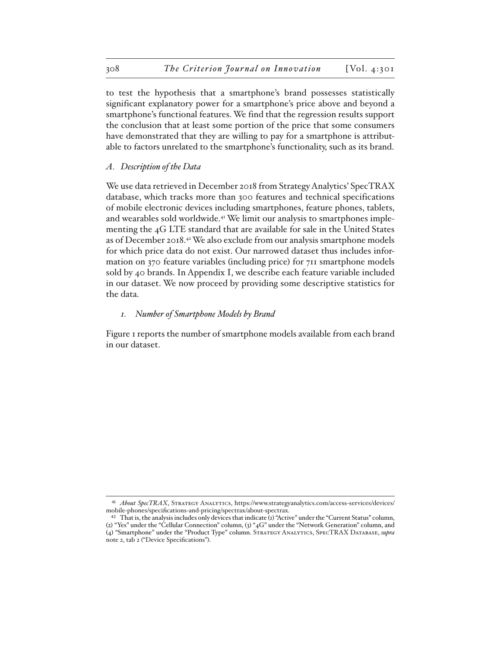to test the hypothesis that a smartphone's brand possesses statistically significant explanatory power for a smartphone's price above and beyond a smartphone's functional features. We find that the regression results support the conclusion that at least some portion of the price that some consumers have demonstrated that they are willing to pay for a smartphone is attributable to factors unrelated to the smartphone's functionality, such as its brand.

### *A. Description of the Data*

We use data retrieved in December 2018 from Strategy Analytics' SpecTRAX database, which tracks more than 300 features and technical specifications of mobile electronic devices including smartphones, feature phones, tablets, and wearables sold worldwide.41 We limit our analysis to smartphones implementing the 4G LTE standard that are available for sale in the United States as of December 2018.42 We also exclude from our analysis smartphone models for which price data do not exist. Our narrowed dataset thus includes information on 370 feature variables (including price) for 711 smartphone models sold by 40 brands. In Appendix I, we describe each feature variable included in our dataset. We now proceed by providing some descriptive statistics for the data.

#### *1. Number of Smartphone Models by Brand*

Figure 1 reports the number of smartphone models available from each brand in our dataset.

<sup>41</sup> *About SpecTRAX*, Strategy Analytics, https://www.strategyanalytics.com/access-services/devices/ mobile-phones/specifications-and-pricing/spectrax/about-spectrax.

<sup>&</sup>lt;sup>42</sup> That is, the analysis includes only devices that indicate (1) "Active" under the "Current Status" column, (2) "Yes" under the "Cellular Connection" column, (3) "4G" under the "Network Generation" column, and (4) "Smartphone" under the "Product Type" column. Strategy Analytics, SpecTRAX Database, *supra*  note 2, tab 2 ("Device Specifications").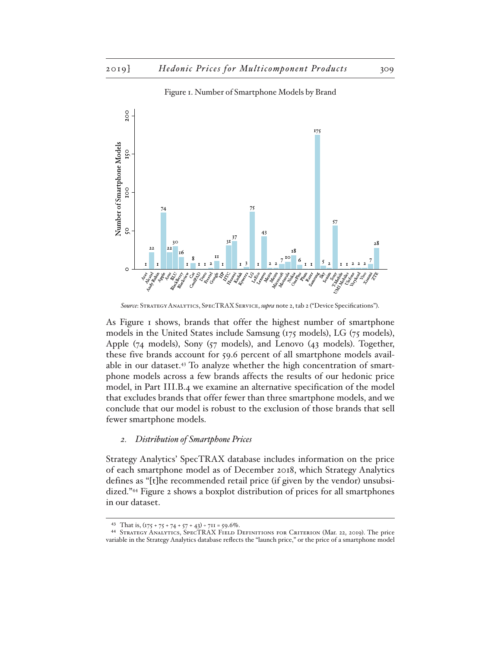

Figure 1. Number of Smartphone Models by Brand

As Figure 1 shows, brands that offer the highest number of smartphone models in the United States include Samsung (175 models), LG (75 models), Apple (74 models), Sony (57 models), and Lenovo (43 models). Together, these five brands account for 59.6 percent of all smartphone models available in our dataset.<sup>43</sup> To analyze whether the high concentration of smartphone models across a few brands affects the results of our hedonic price model, in Part III.B.4 we examine an alternative specification of the model that excludes brands that offer fewer than three smartphone models, and we conclude that our model is robust to the exclusion of those brands that sell fewer smartphone models.

#### *2. Distribution of Smartphone Prices*

Strategy Analytics' SpecTRAX database includes information on the price of each smartphone model as of December 2018, which Strategy Analytics defines as "[t]he recommended retail price (if given by the vendor) unsubsidized."44 Figure 2 shows a boxplot distribution of prices for all smartphones in our dataset.

*Source*: Strategy Analytics, SpecTRAX Service, *supra* note 2, tab 2 ("Device Specifications").

<sup>43</sup> That is,  $(175 + 75 + 74 + 57 + 43) \div 711 = 59.6\%$ .

<sup>44</sup> Strategy Analytics, SpecTRAX Field Definitions for Criterion (Mar. 22, 2019). The price variable in the Strategy Analytics database reflects the "launch price," or the price of a smartphone model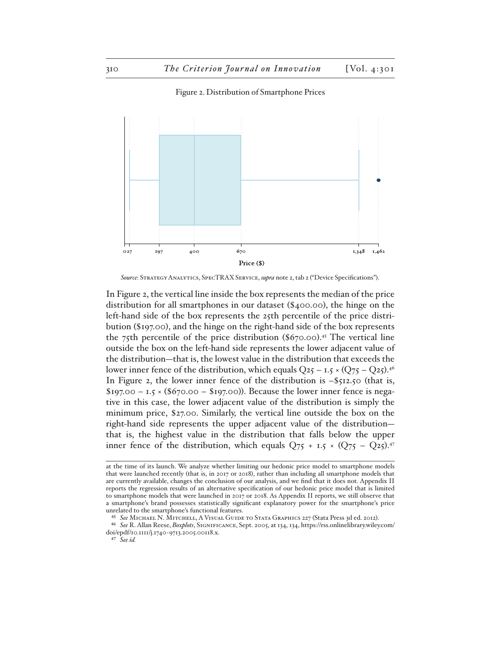Figure 2. Distribution of Smartphone Prices



*Source*: Strategy Analytics, SpecTRAX Service, *supra* note 2, tab 2 ("Device Specifications").

In Figure 2, the vertical line inside the box represents the median of the price distribution for all smartphones in our dataset (\$400.00), the hinge on the left-hand side of the box represents the 25th percentile of the price distribution (\$197.00), and the hinge on the right-hand side of the box represents the 75th percentile of the price distribution  $(\$670.00$ <sup>.45</sup> The vertical line outside the box on the left-hand side represents the lower adjacent value of the distribution—that is, the lowest value in the distribution that exceeds the lower inner fence of the distribution, which equals  $Q_{25} - I.5 \times (Q_{75} - Q_{25})^{46}$ In Figure 2, the lower inner fence of the distribution is  $-$ \$512.50 (that is,  $$197.00 - 1.5 \times ($670.00 - $197.00)$ . Because the lower inner fence is negative in this case, the lower adjacent value of the distribution is simply the minimum price, \$27.00. Similarly, the vertical line outside the box on the right-hand side represents the upper adjacent value of the distribution that is, the highest value in the distribution that falls below the upper inner fence of the distribution, which equals  $Q_{75}$  + 1.5  $\times$  (Q75 – Q25).<sup>47</sup>

at the time of its launch. We analyze whether limiting our hedonic price model to smartphone models that were launched recently (that is, in 2017 or 2018), rather than including all smartphone models that are currently available, changes the conclusion of our analysis, and we find that it does not. Appendix II reports the regression results of an alternative specification of our hedonic price model that is limited to smartphone models that were launched in 2017 or 2018. As Appendix II reports, we still observe that a smartphone's brand possesses statistically significant explanatory power for the smartphone's price unrelated to the smartphone's functional features.

<sup>45</sup> *See* Michael N. Mitchell, A Visual Guide to Stata Graphics 227 (Stata Press 3d ed. 2012).

<sup>46</sup> *See* R. Allan Reese, *Boxplots*, Significance, Sept. 2005, at 134, 134, https://rss.onlinelibrary.wiley.com/ doi/epdf/10.1111/j.1740-9713.2005.00118.x.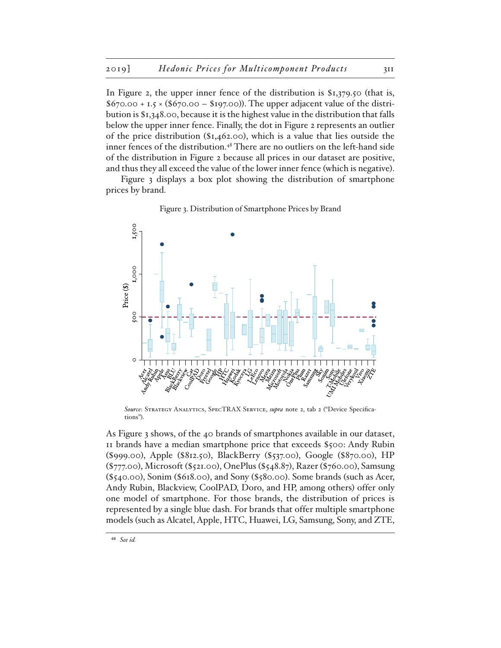In Figure 2, the upper inner fence of the distribution is  $$1,379.50$  (that is,  $$670.00 + I.5 \times ($670.00 - $197.00)$ . The upper adjacent value of the distribution is \$1,348.00, because it is the highest value in the distribution that falls below the upper inner fence. Finally, the dot in Figure 2 represents an outlier of the price distribution (\$1,462.00), which is a value that lies outside the inner fences of the distribution.48 There are no outliers on the left-hand side of the distribution in Figure 2 because all prices in our dataset are positive, and thus they all exceed the value of the lower inner fence (which is negative).

Figure 3 displays a box plot showing the distribution of smartphone prices by brand.



Figure 3. Distribution of Smartphone Prices by Brand

*Source*: Strategy Analytics, SpecTRAX Service, *supra* note 2, tab 2 ("Device Specifications").

As Figure 3 shows, of the 40 brands of smartphones available in our dataset, 11 brands have a median smartphone price that exceeds \$500: Andy Rubin (\$999.00), Apple (\$812.50), BlackBerry (\$537.00), Google (\$870.00), HP (\$777.00), Microsoft (\$521.00), OnePlus (\$548.87), Razer (\$760.00), Samsung (\$540.00), Sonim (\$618.00), and Sony (\$580.00). Some brands (such as Acer, Andy Rubin, Blackview, CoolPAD, Doro, and HP, among others) offer only one model of smartphone. For those brands, the distribution of prices is represented by a single blue dash. For brands that offer multiple smartphone models (such as Alcatel, Apple, HTC, Huawei, LG, Samsung, Sony, and ZTE,

<sup>48</sup> *See id.*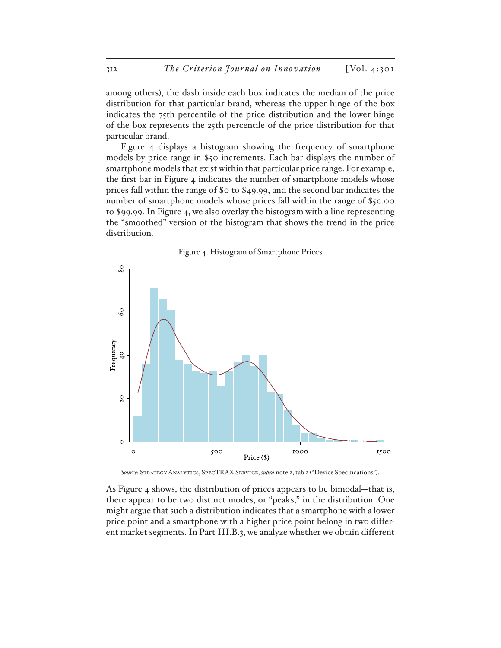among others), the dash inside each box indicates the median of the price distribution for that particular brand, whereas the upper hinge of the box indicates the 75th percentile of the price distribution and the lower hinge of the box represents the 25th percentile of the price distribution for that particular brand.

Figure 4 displays a histogram showing the frequency of smartphone models by price range in \$50 increments. Each bar displays the number of smartphone models that exist within that particular price range. For example, the first bar in Figure 4 indicates the number of smartphone models whose prices fall within the range of \$0 to \$49.99, and the second bar indicates the number of smartphone models whose prices fall within the range of \$50.00 to \$99.99. In Figure 4, we also overlay the histogram with a line representing the "smoothed" version of the histogram that shows the trend in the price distribution.



*Source*: Strategy Analytics, SpecTRAX Service, *supra* note 2, tab 2 ("Device Specifications").

As Figure 4 shows, the distribution of prices appears to be bimodal—that is, there appear to be two distinct modes, or "peaks," in the distribution. One might argue that such a distribution indicates that a smartphone with a lower price point and a smartphone with a higher price point belong in two different market segments. In Part III.B.3, we analyze whether we obtain different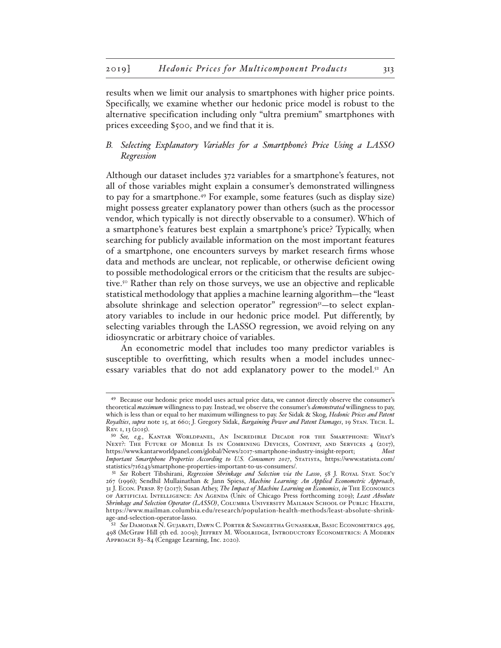results when we limit our analysis to smartphones with higher price points. Specifically, we examine whether our hedonic price model is robust to the alternative specification including only "ultra premium" smartphones with prices exceeding \$500, and we find that it is.

## *B. Selecting Explanatory Variables for a Smartphone's Price Using a LASSO Regression*

Although our dataset includes 372 variables for a smartphone's features, not all of those variables might explain a consumer's demonstrated willingness to pay for a smartphone.49 For example, some features (such as display size) might possess greater explanatory power than others (such as the processor vendor, which typically is not directly observable to a consumer). Which of a smartphone's features best explain a smartphone's price? Typically, when searching for publicly available information on the most important features of a smartphone, one encounters surveys by market research firms whose data and methods are unclear, not replicable, or otherwise deficient owing to possible methodological errors or the criticism that the results are subjective.50 Rather than rely on those surveys, we use an objective and replicable statistical methodology that applies a machine learning algorithm—the "least absolute shrinkage and selection operator" regression<sup>51</sup>-to select explanatory variables to include in our hedonic price model. Put differently, by selecting variables through the LASSO regression, we avoid relying on any idiosyncratic or arbitrary choice of variables.

An econometric model that includes too many predictor variables is susceptible to overfitting, which results when a model includes unnecessary variables that do not add explanatory power to the model.<sup>52</sup> An

<sup>49</sup> Because our hedonic price model uses actual price data, we cannot directly observe the consumer's theoretical *maximum* willingness to pay. Instead, we observe the consumer's *demonstrated* willingness to pay, which is less than or equal to her maximum willingness to pay. *See* Sidak & Skog, *Hedonic Prices and Patent Royalties*, *supra* note 15, at 660; J. Gregory Sidak, *Bargaining Power and Patent Damages*, 19 Stan. Tech. L. Rev. 1, 13 (2015).

<sup>50</sup> *See, e.g.*, Kantar Worldpanel, An Incredible Decade for the Smartphone: What's Next?: The Future of Mobile Is in Combining Devices, Content, and Services 4 (2017), https://www.kantarworldpanel.com/global/News/2017-smartphone-industry-insight-report; *Most Important Smartphone Properties According to U.S. Consumers 2017*, Statista, https://www.statista.com/ statistics/716243/smartphone-properties-important-to-us-consumers/.

<sup>51</sup> *See* Robert Tibshirani, *Regression Shrinkage and Selection via the Lasso*, 58 J. Royal Stat. Soc'y 267 (1996); Sendhil Mullainathan & Jann Spiess, *Machine Learning: An Applied Econometric Approach*, 31 J. Econ. Persp. 87 (2017); Susan Athey, *The Impact of Machine Learning on Economics*, *in* The Economics of Artificial Intelligence: An Agenda (Univ. of Chicago Press forthcoming 2019); *Least Absolute Shrinkage and Selection Operator (LASSO)*, Columbia University Mailman School of Public Health, https://www.mailman.columbia.edu/research/population-health-methods/least-absolute-shrinkage-and-selection-operator-lasso.

<sup>52</sup> *See* Damodar N. Gujarati, Dawn C. Porter & Sangeetha Gunasekar, Basic Econometrics 495, 498 (McGraw Hill 5th ed. 2009); Jeffrey M. Woolridge, Introductory Econometrics: A Modern Approach 83–84 (Cengage Learning, Inc. 2020).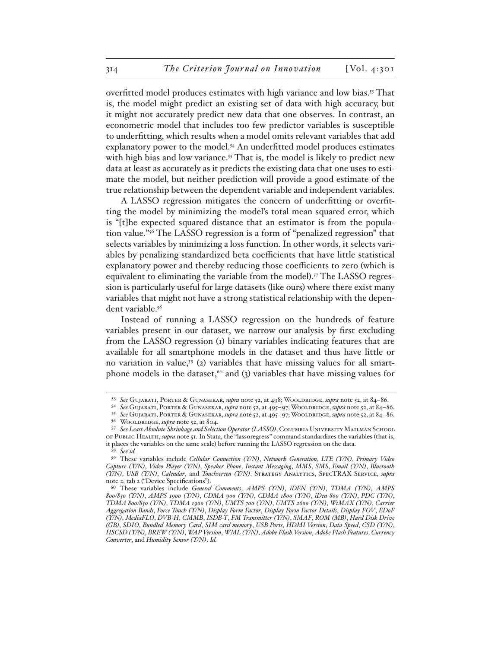overfitted model produces estimates with high variance and low bias.53 That is, the model might predict an existing set of data with high accuracy, but it might not accurately predict new data that one observes. In contrast, an econometric model that includes too few predictor variables is susceptible to underfitting, which results when a model omits relevant variables that add explanatory power to the model.<sup>54</sup> An underfitted model produces estimates with high bias and low variance.<sup>55</sup> That is, the model is likely to predict new data at least as accurately as it predicts the existing data that one uses to estimate the model, but neither prediction will provide a good estimate of the true relationship between the dependent variable and independent variables.

A LASSO regression mitigates the concern of underfitting or overfitting the model by minimizing the model's total mean squared error, which is "[t]he expected squared distance that an estimator is from the population value."56 The LASSO regression is a form of "penalized regression" that selects variables by minimizing a loss function. In other words, it selects variables by penalizing standardized beta coefficients that have little statistical explanatory power and thereby reducing those coefficients to zero (which is equivalent to eliminating the variable from the model).<sup>57</sup> The LASSO regression is particularly useful for large datasets (like ours) where there exist many variables that might not have a strong statistical relationship with the dependent variable.58

Instead of running a LASSO regression on the hundreds of feature variables present in our dataset, we narrow our analysis by first excluding from the LASSO regression (1) binary variables indicating features that are available for all smartphone models in the dataset and thus have little or no variation in value,<sup>59</sup> (2) variables that have missing values for all smartphone models in the dataset,<sup>60</sup> and (3) variables that have missing values for

<sup>53</sup> *See* Gujarati, Porter & Gunasekar, *supra* note 52, at 498; Wooldridge, *supra* note 52, at 84–86.

<sup>54</sup> *See* Gujarati, Porter & Gunasekar, *supra* note 52, at 495–97; Wooldridge, *supra* note 52, at 84–86.

<sup>55</sup> *See* Gujarati, Porter & Gunasekar, *supra* note 52, at 495–97; Wooldridge, *supra* note 52, at 84–86. 56 Wooldridge, *supra* note 52, at 804.

<sup>57</sup> See Least Absolute Shrinkage and Selection Operator (LASSO), COLUMBIA UNIVERSITY MAILMAN SCHOOL of Public Health, *supra* note 51. In Stata, the "lassoregress" command standardizes the variables (that is, it places the variables on the same scale) before running the LASSO regression on the data.

<sup>58</sup> *See id.*

<sup>59</sup> These variables include *Cellular Connection (Y/N)*, *Network Generation*, *LTE (Y/N)*, *Primary Video Capture (Y/N)*, *Video Player (Y/N)*, *Speaker Phone*, *Instant Messaging*, *MMS*, *SMS*, *Email (Y/N)*, *Bluetooth (Y/N)*, *USB (Y/N)*, *Calendar*, and *Touchscreen (Y/N)*. Strategy Analytics, SpecTRAX Service, *supra* note 2, tab 2 ("Device Specifications").

<sup>60</sup> These variables include *General Comments*, *AMPS (Y/N)*, *iDEN (Y/N)*, *TDMA (Y/N)*, *AMPS 800/850 (Y/N)*, *AMPS 1900 (Y/N)*, *CDMA 900 (Y/N)*, *CDMA 1800 (Y/N)*, *iDen 800 (Y/N)*, *PDC (Y/N)*, *TDMA 800/850 (Y/N)*, *TDMA 1900 (Y/N)*, *UMTS 700 (Y/N)*, *UMTS 2600 (Y/N)*, *WiMAX (Y/N)*, *Carrier Aggregation Bands*, *Force Touch (Y/N)*, *Display Form Factor*, *Display Form Factor Details*, *Display FOV*, *EDoF (Y/N)*, *MediaFLO*, *DVB-H*, *CMMB*, *ISDB-T*, *FM Transmitter (Y/N)*, *SMAF*, *ROM (MB)*, *Hard Disk Drive (GB)*, *SDIO*, *Bundled Memory Card*, *SIM card memory*, *USB Ports*, *HDMI Version*, *Data Speed*, *CSD (Y/N)*, *HSCSD (Y/N)*, *BREW (Y/N)*, *WAP Version*, *WML (Y/N)*, *Adobe Flash Version*, *Adobe Flash Features*, *Currency Converter*, and *Humidity Sensor (Y/N)*. *Id.*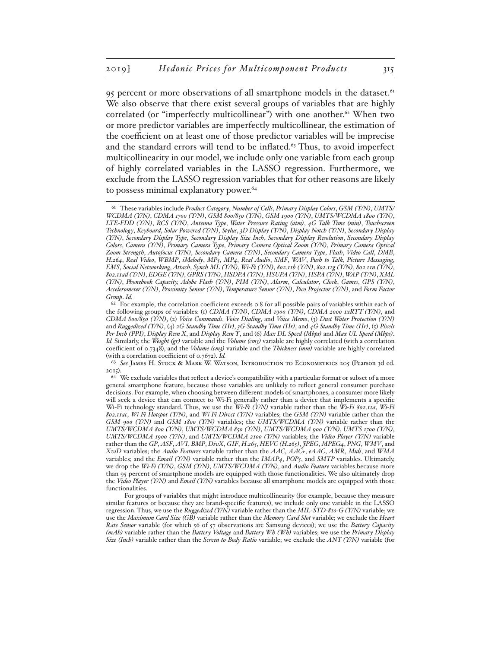95 percent or more observations of all smartphone models in the dataset.<sup>61</sup> We also observe that there exist several groups of variables that are highly correlated (or "imperfectly multicollinear") with one another.<sup>62</sup> When two or more predictor variables are imperfectly multicollinear, the estimation of the coefficient on at least one of those predictor variables will be imprecise and the standard errors will tend to be inflated. $63$  Thus, to avoid imperfect multicollinearity in our model, we include only one variable from each group of highly correlated variables in the LASSO regression. Furthermore, we exclude from the LASSO regression variables that for other reasons are likely to possess minimal explanatory power.<sup>64</sup>

63 *See* James H. Stock & Mark W. Watson, Introduction to Econometrics 205 (Pearson 3d ed. 2015).

<sup>61</sup> These variables include *Product Category*, *Number of Cells*, *Primary Display Colors*, *GSM (Y/N)*, *UMTS/ WCDMA (Y/N)*, *CDMA 1700 (Y/N)*, *GSM 800/850 (Y/N)*, *GSM 1900 (Y/N)*, *UMTS/WCDMA 1800 (Y/N)*, *LTE-FDD (Y/N)*, *RCS (Y/N)*, *Antenna Type*, *Water Pressure Rating (atm)*, *4G Talk Time (min)*, *Touchscreen Technology*, *Keyboard*, *Solar Powered (Y/N)*, *Stylus*, *3D Display (Y/N)*, *Display Notch (Y/N)*, *Secondary Display (Y/N)*, *Secondary Display Type*, *Secondary Display Size Inch*, *Secondary Display Resolution*, *Secondary Display Colors*, *Camera (Y/N)*, *Primary Camera Type*, *Primary Camera Optical Zoom (Y/N)*, *Primary Camera Optical Zoom Strength*, *Autofocus (Y/N)*, *Secondary Camera (Y/N)*, *Secondary Camera Type*, *Flash*, *Video Call*, *DMB*, *H.264*, *Real Video*, *WBMP*, *iMelody*, *MP3*, *MP4*, *Real Audio*, *SMF*, *WAV*, *Push to Talk*, *Picture Messaging*, *EMS*, *Social Networking*, *Attach*, *Synch ML (Y/N)*, *Wi-Fi (Y/N)*, *802.11b (Y/N)*, *802.11g (Y/N)*, *802.11n (Y/N)*, *802.11ad (Y/N)*, *EDGE (Y/N)*, *GPRS (Y/N)*, *HSDPA (Y/N)*, *HSUPA (Y/N)*, *HSPA (Y/N)*, *WAP (Y/N)*, *XML (Y/N)*, *Phonebook Capacity, Adobe Flash (Y/N)*, *PIM (Y/N)*, *Alarm*, *Calculator*, *Clock*, *Games*, *GPS (Y/N)*, *Accelerometer (Y/N)*, *Proximity Sensor (Y/N)*, *Temperature Sensor (Y/N)*, *Pico Projector (Y/N)*, and *Form Factor Group*. *Id.*

<sup>&</sup>lt;sup>62</sup> For example, the correlation coefficient exceeds 0.8 for all possible pairs of variables within each of the following groups of variables: (1) *CDMA (Y/N)*, *CDMA 1900 (Y/N)*, *CDMA 2000 1xRTT (Y/N)*, and *CDMA 800/850 (Y/N)*, (2) *Voice Commands*, *Voice Dialing*, and *Voice Memo*, (3) *Dust Water Protection (Y/N)* and *Ruggedized (Y/N)*, (4) *2G Standby Time (Hr)*, *3G Standby Time (Hr)*, and *4G Standby Time (Hr)*, (5) *Pixels Per Inch (PPI)*, *Display Resn X*, and *Display Resn Y*, and (6) *Max DL Speed (Mbps)* and *Max UL Speed (Mbps)*. *Id.* Similarly, the *Weight (gr)* variable and the *Volume (cm3)* variable are highly correlated (with a correlation coefficient of 0.7348), and the *Volume (cm3)* variable and the *Thickness (mm)* variable are highly correlated (with a correlation coefficient of 0.7672). *Id.* 

<sup>&</sup>lt;sup>64</sup> We exclude variables that reflect a device's compatibility with a particular format or subset of a more general smartphone feature, because those variables are unlikely to reflect general consumer purchase decisions. For example, when choosing between different models of smartphones, a consumer more likely will seek a device that can connect to Wi-Fi generally rather than a device that implements a specific Wi-Fi technology standard. Thus, we use the *Wi-Fi (Y/N)* variable rather than the *Wi-Fi 802.11a*, *Wi-Fi 802.11ac*, *Wi-Fi Hotspot (Y/N)*, and *Wi-Fi Direct (Y/N)* variables; the *GSM (Y/N)* variable rather than the *GSM 900 (Y/N)* and *GSM 1800 (Y/N)* variables; the *UMTS/WCDMA (Y/N)* variable rather than the *UMTS/WCDMA 800 (Y/N)*, *UMTS/WCDMA 850 (Y/N)*, *UMTS/WCDMA 900 (Y/N)*, *UMTS 1700 (Y/N)*, *UMTS/WCDMA 1900 (Y/N)*, and *UMTS/WCDMA 2100 (Y/N)* variables; the *Video Player (Y/N)* variable rather than the *GP*, *ASF*, *AVI*, *BMP*, *DivX*, *GIF*, *H.263*, *HEVC (H.265)*, *JPEG*, *MPEG4*, *PNG*, *WMV*, and *XviD* variables; the *Audio Features* variable rather than the *AAC*, *AAC+*, *eAAC*, *AMR*, *Midi*, and *WMA* variables; and the *Email (Y/N)* variable rather than the *IMAP4*, *POP3*, and *SMTP* variables. Ultimately, we drop the *Wi-Fi (Y/N)*, *GSM (Y/N)*, *UMTS/WCDMA (Y/N)*, and *Audio Feature* variables because more than 95 percent of smartphone models are equipped with those functionalities. We also ultimately drop the *Video Player (Y/N)* and *Email (Y/N)* variables because all smartphone models are equipped with those functionalities.

For groups of variables that might introduce multicollinearity (for example, because they measure similar features or because they are brand-specific features), we include only one variable in the LASSO regression. Thus, we use the *Ruggedized (Y/N)* variable rather than the *MIL-STD-810-G (Y/N)* variable; we use the *Maximum Card Size (GB)* variable rather than the *Memory Card Slot* variable; we exclude the *Heart Rate Sensor* variable (for which 56 of 57 observations are Samsung devices); we use the *Battery Capacity (mAh)* variable rather than the *Battery Voltage* and *Battery Wh (Wh)* variables; we use the *Primary Display Size (Inch)* variable rather than the *Screen to Body Ratio* variable; we exclude the *ANT (Y/N)* variable (for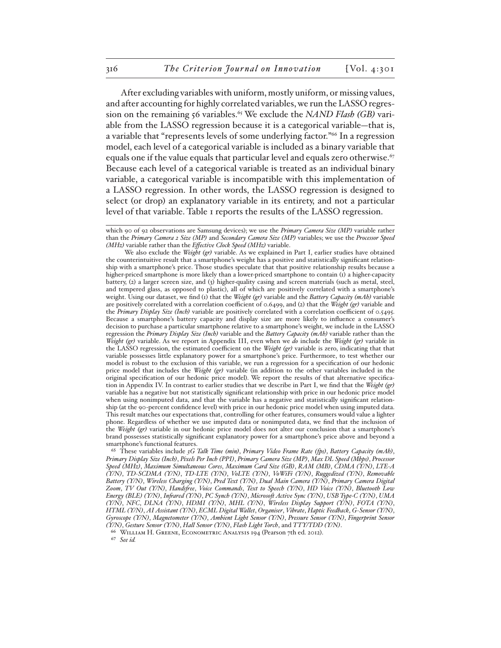After excluding variables with uniform, mostly uniform, or missing values, and after accounting for highly correlated variables, we run the LASSO regression on the remaining 56 variables.65 We exclude the *NAND Flash (GB)* variable from the LASSO regression because it is a categorical variable—that is, a variable that "represents levels of some underlying factor."66 In a regression model, each level of a categorical variable is included as a binary variable that equals one if the value equals that particular level and equals zero otherwise.<sup>67</sup> Because each level of a categorical variable is treated as an individual binary variable, a categorical variable is incompatible with this implementation of a LASSO regression. In other words, the LASSO regression is designed to select (or drop) an explanatory variable in its entirety, and not a particular level of that variable. Table 1 reports the results of the LASSO regression.

We also exclude the *Weight (gr)* variable. As we explained in Part I, earlier studies have obtained the counterintuitive result that a smartphone's weight has a positive and statistically significant relationship with a smartphone's price. Those studies speculate that that positive relationship results because a higher-priced smartphone is more likely than a lower-priced smartphone to contain (1) a higher-capacity battery, (2) a larger screen size, and (3) higher-quality casing and screen materials (such as metal, steel, and tempered glass, as opposed to plastic), all of which are positively correlated with a smartphone's weight. Using our dataset, we find (1) that the *Weight (gr)* variable and the *Battery Capacity (mAh)* variable are positively correlated with a correlation coefficient of 0.6499, and (2) that the *Weight (gr)* variable and the *Primary Display Size (Inch)* variable are positively correlated with a correlation coefficient of 0.5495. Because a smartphone's battery capacity and display size are more likely to influence a consumer's decision to purchase a particular smartphone relative to a smartphone's weight, we include in the LASSO regression the *Primary Display Size (Inch)* variable and the *Battery Capacity (mAh)* variable rather than the *Weight (gr)* variable. As we report in Appendix III, even when we *do* include the *Weight (gr)* variable in the LASSO regression, the estimated coefficient on the *Weight (gr)* variable is zero, indicating that that variable possesses little explanatory power for a smartphone's price. Furthermore, to test whether our model is robust to the exclusion of this variable, we run a regression for a specification of our hedonic price model that includes the *Weight (gr)* variable (in addition to the other variables included in the original specification of our hedonic price model). We report the results of that alternative specification in Appendix IV. In contrast to earlier studies that we describe in Part I, we find that the *Weight (gr)*  variable has a negative but not statistically significant relationship with price in our hedonic price model when using nonimputed data, and that the variable has a negative and statistically significant relationship (at the 90-percent confidence level) with price in our hedonic price model when using imputed data. This result matches our expectations that, controlling for other features, consumers would value a lighter phone. Regardless of whether we use imputed data or nonimputed data, we find that the inclusion of the *Weight (gr)* variable in our hedonic price model does not alter our conclusion that a smartphone's brand possesses statistically significant explanatory power for a smartphone's price above and beyond a smartphone's functional features.

65 These variables include *3G Talk Time (min)*, *Primary Video Frame Rate (fps)*, *Battery Capacity (mAh)*, *Primary Display Size (Inch)*, *Pixels Per Inch (PPI)*, *Primary Camera Size (MP)*, *Max DL Speed (Mbps)*, *Processor Speed (MHz)*, *Maximum Simultaneous Cores*, *Maximum Card Size (GB)*, *RAM (MB)*, *CDMA (Y/N)*, *LTE-A (Y/N)*, *TD-SCDMA (Y/N)*, *TD-LTE (Y/N)*, *VoLTE (Y/N)*, *VoWiFi (Y/N)*, *Ruggedized (Y/N)*, *Removable Battery (Y/N)*, *Wireless Charging (Y/N)*, *Pred Text (Y/N)*, *Dual Main Camera (Y/N)*, *Primary Camera Digital Zoom*, *TV Out (Y/N)*, *Handsfree*, *Voice Commands*, *Text to Speech (Y/N)*, *HD Voice (Y/N)*, *Bluetooth Low Energy (BLE) (Y/N)*, *Infrared (Y/N)*, *PC Synch (Y/N)*, *Microsoft Active Sync (Y/N)*, *USB Type-C (Y/N)*, *UMA (Y/N)*, *NFC*, *DLNA (Y/N)*, *HDMI (Y/N)*, *MHL (Y/N)*, *Wireless Display Support (Y/N)*, *FOTA (Y/N)*, *HTML (Y/N)*, *AI Assistant (Y/N)*, *ECML Digital Wallet*, *Organiser*, *Vibrate*, *Haptic Feedback*, *G-Sensor (Y/N)*, *Gyroscope (Y/N)*, *Magnetometer (Y/N)*, *Ambient Light Sensor (Y/N)*, *Pressure Sensor (Y/N)*, *Fingerprint Sensor (Y/N)*, *Gesture Sensor (Y/N)*, *Hall Sensor (Y/N)*, *Flash Light Torch*, and *TTY/TDD (Y/N)*.

66 William H. Greene, Econometric Analysis 194 (Pearson 7th ed. 2012).

67 *See id.*

which 90 of 92 observations are Samsung devices); we use the *Primary Camera Size (MP)* variable rather than the *Primary Camera 2 Size (MP)* and *Secondary Camera Size (MP)* variables; we use the *Processor Speed (MHz)* variable rather than the *Effective Clock Speed (MHz)* variable.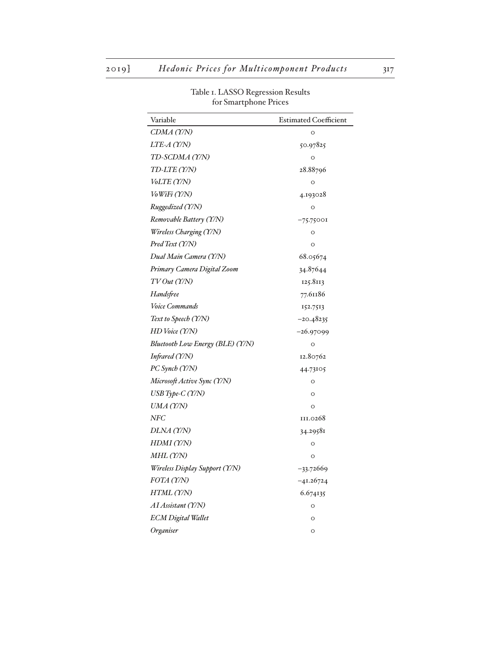| Variable                         | <b>Estimated Coefficient</b> |
|----------------------------------|------------------------------|
| CDMA (Y/N)                       | $\circ$                      |
| <i>LTE-A (Y/N)</i>               | 50.97825                     |
| TD-SCDMA (Y/N)                   | $\circ$                      |
| TD-LTE (Y/N)                     | 28.88796                     |
| VoLTE (Y/N)                      | $\circ$                      |
| <i>VoWiFi (Y/N)</i>              | 4.193028                     |
| Ruggedized (Y/N)                 | O                            |
| Removable Battery (Y/N)          | $-75.75001$                  |
| Wireless Charging (Y/N)          | $\circ$                      |
| Pred Text (Y/N)                  | $\circ$                      |
| Dual Main Camera (Y/N)           | 68.05674                     |
| Primary Camera Digital Zoom      | 34.87644                     |
| TV Out (Y/N)                     | 125.8113                     |
| Handsfree                        | 77.61186                     |
| Voice Commands                   | 152.7513                     |
| Text to Speech (Y/N)             | $-20.48235$                  |
| HD Voice (Y/N)                   | $-26.97099$                  |
| Bluetooth Low Energy (BLE) (Y/N) | O                            |
| Infrared (Y/N)                   | 12.80762                     |
| PC Synch (Y/N)                   | 44.73105                     |
| Microsoft Active Sync (Y/N)      | $\circ$                      |
| USB Type-C (Y/N)                 | $\circ$                      |
| UMA (Y/N)                        | $\circ$                      |
| $N\!F\!C$                        | III.0268                     |
| DLNA (Y/N)                       | 34.29581                     |
| HDMI (Y/N)                       | $\circ$                      |
| MHL (Y/N)                        | $\circ$                      |
| Wireless Display Support (Y/N)   | $-33.72669$                  |
| FOTA (Y/N)                       | $-41.26724$                  |
| HTML (Y/N)                       | 6.674135                     |
| AI Assistant (Y/N)               | $\circ$                      |
| <b>ECM</b> Digital Wallet        | $\circ$                      |
| Organiser                        | $\circ$                      |

Table 1. LASSO Regression Results for Smartphone Prices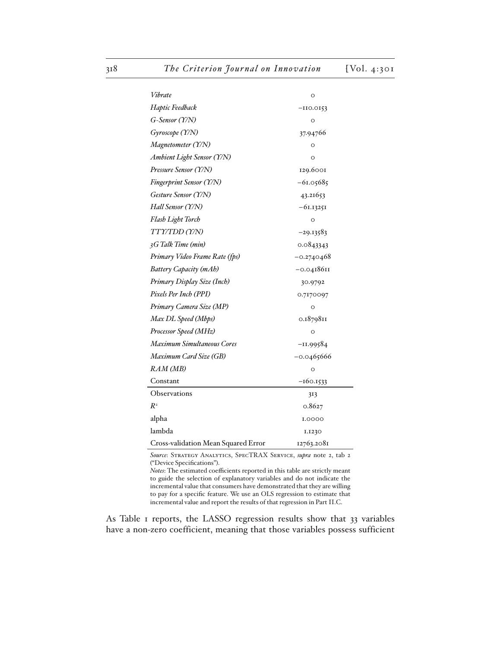| Vibrate                             | O            |  |  |
|-------------------------------------|--------------|--|--|
| Haptic Feedback                     | $-110.0153$  |  |  |
| G-Sensor (Y/N)                      | $\circ$      |  |  |
| Gyroscope (Y/N)                     | 37.94766     |  |  |
| Magnetometer (Y/N)                  | O            |  |  |
| Ambient Light Sensor (Y/N)          | O            |  |  |
| Pressure Sensor (Y/N)               | 129.6001     |  |  |
| Fingerprint Sensor (Y/N)            | $-61.05685$  |  |  |
| Gesture Sensor (Y/N)                | 43.21653     |  |  |
| Hall Sensor (Y/N)                   | $-61.13251$  |  |  |
| Flash Light Torch                   | O            |  |  |
| TTY/TDD(Y/N)                        | -29.13583    |  |  |
| 3G Talk Time (min)                  | 0.0843343    |  |  |
| Primary Video Frame Rate (fps)      | $-0.2740468$ |  |  |
| Battery Capacity (mAh)              | $-0.0418611$ |  |  |
| Primary Display Size (Inch)         | 30.9792      |  |  |
| Pixels Per Inch (PPI)               | 0.7170097    |  |  |
| Primary Camera Size (MP)            | O            |  |  |
| Max DL Speed (Mbps)                 | 0.1879811    |  |  |
| Processor Speed (MHz)               | $\circ$      |  |  |
| <b>Maximum Simultaneous Cores</b>   | $-11.99584$  |  |  |
| Maximum Card Size (GB)              | -0.0465666   |  |  |
| RAM (MB)                            | $\circ$      |  |  |
| Constant                            | $-160.1533$  |  |  |
| <b>Observations</b>                 | 313          |  |  |
| $R^2$                               | 0.8627       |  |  |
| alpha                               | I.0000       |  |  |
| lambda                              | 1.1230       |  |  |
| Cross-validation Mean Squared Error | 12763.2081   |  |  |

*Source*: Strategy Analytics, SpecTRAX Service, *supra* note 2, tab 2 ("Device Specifications").

*Notes*: The estimated coefficients reported in this table are strictly meant to guide the selection of explanatory variables and do not indicate the incremental value that consumers have demonstrated that they are willing to pay for a specific feature. We use an OLS regression to estimate that incremental value and report the results of that regression in Part II.C.

As Table 1 reports, the LASSO regression results show that 33 variables have a non-zero coefficient, meaning that those variables possess sufficient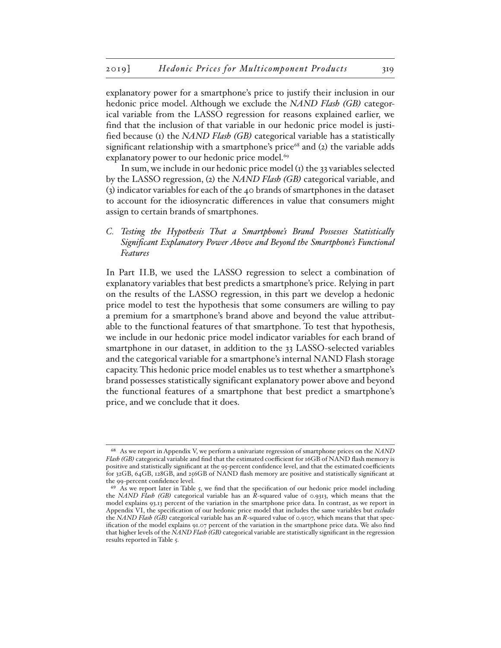explanatory power for a smartphone's price to justify their inclusion in our hedonic price model. Although we exclude the *NAND Flash (GB)* categorical variable from the LASSO regression for reasons explained earlier, we find that the inclusion of that variable in our hedonic price model is justified because (1) the *NAND Flash (GB)* categorical variable has a statistically significant relationship with a smartphone's price $68$  and (2) the variable adds explanatory power to our hedonic price model.<sup>69</sup>

In sum, we include in our hedonic price model  $(i)$  the 33 variables selected by the LASSO regression, (2) the *NAND Flash (GB)* categorical variable, and (3) indicator variables for each of the 40 brands of smartphones in the dataset to account for the idiosyncratic differences in value that consumers might assign to certain brands of smartphones.

*C. Testing the Hypothesis That a Smartphone's Brand Possesses Statistically Significant Explanatory Power Above and Beyond the Smartphone's Functional Features*

In Part II.B, we used the LASSO regression to select a combination of explanatory variables that best predicts a smartphone's price. Relying in part on the results of the LASSO regression, in this part we develop a hedonic price model to test the hypothesis that some consumers are willing to pay a premium for a smartphone's brand above and beyond the value attributable to the functional features of that smartphone. To test that hypothesis, we include in our hedonic price model indicator variables for each brand of smartphone in our dataset, in addition to the 33 LASSO-selected variables and the categorical variable for a smartphone's internal NAND Flash storage capacity. This hedonic price model enables us to test whether a smartphone's brand possesses statistically significant explanatory power above and beyond the functional features of a smartphone that best predict a smartphone's price, and we conclude that it does.

<sup>68</sup> As we report in Appendix V, we perform a univariate regression of smartphone prices on the *NAND Flash (GB)* categorical variable and find that the estimated coefficient for 16GB of NAND flash memory is positive and statistically significant at the 95-percent confidence level, and that the estimated coefficients for 32GB, 64GB, 128GB, and 256GB of NAND flash memory are positive and statistically significant at the 99-percent confidence level.

<sup>&</sup>lt;sup>69</sup> As we report later in Table 5, we find that the specification of our hedonic price model including the *NAND Flash (GB)* categorical variable has an *R*-squared value of 0.9313, which means that the model explains 93.13 percent of the variation in the smartphone price data. In contrast, as we report in Appendix VI, the specification of our hedonic price model that includes the same variables but *excludes* the *NAND Flash (GB)* categorical variable has an *R*-squared value of 0.9107, which means that that specification of the model explains 91.07 percent of the variation in the smartphone price data. We also find that higher levels of the *NAND Flash (GB)* categorical variable are statistically significant in the regression results reported in Table 5.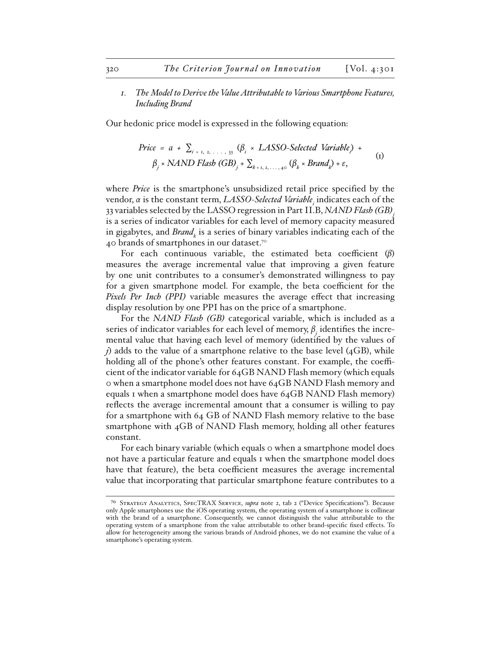*1. The Model to Derive the Value Attributable to Various Smartphone Features, Including Brand*

Our hedonic price model is expressed in the following equation:

$$
Price = a + \sum_{i=1, 2, ..., 33} (\beta_i \times LASSO-Selected Variable) +
$$
  
\n
$$
\beta_j \times NAND \; Flash \; (GB)_j + \sum_{k=1, 2, ..., 40} (\beta_k \times Brand_k) + \varepsilon,
$$
 (1)

where *Price* is the smartphone's unsubsidized retail price specified by the vendor, *α* is the constant term, *LASSO-Selected Variable<sub>;</sub>* indicates each of the 33 variables selected by the LASSO regression in Part II.B, *NAND Flash (GB)j* is a series of indicator variables for each level of memory capacity measured in gigabytes, and *Brand<sub>k</sub>* is a series of binary variables indicating each of the 40 brands of smartphones in our dataset.<sup>70</sup>

For each continuous variable, the estimated beta coefficient (*β*) measures the average incremental value that improving a given feature by one unit contributes to a consumer's demonstrated willingness to pay for a given smartphone model. For example, the beta coefficient for the *Pixels Per Inch (PPI)* variable measures the average effect that increasing display resolution by one PPI has on the price of a smartphone.

For the *NAND Flash (GB)* categorical variable, which is included as a series of indicator variables for each level of memory, *β<sup>j</sup>* identifies the incremental value that having each level of memory (identified by the values of *j*) adds to the value of a smartphone relative to the base level (4GB), while holding all of the phone's other features constant. For example, the coefficient of the indicator variable for 64GB NAND Flash memory (which equals 0 when a smartphone model does not have 64GB NAND Flash memory and equals 1 when a smartphone model does have 64GB NAND Flash memory) reflects the average incremental amount that a consumer is willing to pay for a smartphone with 64 GB of NAND Flash memory relative to the base smartphone with 4GB of NAND Flash memory, holding all other features constant.

For each binary variable (which equals 0 when a smartphone model does not have a particular feature and equals 1 when the smartphone model does have that feature), the beta coefficient measures the average incremental value that incorporating that particular smartphone feature contributes to a

<sup>70</sup> Strategy Analytics, SpecTRAX Service, *supra* note 2, tab 2 ("Device Specifications"). Because only Apple smartphones use the iOS operating system, the operating system of a smartphone is collinear with the brand of a smartphone. Consequently, we cannot distinguish the value attributable to the operating system of a smartphone from the value attributable to other brand-specific fixed effects. To allow for heterogeneity among the various brands of Android phones, we do not examine the value of a smartphone's operating system.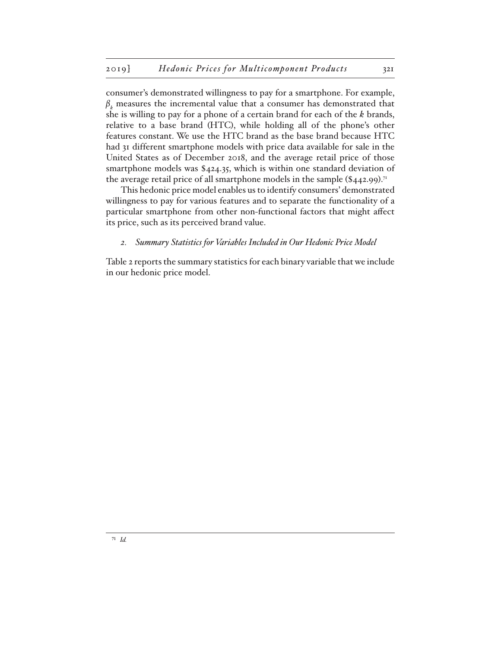consumer's demonstrated willingness to pay for a smartphone. For example,  $\beta_k$  measures the incremental value that a consumer has demonstrated that she is willing to pay for a phone of a certain brand for each of the *k* brands, relative to a base brand (HTC), while holding all of the phone's other features constant. We use the HTC brand as the base brand because HTC had 31 different smartphone models with price data available for sale in the United States as of December 2018, and the average retail price of those smartphone models was \$424.35, which is within one standard deviation of the average retail price of all smartphone models in the sample  $(\$442.99).$ <sup>71</sup>

This hedonic price model enables us to identify consumers' demonstrated willingness to pay for various features and to separate the functionality of a particular smartphone from other non-functional factors that might affect its price, such as its perceived brand value.

### *2. Summary Statistics for Variables Included in Our Hedonic Price Model*

Table 2 reports the summary statistics for each binary variable that we include in our hedonic price model.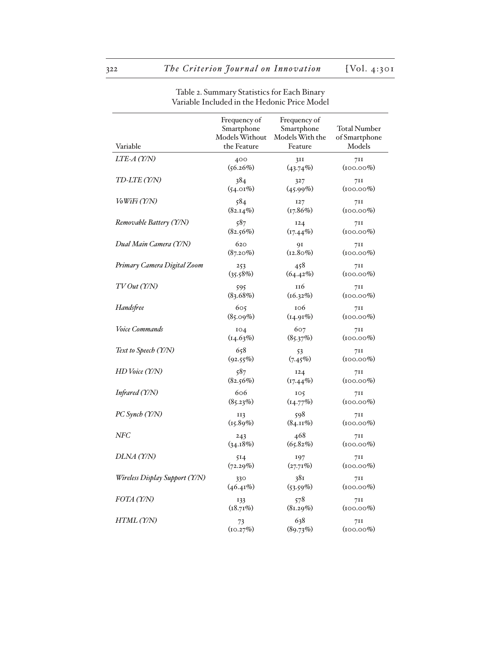| Variable                       | Frequency of<br>Smartphone<br>Models Without<br>the Feature | Frequency of<br>Smartphone<br>Models With the<br>Feature | <b>Total Number</b><br>of Smartphone<br>Models |
|--------------------------------|-------------------------------------------------------------|----------------------------------------------------------|------------------------------------------------|
| $LTE-A$ (Y/N)                  | 400                                                         | 3II                                                      | 7II                                            |
|                                | $(56.26\%)$                                                 | $(43.74\%)$                                              | $(100.00\%)$                                   |
| TD-LTE (Y/N)                   | 384                                                         | 327                                                      | 7II                                            |
|                                | $(54.01\%)$                                                 | $(45.99\%)$                                              | $(100.00\%)$                                   |
| <i>VoWiFi (Y/N)</i>            | 584                                                         | <b>127</b>                                               | 711                                            |
|                                | $(82.14\%)$                                                 | (17.86%)                                                 | $(100.00\%)$                                   |
| Removable Battery (Y/N)        | 587                                                         | 124                                                      | 711                                            |
|                                | (82.56%)                                                    | $(17.44\%)$                                              | $(100.00\%)$                                   |
| Dual Main Camera (Y/N)         | 620                                                         | 91                                                       | 7II                                            |
|                                | $(87.20\%)$                                                 | $(12.80\%)$                                              | $(100.00\%)$                                   |
| Primary Camera Digital Zoom    | 253                                                         | 458                                                      | 7II                                            |
|                                | (35.58%)                                                    | (64.42%)                                                 | $(100.00\%)$                                   |
| TVOut(T/N)                     | 595                                                         | 116                                                      | 7II                                            |
|                                | (83.68%)                                                    | (16.32%)                                                 | $(100.00\%)$                                   |
| Handsfree                      | 605                                                         | 106                                                      | 7II                                            |
|                                | $(85.09\%)$                                                 | (14.91%)                                                 | $(100.00\%)$                                   |
| Voice Commands                 | IO4                                                         | 607                                                      | 7II                                            |
|                                | (14.63%)                                                    | (85.37%)                                                 | $(100.00\%)$                                   |
| Text to Speech (Y/N)           | 658                                                         | 53                                                       | 7II                                            |
|                                | (92.55%)                                                    | (7.45%)                                                  | $(100.00\%)$                                   |
| HD Voice (Y/N)                 | 587                                                         | 124                                                      | 711                                            |
|                                | (82.56%)                                                    | $(17.44\%)$                                              | $(100.00\%)$                                   |
| Infrared (Y/N)                 | 606                                                         | IO <sub>5</sub>                                          | 7II                                            |
|                                | (85.23%)                                                    | (14.77%)                                                 | $(100.00\%)$                                   |
| PC Synch (Y/N)                 | II3                                                         | 598                                                      | 7II                                            |
|                                | (15.89%)                                                    | $(84.11\%)$                                              | $(100.00\%)$                                   |
| NFC                            | 243                                                         | 468                                                      | 711                                            |
|                                | (34.18%)                                                    | (65.82%)                                                 | $(100.00\%)$                                   |
| DLNA (Y/N)                     | 514                                                         | 197                                                      | 7II                                            |
|                                | (72.29%)                                                    | (27.71%)                                                 | $(100.00\%)$                                   |
| Wireless Display Support (Y/N) | 330                                                         | 38I                                                      | 7II                                            |
|                                | $(46.41\%)$                                                 | $(53.59\%)$                                              | $(100.00\%)$                                   |
| FOTA (Y/N)                     | 133                                                         | 578                                                      | 711                                            |
|                                | (18.71%)                                                    | (81.29%)                                                 | $(100.00\%)$                                   |
| HTML (Y/N)                     | 73                                                          | 638                                                      | 7II                                            |
|                                | (10.27%)                                                    | (89.73%)                                                 | $(100.00\%)$                                   |

Table 2. Summary Statistics for Each Binary Variable Included in the Hedonic Price Model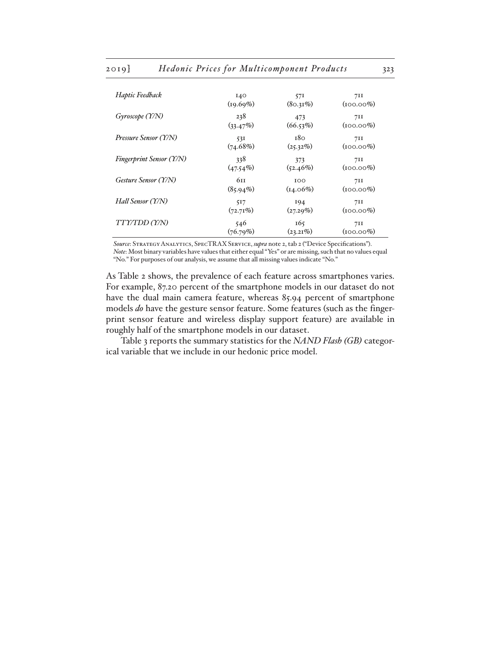| Haptic Feedback                 | I40         | 57I         | 711          |
|---------------------------------|-------------|-------------|--------------|
|                                 | (19.69%)    | $(80.31\%)$ | $(100.00\%)$ |
| Gyrscope (Y/N)                  | 238         | 473         | 711          |
|                                 | (33.47%)    | (66.53%)    | $(100.00\%)$ |
| Pressure Sensor (Y/N)           | 531         | 180         | 7II          |
|                                 | (74.68%)    | (25.32%)    | $(100.00\%)$ |
| <b>Fingerprint Sensor (Y/N)</b> | 338         | 373         | 711          |
|                                 | $(47.54\%)$ | $(52.46\%)$ | $(100.00\%)$ |
| Gesture Sensor (Y/N)            | 611         | 100         | 711          |
|                                 | $(85.94\%)$ | $(14.06\%)$ | $(100.00\%)$ |
| Hall Sensor (Y/N)               | 517         | 194         | 71I          |
|                                 | (72.71%)    | (27.29%)    | $(100.00\%)$ |
| <i>TTY/TDD (Y/N)</i>            | 546         | 165         | 711          |
|                                 | (76.79%)    | $(23.21\%)$ | $(100.00\%)$ |

*Source*: Strategy Analytics, SpecTRAX Service, *supra* note 2, tab 2 ("Device Specifications"). *Note*: Most binary variables have values that either equal "Yes" or are missing, such that no values equal

"No." For purposes of our analysis, we assume that all missing values indicate "No."

As Table 2 shows, the prevalence of each feature across smartphones varies. For example, 87.20 percent of the smartphone models in our dataset do not have the dual main camera feature, whereas 85.94 percent of smartphone models *do* have the gesture sensor feature. Some features (such as the fingerprint sensor feature and wireless display support feature) are available in roughly half of the smartphone models in our dataset.

Table 3 reports the summary statistics for the *NAND Flash (GB)* categorical variable that we include in our hedonic price model.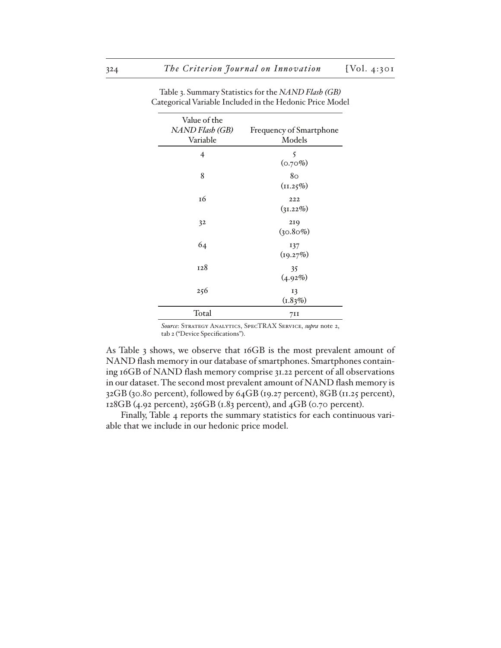| Value of the    |                         |
|-----------------|-------------------------|
| NAND Flash (GB) | Frequency of Smartphone |
| Variable        | Models                  |
| 4               | 5<br>$(0.70\%)$         |
| 8               | 80                      |
|                 | (11.25%)                |
| 16              | 222                     |
|                 | (31.22%)                |
| 32              | 219                     |
|                 | $(30.80\%)$             |
| 64              | 137                     |
|                 | (19.27%)                |
| 128             | 35                      |
|                 | (4.92%)                 |
| 256             | 13                      |
|                 | (1.83%)                 |
| Total           | 7II                     |

Table 3. Summary Statistics for the *NAND Flash (GB)* Categorical Variable Included in the Hedonic Price Model

*Source*: Strategy Analytics, SpecTRAX Service, *supra* note 2, tab 2 ("Device Specifications").

As Table 3 shows, we observe that 16GB is the most prevalent amount of NAND flash memory in our database of smartphones. Smartphones containing 16GB of NAND flash memory comprise 31.22 percent of all observations in our dataset. The second most prevalent amount of NAND flash memory is 32GB (30.80 percent), followed by 64GB (19.27 percent), 8GB (11.25 percent), 128GB (4.92 percent), 256GB (1.83 percent), and 4GB (0.70 percent).

Finally, Table 4 reports the summary statistics for each continuous variable that we include in our hedonic price model.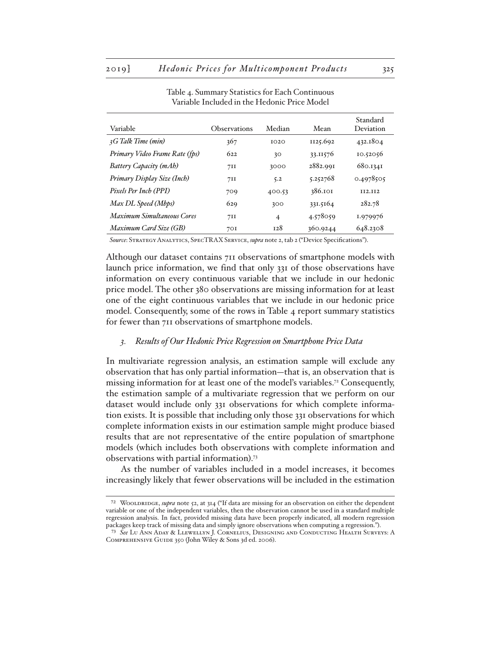| Variable                          | <b>Observations</b> | Median         | Mean     | Standard<br>Deviation |
|-----------------------------------|---------------------|----------------|----------|-----------------------|
| 3G Talk Time (min)                | 367                 | 1020           | 1125.692 | 432.1804              |
| Primary Video Frame Rate (fps)    | 622                 | 30             | 33.11576 | 10.52056              |
| Battery Capacity (mAh)            | 7II                 | 3000           | 2882.991 | 680.1341              |
| Primary Display Size (Inch)       | 7II                 | 5.2            | 5.252768 | 0.4978505             |
| Pixels Per Inch (PPI)             | 709                 | 400.53         | 386.101  | <b>II2.II2</b>        |
| Max DL Speed (Mbps)               | 629                 | 300            | 331.5164 | 282.78                |
| <b>Maximum Simultaneous Cores</b> | 7II                 | $\overline{4}$ | 4.578059 | 1.979976              |
| Maximum Card Size (GB)            | 70I                 | 128            | 360.9244 | 648.2308              |

Table 4. Summary Statistics for Each Continuous Variable Included in the Hedonic Price Model

*Source*: Strategy Analytics, SpecTRAX Service, *supra* note 2, tab 2 ("Device Specifications").

Although our dataset contains 711 observations of smartphone models with launch price information, we find that only 331 of those observations have information on every continuous variable that we include in our hedonic price model. The other 380 observations are missing information for at least one of the eight continuous variables that we include in our hedonic price model. Consequently, some of the rows in Table  $4$  report summary statistics for fewer than 711 observations of smartphone models.

### *3. Results of Our Hedonic Price Regression on Smartphone Price Data*

In multivariate regression analysis, an estimation sample will exclude any observation that has only partial information—that is, an observation that is missing information for at least one of the model's variables.72 Consequently, the estimation sample of a multivariate regression that we perform on our dataset would include only 331 observations for which complete information exists. It is possible that including only those 331 observations for which complete information exists in our estimation sample might produce biased results that are not representative of the entire population of smartphone models (which includes both observations with complete information and observations with partial information).73

As the number of variables included in a model increases, it becomes increasingly likely that fewer observations will be included in the estimation

<sup>72</sup> Wooldridge, *supra* note 52, at 314 ("If data are missing for an observation on either the dependent variable or one of the independent variables, then the observation cannot be used in a standard multiple regression analysis. In fact, provided missing data have been properly indicated, all modern regression packages keep track of missing data and simply ignore observations when computing a regression.").

<sup>73</sup> *See* Lu Ann Aday & Llewellyn J. Cornelius, Designing and Conducting Health Surveys: A COMPREHENSIVE GUIDE 350 (John Wiley & Sons 3d ed. 2006).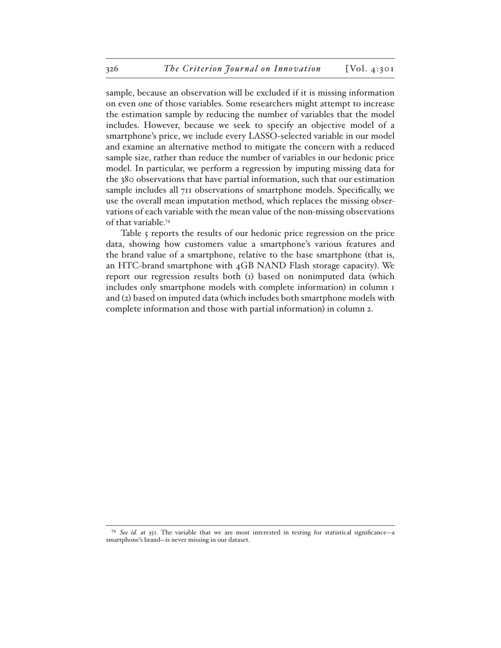sample, because an observation will be excluded if it is missing information on even one of those variables. Some researchers might attempt to increase the estimation sample by reducing the number of variables that the model includes. However, because we seek to specify an objective model of a smartphone's price, we include every LASSO-selected variable in our model and examine an alternative method to mitigate the concern with a reduced sample size, rather than reduce the number of variables in our hedonic price model. In particular, we perform a regression by imputing missing data for the 380 observations that have partial information, such that our estimation sample includes all 711 observations of smartphone models. Specifically, we use the overall mean imputation method, which replaces the missing observations of each variable with the mean value of the non-missing observations of that variable.74

Table 5 reports the results of our hedonic price regression on the price data, showing how customers value a smartphone's various features and the brand value of a smartphone, relative to the base smartphone (that is, an HTC-brand smartphone with 4GB NAND Flash storage capacity). We report our regression results both (1) based on nonimputed data (which includes only smartphone models with complete information) in column 1 and (2) based on imputed data (which includes both smartphone models with complete information and those with partial information) in column 2.

<sup>74</sup> *See id.* at 351. The variable that we are most interested in testing for statistical significance—a smartphone's brand—is never missing in our dataset.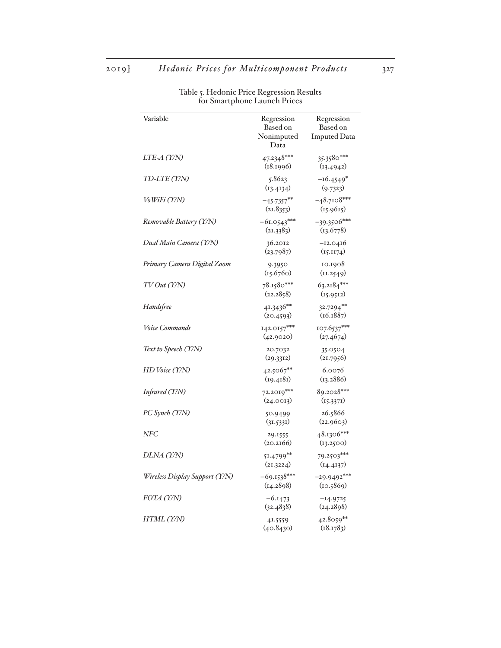| Variable                       | Regression<br>Based on<br>Nonimputed<br>Data | Regression<br>Based on<br><b>Imputed Data</b> |
|--------------------------------|----------------------------------------------|-----------------------------------------------|
| LTE-A (Y/N)                    | 47.2348***<br>(18.1996)                      | 35.3580***<br>(13.4942)                       |
| TD-LTE (Y/N)                   | 5.8623<br>(13.4134)                          | $-16.4549*$<br>(9.7323)                       |
| VoWiFi (Y/N)                   | $-45.7357***$<br>(21.8353)                   | $-48.7108***$<br>(15.9615)                    |
| Removable Battery (Y/N)        | $-61.0543***$<br>(21.3383)                   | $-39.3506***$<br>(13.6778)                    |
| Dual Main Camera (Y/N)         | 36.2012<br>(23.7987)                         | $-12.0416$<br>(15.1174)                       |
| Primary Camera Digital Zoom    | 9.3950<br>(15.6760)                          | 10.1908<br>(11.2549)                          |
| TV Out (Y/N)                   | 78.1580***<br>(22.2858)                      | $63.2184***$<br>(15.9512)                     |
| Handsfree                      | 41.3436**<br>(20.4593)                       | $32.7294***$<br>(16.1887)                     |
| Voice Commands                 | 142.0157***<br>(42.9020)                     | 107.6537***<br>(27.4674)                      |
| Text to Speech (Y/N)           | 20.7032<br>(29.3312)                         | 35.0504<br>(21.7956)                          |
| HD Voice (Y/N)                 | 42.5067**<br>(19.4181)                       | 6.0076<br>(13.2886)                           |
| Infrared (Y/N)                 | $72.2019***$<br>(24.0013)                    | 89.2028***<br>(15.3371)                       |
| PC Synch (Y/N)                 | 50.9499<br>(31.5331)                         | 26.5866<br>(22.9603)                          |
| <b>NFC</b>                     | 29.1555<br>(20.2166)                         | 48.1306***<br>(13.2500)                       |
| DLNA (Y/N)                     | $51.4799$ <sup>**</sup><br>(21.3224)         | 79.2503***<br>(14.4137)                       |
| Wireless Display Support (Y/N) | $-69.1538***$<br>(14.2898)                   | $-29.9492***$<br>(10.5869)                    |
| FOTA (Y/N)                     | $-6.1473$<br>(32.4838)                       | $-14.9725$<br>(24.2898)                       |
| HTML (Y/N)                     | 41.5559<br>(40.8430)                         | 42.8059**<br>(18.1783)                        |

Table 5. Hedonic Price Regression Results for Smartphone Launch Prices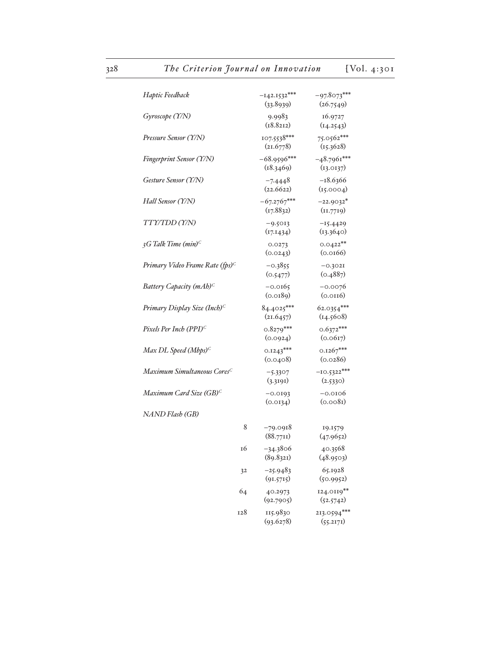| Haptic Feedback                             | $-142.1532***$<br>(33.8939) | $-97.8073***$<br>(26.7549) |
|---------------------------------------------|-----------------------------|----------------------------|
| Gyroscope (Y/N)                             | 9.9983<br>(18.8212)         | 16.9727<br>(14.2543)       |
| Pressure Sensor (Y/N)                       | 107.5538***<br>(21.6778)    | 75.0562***<br>(15.3628)    |
| Fingerprint Sensor (Y/N)                    | $-68.9596***$<br>(18.3469)  | $-48.7961***$<br>(13.0137) |
| Gesture Sensor (Y/N)                        | $-7.4448$<br>(22.6622)      | $-18.6366$<br>(i5.0004)    |
| Hall Sensor (Y/N)                           | $-67.2767***$<br>(17.8832)  | $-22.9032*$<br>(11.7719)   |
| TTY/TDD (Y/N)                               | $-9.5013$<br>(17.1434)      | $-15.4429$<br>(13.3640)    |
| 3G Talk Time $(min)^C$                      | 0.0273<br>(0.0243)          | $0.0422**$<br>(0.0166)     |
| Primary Video Frame Rate (fps) <sup>C</sup> | $-0.3855$<br>(0.5477)       | $-0.3021$<br>(0.4887)      |
| Battery Capacity (mAh) <sup>C</sup>         | $-0.0165$<br>(0.0189)       | $-0.0076$<br>(0.0116)      |
| Primary Display Size (Inch) <sup>C</sup>    | 84.4025***<br>(21.6457)     | 62.0354***<br>(14.5608)    |
| Pixels Per Inch (PPI) <sup>C</sup>          | $0.8279***$<br>(0.0924)     | $0.6372***$<br>(0.0617)    |
| Max DL Speed (Mbps) <sup>C</sup>            | $0.1243***$<br>(0.0408)     | $0.1267***$<br>(0.0286)    |
| Maximum Simultaneous Cores <sup>C</sup>     | $-5.3307$<br>(3.3191)       | $-10.5322***$<br>(2.5330)  |
| Maximum Card Size (GB) <sup>C</sup>         | $-0.0193$<br>(0.0134)       | $-0.0106$<br>(0.0081)      |
| NAND Flash (GB)                             |                             |                            |
| 8                                           | $-79.0918$<br>(88.771)      | 19.1579<br>(47.9652)       |
| 16                                          | $-34.3806$<br>(89.8321)     | 40.3568<br>(48.9503)       |
| 32                                          | $-25.9483$<br>(91.5715)     | 65.1928<br>(50.9952)       |
| 64                                          | 40.2973<br>(92.7905)        | 124.0119**<br>(52.5742)    |
| 128                                         | 115.9830<br>(93.6278)       | 213.0594***<br>(55.2171)   |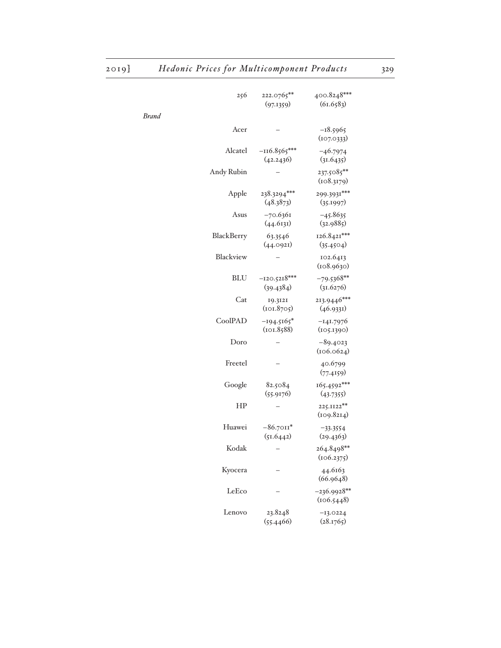| 256        | 222.0765**<br>(97.1359)     | 400.8248***<br>(61.6583)    |
|------------|-----------------------------|-----------------------------|
| Brand      |                             |                             |
| Acer       |                             | $-18.5965$<br>(107.0333)    |
| Alcatel    | $-116.8565***$<br>(42.2436) | $-46.7974$<br>(31.6435)     |
| Andy Rubin |                             | 237.5085**<br>(108.3179)    |
| Apple      | 238.3294***<br>(48.3873)    | 299.3931***<br>(35.1997)    |
| Asus       | $-70.6361$<br>(44.6131)     | $-45.8635$<br>(32.9885)     |
| BlackBerry | 63.3546<br>(44.0921)        | 126.8421***<br>(35.4504)    |
| Blackview  |                             | 102.6413<br>(108.9630)      |
| <b>BLU</b> | $-120.5218***$<br>(39.4384) | $-79.5368**$<br>(31.6276)   |
| Cat        | 19.3121<br>(101.8705)       | 213.9446***<br>(46.9331)    |
| CoolPAD    | $-194.5165*$<br>(101.8588)  | $-141.7976$<br>(105.1390)   |
| Doro       |                             | $-89.4023$<br>(106.0624)    |
| Freetel    |                             | 40.6799<br>(77.4159)        |
| Google     | 82.5084<br>(55.9176)        | $165.4592***$<br>(43.7355)  |
| HP         |                             | 225.1122**<br>(109.8214)    |
| Huawei     | $-86.7011*$<br>(51.6442)    | $-33.3554$<br>(29.4363)     |
| Kodak      |                             | 264.8498**<br>(106.2375)    |
| Kyocera    |                             | 44.6163<br>(66.9648)        |
| LeEco      |                             | $-236.9928**$<br>(106.5448) |
| Lenovo     | 23.8248<br>(55.4466)        | $-13.0224$<br>(28.1765)     |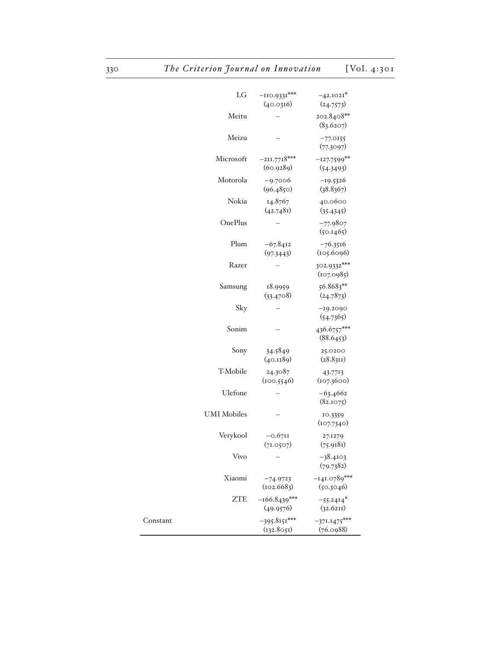| LG                 | $-110.9331***$<br>(40.0316)  | $-42.1021*$<br>(24.7573)    |
|--------------------|------------------------------|-----------------------------|
| Meitu              |                              | 202.8408**<br>(83.6207)     |
| Meizu              |                              | $-77.0155$<br>(77.3097)     |
| Microsoft          | $-211.7718***$<br>(60.9289)  | $-127.7599**$<br>(54.3493)  |
| Motorola           | $-9.7006$<br>(96.4850)       | $-19.5326$<br>(38.8367)     |
| Nokia              | 14.8767<br>(42.7481)         | 40.0600<br>(35.4345)        |
| OnePlus            |                              | $-77.9807$<br>(50.1465)     |
| Plum               | $-67.8412$<br>(97.3443)      | $-76.3516$<br>(105.6096)    |
| Razer              |                              | 302.9332***<br>(107.0985)   |
| Samsung            | 18.9959<br>(33.4708)         | 56.8683**<br>(24.7873)      |
| Sky                |                              | $-19.2090$<br>(54.7365)     |
| Sonim              |                              | 436.6757***<br>(88.6453)    |
| Sony               | 34.5849<br>(40.1189)         | 25.0200<br>(28.83I)         |
| T-Mobile           | 24.3087<br>(100.5546)        | 43.7713<br>(107.3600)       |
| Ulefone            |                              | $-63.4662$<br>(82.1075)     |
| <b>UMI</b> Mobiles |                              | 10.3359<br>(107.7340)       |
| Verykool           | $-0.6711$<br>(71.0507)       | 27.1279<br>(75.9181)        |
| Vivo               |                              | $-38.4103$<br>(79.7382)     |
| Xiaomi             | $-74.9723$<br>(102.6683)     | $-141.0789***$<br>(50.3046) |
| <b>ZTE</b>         | $-166.8439***$<br>(49.9576)  | $-55.2414*$<br>(32.6211)    |
| Constant           | $-395.8151***$<br>(132.8051) | $-371.1475***$<br>(76.0988) |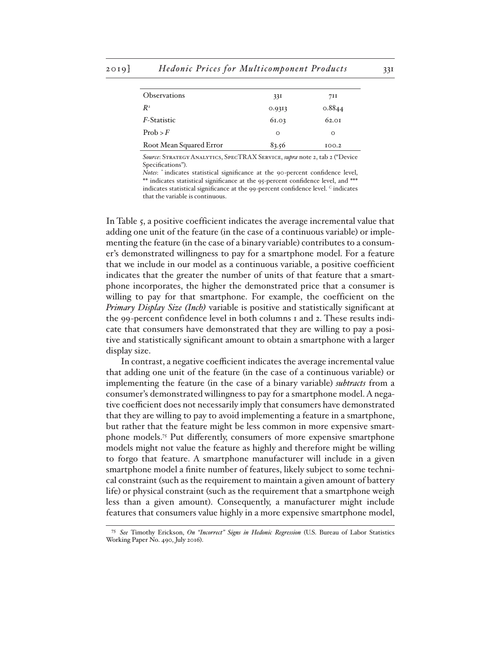| <b>Observations</b>     | 33I      | 711    |
|-------------------------|----------|--------|
| $R^2$                   | 0.9313   | 0.8844 |
| <i>F</i> -Statistic     | 61.03    | 62.01  |
| Prob > F                | $\Omega$ | O      |
| Root Mean Squared Error | 83.56    | 100.2  |
|                         |          |        |

*Source*: Strategy Analytics, SpecTRAX Service, *supra* note 2, tab 2 ("Device Specifications").

*Notes*: \* indicates statistical significance at the 90-percent confidence level, \*\* indicates statistical significance at the 95-percent confidence level, and \*\*\* indicates statistical significance at the 99-percent confidence level. *C* indicates that the variable is continuous.

In Table 5, a positive coefficient indicates the average incremental value that adding one unit of the feature (in the case of a continuous variable) or implementing the feature (in the case of a binary variable) contributes to a consumer's demonstrated willingness to pay for a smartphone model. For a feature that we include in our model as a continuous variable, a positive coefficient indicates that the greater the number of units of that feature that a smartphone incorporates, the higher the demonstrated price that a consumer is willing to pay for that smartphone. For example, the coefficient on the *Primary Display Size (Inch)* variable is positive and statistically significant at the 99-percent confidence level in both columns 1 and 2. These results indicate that consumers have demonstrated that they are willing to pay a positive and statistically significant amount to obtain a smartphone with a larger display size.

In contrast, a negative coefficient indicates the average incremental value that adding one unit of the feature (in the case of a continuous variable) or implementing the feature (in the case of a binary variable) *subtracts* from a consumer's demonstrated willingness to pay for a smartphone model. A negative coefficient does not necessarily imply that consumers have demonstrated that they are willing to pay to avoid implementing a feature in a smartphone, but rather that the feature might be less common in more expensive smartphone models.75 Put differently, consumers of more expensive smartphone models might not value the feature as highly and therefore might be willing to forgo that feature. A smartphone manufacturer will include in a given smartphone model a finite number of features, likely subject to some technical constraint (such as the requirement to maintain a given amount of battery life) or physical constraint (such as the requirement that a smartphone weigh less than a given amount). Consequently, a manufacturer might include features that consumers value highly in a more expensive smartphone model,

<sup>75</sup> *See* Timothy Erickson, *On "Incorrect" Signs in Hedonic Regression* (U.S. Bureau of Labor Statistics Working Paper No. 490, July 2016).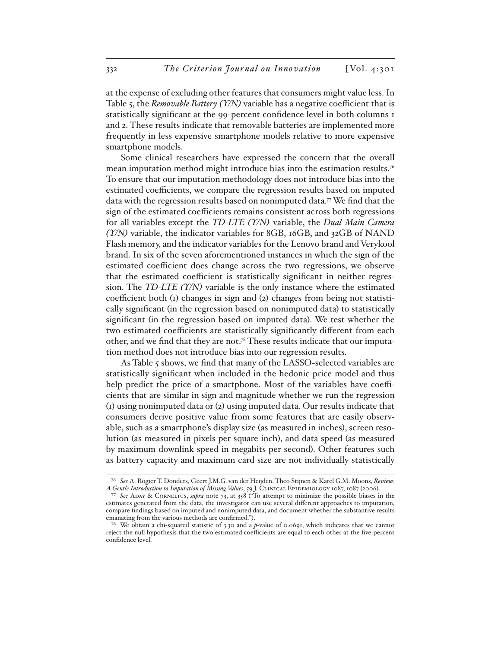at the expense of excluding other features that consumers might value less. In Table 5, the *Removable Battery (Y/N)* variable has a negative coefficient that is statistically significant at the 99-percent confidence level in both columns 1 and 2. These results indicate that removable batteries are implemented more frequently in less expensive smartphone models relative to more expensive smartphone models.

Some clinical researchers have expressed the concern that the overall mean imputation method might introduce bias into the estimation results.76 To ensure that our imputation methodology does not introduce bias into the estimated coefficients, we compare the regression results based on imputed data with the regression results based on nonimputed data.77 We find that the sign of the estimated coefficients remains consistent across both regressions for all variables except the *TD-LTE (Y/N)* variable, the *Dual Main Camera (Y/N)* variable, the indicator variables for 8GB, 16GB, and 32GB of NAND Flash memory, and the indicator variables for the Lenovo brand and Verykool brand. In six of the seven aforementioned instances in which the sign of the estimated coefficient does change across the two regressions, we observe that the estimated coefficient is statistically significant in neither regression. The *TD-LTE (Y/N)* variable is the only instance where the estimated coefficient both (1) changes in sign and (2) changes from being not statistically significant (in the regression based on nonimputed data) to statistically significant (in the regression based on imputed data). We test whether the two estimated coefficients are statistically significantly different from each other, and we find that they are not.<sup>78</sup> These results indicate that our imputation method does not introduce bias into our regression results.

As Table 5 shows, we find that many of the LASSO-selected variables are statistically significant when included in the hedonic price model and thus help predict the price of a smartphone. Most of the variables have coefficients that are similar in sign and magnitude whether we run the regression (1) using nonimputed data or (2) using imputed data. Our results indicate that consumers derive positive value from some features that are easily observable, such as a smartphone's display size (as measured in inches), screen resolution (as measured in pixels per square inch), and data speed (as measured by maximum downlink speed in megabits per second). Other features such as battery capacity and maximum card size are not individually statistically

<sup>76</sup> *See* A. Rogier T. Donders, Geert J.M.G. van der Heijden, Theo Stijnen & Karel G.M. Moons, *Review: A Gentle Introduction to Imputation of Missing Values*, 59 J. Clinical Epidemiology 1087, 1087 (2006).

<sup>77</sup> *See* Aday & Cornelius, *supra* note 73, at 358 ("To attempt to minimize the possible biases in the estimates generated from the data, the investigator can use several different approaches to imputation, compare findings based on imputed and nonimputed data, and document whether the substantive results emanating from the various methods are confirmed.").

<sup>78</sup> We obtain a chi-squared statistic of 3.30 and a *p*-value of 0.0691, which indicates that we cannot reject the null hypothesis that the two estimated coefficients are equal to each other at the five-percent confidence level.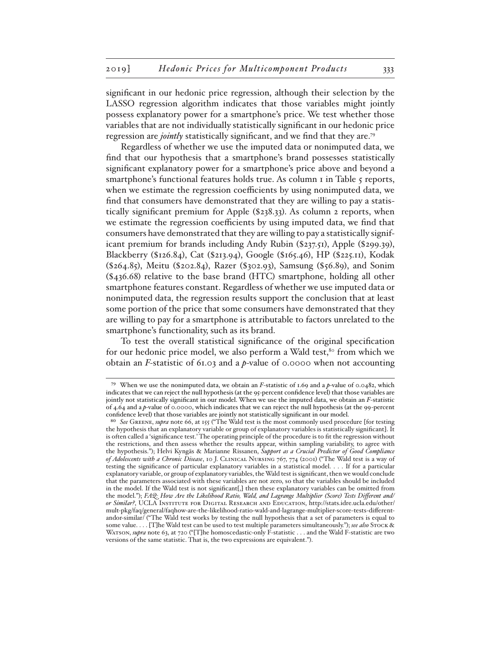significant in our hedonic price regression, although their selection by the LASSO regression algorithm indicates that those variables might jointly possess explanatory power for a smartphone's price. We test whether those variables that are not individually statistically significant in our hedonic price regression are *jointly* statistically significant, and we find that they are.79

Regardless of whether we use the imputed data or nonimputed data, we find that our hypothesis that a smartphone's brand possesses statistically significant explanatory power for a smartphone's price above and beyond a smartphone's functional features holds true. As column I in Table 5 reports, when we estimate the regression coefficients by using nonimputed data, we find that consumers have demonstrated that they are willing to pay a statistically significant premium for Apple (\$238.33). As column 2 reports, when we estimate the regression coefficients by using imputed data, we find that consumers have demonstrated that they are willing to pay a statistically significant premium for brands including Andy Rubin (\$237.51), Apple (\$299.39), Blackberry (\$126.84), Cat (\$213.94), Google (\$165.46), HP (\$225.11), Kodak (\$264.85), Meitu (\$202.84), Razer (\$302.93), Samsung (\$56.89), and Sonim (\$436.68) relative to the base brand (HTC) smartphone, holding all other smartphone features constant. Regardless of whether we use imputed data or nonimputed data, the regression results support the conclusion that at least some portion of the price that some consumers have demonstrated that they are willing to pay for a smartphone is attributable to factors unrelated to the smartphone's functionality, such as its brand.

To test the overall statistical significance of the original specification for our hedonic price model, we also perform a Wald test,<sup>80</sup> from which we obtain an *F-*statistic of 61.03 and a *p*-value of 0.0000 when not accounting

<sup>79</sup> When we use the nonimputed data, we obtain an *F*-statistic of 1.69 and a *p*-value of 0.0482, which indicates that we can reject the null hypothesis (at the 95-percent confidence level) that those variables are jointly not statistically significant in our model. When we use the imputed data, we obtain an *F*-statistic of 4.64 and a *p*-value of 0.0000, which indicates that we can reject the null hypothesis (at the 99-percent confidence level) that those variables are jointly not statistically significant in our model.

<sup>80</sup> *See* Greene, *supra* note 66, at 155 ("The Wald test is the most commonly used procedure [for testing the hypothesis that an explanatory variable or group of explanatory variables is statistically significant]. It is often called a 'significance test.' The operating principle of the procedure is to fit the regression without the restrictions, and then assess whether the results appear, within sampling variability, to agree with the hypothesis."); Helvi Kyngäs & Marianne Rissanen, *Support as a Crucial Predictor of Good Compliance of Adolescents with a Chronic Disease*, 10 J. Clinical Nursing 767, 774 (2001) ("The Wald test is a way of testing the significance of particular explanatory variables in a statistical model. . . . If for a particular explanatory variable, or group of explanatory variables, the Wald test is significant, then we would conclude that the parameters associated with these variables are not zero, so that the variables should be included in the model. If the Wald test is not significant[,] then these explanatory variables can be omitted from the model."); *FAQ: How Are the Likelihood Ratio, Wald, and Lagrange Multiplier (Score) Tests Different and/ or Similar?*, UCLA Institute for Digital Research and Education, http://stats.idre.ucla.edu/other/ mult-pkg/faq/general/faqhow-are-the-likelihood-ratio-wald-and-lagrange-multiplier-score-tests-differentandor-similar/ ("The Wald test works by testing the null hypothesis that a set of parameters is equal to some value. . . . [T]he Wald test can be used to test multiple parameters simultaneously."); *see also* Stock & WATSON, *supra* note 63, at 720 ("[T]he homoscedastic-only F-statistic . . . and the Wald F-statistic are two versions of the same statistic. That is, the two expressions are equivalent.").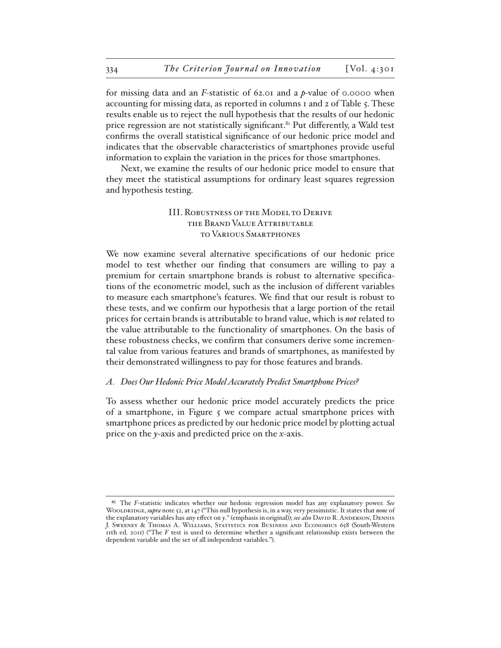for missing data and an *F-*statistic of 62.01 and a *p*-value of 0.0000 when accounting for missing data, as reported in columns 1 and 2 of Table 5. These results enable us to reject the null hypothesis that the results of our hedonic price regression are not statistically significant.<sup>81</sup> Put differently, a Wald test confirms the overall statistical significance of our hedonic price model and indicates that the observable characteristics of smartphones provide useful information to explain the variation in the prices for those smartphones.

Next, we examine the results of our hedonic price model to ensure that they meet the statistical assumptions for ordinary least squares regression and hypothesis testing.

## III. Robustness of the Model to Derive the Brand Value Attributable to Various Smartphones

We now examine several alternative specifications of our hedonic price model to test whether our finding that consumers are willing to pay a premium for certain smartphone brands is robust to alternative specifications of the econometric model, such as the inclusion of different variables to measure each smartphone's features. We find that our result is robust to these tests, and we confirm our hypothesis that a large portion of the retail prices for certain brands is attributable to brand value, which is *not* related to the value attributable to the functionality of smartphones. On the basis of these robustness checks, we confirm that consumers derive some incremental value from various features and brands of smartphones, as manifested by their demonstrated willingness to pay for those features and brands.

#### *A. Does Our Hedonic Price Model Accurately Predict Smartphone Prices?*

To assess whether our hedonic price model accurately predicts the price of a smartphone, in Figure  $\zeta$  we compare actual smartphone prices with smartphone prices as predicted by our hedonic price model by plotting actual price on the *y*-axis and predicted price on the *x*-axis.

<sup>81</sup> The *F*-statistic indicates whether our hedonic regression model has any explanatory power. *See* Wooldridge, *supra* note 52, at 147 ("This null hypothesis is, in a way, very pessimistic. It states that *none* of the explanatory variables has any effect on *y*." (emphasis in original)); *see also* David R. Anderson, Dennis J. Sweeney & Thomas A. Williams, Statistics for Business and Economics 658 (South-Western 11th ed. 2011) ("The *F* test is used to determine whether a significant relationship exists between the dependent variable and the set of all independent variables.").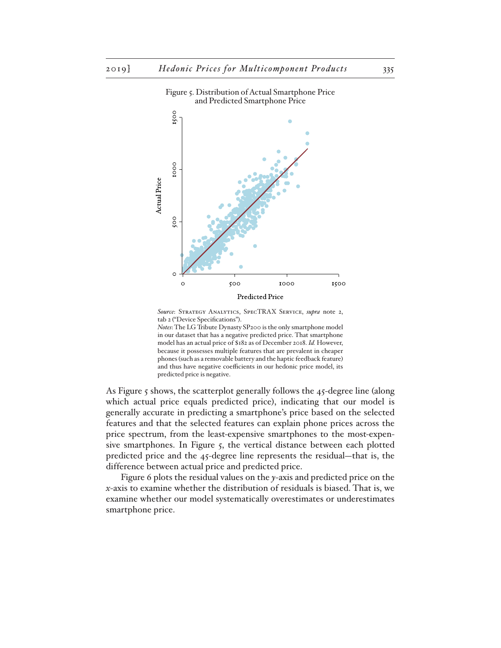

Figure 5. Distribution of Actual Smartphone Price and Predicted Smartphone Price

*Source*: Strategy Analytics, SpecTRAX Service, *supra* note 2, tab 2 ("Device Specifications").

*Notes*: The LG Tribute Dynasty SP200 is the only smartphone model in our dataset that has a negative predicted price. That smartphone model has an actual price of \$182 as of December 2018. *Id.* However, because it possesses multiple features that are prevalent in cheaper phones (such as a removable battery and the haptic feedback feature) and thus have negative coefficients in our hedonic price model, its predicted price is negative.

As Figure 5 shows, the scatterplot generally follows the 45-degree line (along which actual price equals predicted price), indicating that our model is generally accurate in predicting a smartphone's price based on the selected features and that the selected features can explain phone prices across the price spectrum, from the least-expensive smartphones to the most-expensive smartphones. In Figure 5, the vertical distance between each plotted predicted price and the 45-degree line represents the residual—that is, the difference between actual price and predicted price.

Figure 6 plots the residual values on the *y*-axis and predicted price on the *x*-axis to examine whether the distribution of residuals is biased. That is, we examine whether our model systematically overestimates or underestimates smartphone price.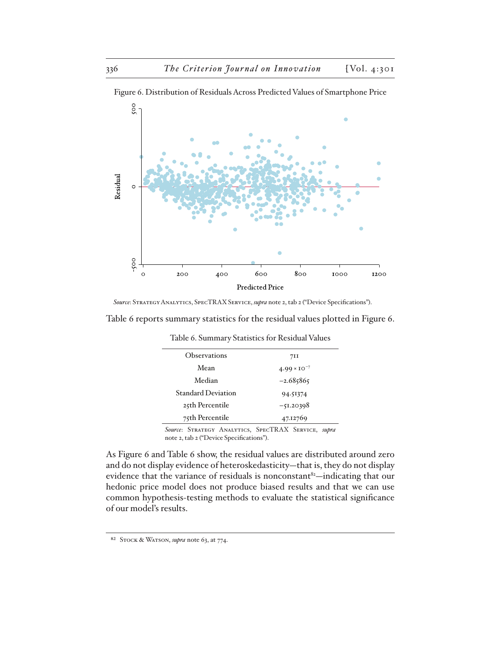

Figure 6. Distribution of Residuals Across Predicted Values of Smartphone Price

*Source*: Strategy Analytics, SpecTRAX Service, *supra* note 2, tab 2 ("Device Specifications").

| Table 6 reports summary statistics for the residual values plotted in Figure 6. |  |  |  |
|---------------------------------------------------------------------------------|--|--|--|
|---------------------------------------------------------------------------------|--|--|--|

| <b>Observations</b>                                                                           | 71I                   |
|-----------------------------------------------------------------------------------------------|-----------------------|
| Mean                                                                                          | $4.99 \times 10^{-7}$ |
| Median                                                                                        | $-2.685865$           |
| <b>Standard Deviation</b>                                                                     | 94.51374              |
| 25th Percentile                                                                               | $-51.20398$           |
| 75th Percentile                                                                               | 47.12769              |
| Source: STRATEGY ANALYTICS, SPECTRAX SERVICE, supra<br>note a tab a ("Dorigo Specifications") |                       |

Table 6. Summary Statistics for Residual Values

note 2, tab 2 ("Device Specifications").

As Figure 6 and Table 6 show, the residual values are distributed around zero and do not display evidence of heteroskedasticity—that is, they do not display evidence that the variance of residuals is nonconstant<sup>82</sup>—indicating that our hedonic price model does not produce biased results and that we can use common hypothesis-testing methods to evaluate the statistical significance of our model's results.

<sup>82</sup> Stock & Watson, *supra* note 63, at 774.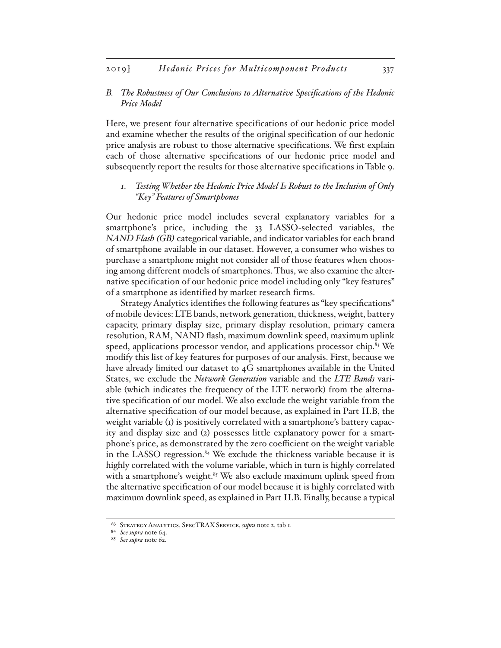### *B. The Robustness of Our Conclusions to Alternative Specifications of the Hedonic Price Model*

Here, we present four alternative specifications of our hedonic price model and examine whether the results of the original specification of our hedonic price analysis are robust to those alternative specifications. We first explain each of those alternative specifications of our hedonic price model and subsequently report the results for those alternative specifications in Table 9.

### *1. Testing Whether the Hedonic Price Model Is Robust to the Inclusion of Only "Key" Features of Smartphones*

Our hedonic price model includes several explanatory variables for a smartphone's price, including the 33 LASSO-selected variables, the *NAND Flash (GB)* categorical variable, and indicator variables for each brand of smartphone available in our dataset. However, a consumer who wishes to purchase a smartphone might not consider all of those features when choosing among different models of smartphones. Thus, we also examine the alternative specification of our hedonic price model including only "key features" of a smartphone as identified by market research firms.

Strategy Analytics identifies the following features as "key specifications" of mobile devices: LTE bands, network generation, thickness, weight, battery capacity, primary display size, primary display resolution, primary camera resolution, RAM, NAND flash, maximum downlink speed, maximum uplink speed, applications processor vendor, and applications processor chip.<sup>83</sup> We modify this list of key features for purposes of our analysis. First, because we have already limited our dataset to 4G smartphones available in the United States, we exclude the *Network Generation* variable and the *LTE Bands* variable (which indicates the frequency of the LTE network) from the alternative specification of our model. We also exclude the weight variable from the alternative specification of our model because, as explained in Part II.B, the weight variable (1) is positively correlated with a smartphone's battery capacity and display size and (2) possesses little explanatory power for a smartphone's price, as demonstrated by the zero coefficient on the weight variable in the LASSO regression.<sup>84</sup> We exclude the thickness variable because it is highly correlated with the volume variable, which in turn is highly correlated with a smartphone's weight. $85$  We also exclude maximum uplink speed from the alternative specification of our model because it is highly correlated with maximum downlink speed, as explained in Part II.B. Finally, because a typical

<sup>83</sup> Strategy Analytics, SpecTRAX Service, *supra* note 2, tab 1.

<sup>84</sup> *See supra* note 64.

<sup>85</sup> *See supra* note 62.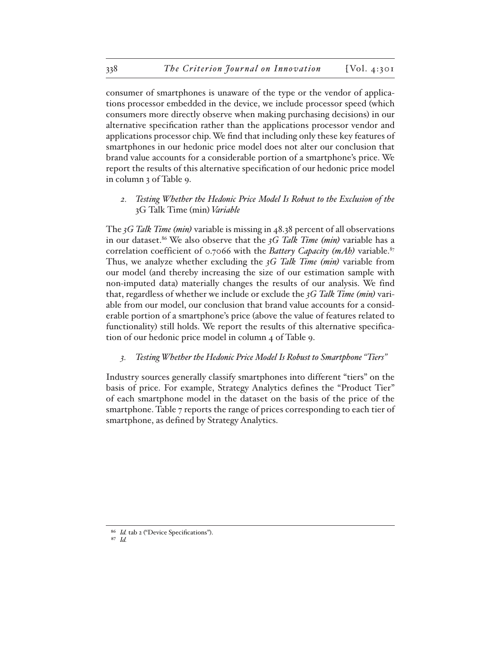consumer of smartphones is unaware of the type or the vendor of applications processor embedded in the device, we include processor speed (which consumers more directly observe when making purchasing decisions) in our alternative specification rather than the applications processor vendor and applications processor chip. We find that including only these key features of smartphones in our hedonic price model does not alter our conclusion that brand value accounts for a considerable portion of a smartphone's price. We report the results of this alternative specification of our hedonic price model in column 3 of Table 9.

*2. Testing Whether the Hedonic Price Model Is Robust to the Exclusion of the*  3G Talk Time (min) *Variable*

The *3G Talk Time (min)* variable is missing in 48.38 percent of all observations in our dataset.86 We also observe that the *3G Talk Time (min)* variable has a correlation coefficient of 0.7066 with the *Battery Capacity (mAh)* variable.<sup>87</sup> Thus, we analyze whether excluding the *3G Talk Time (min)* variable from our model (and thereby increasing the size of our estimation sample with non-imputed data) materially changes the results of our analysis. We find that, regardless of whether we include or exclude the *3G Talk Time (min)* variable from our model, our conclusion that brand value accounts for a considerable portion of a smartphone's price (above the value of features related to functionality) still holds. We report the results of this alternative specification of our hedonic price model in column 4 of Table 9.

*3. Testing Whether the Hedonic Price Model Is Robust to Smartphone "Tiers"*

Industry sources generally classify smartphones into different "tiers" on the basis of price. For example, Strategy Analytics defines the "Product Tier" of each smartphone model in the dataset on the basis of the price of the smartphone. Table 7 reports the range of prices corresponding to each tier of smartphone, as defined by Strategy Analytics.

<sup>86</sup> *Id.* tab 2 ("Device Specifications").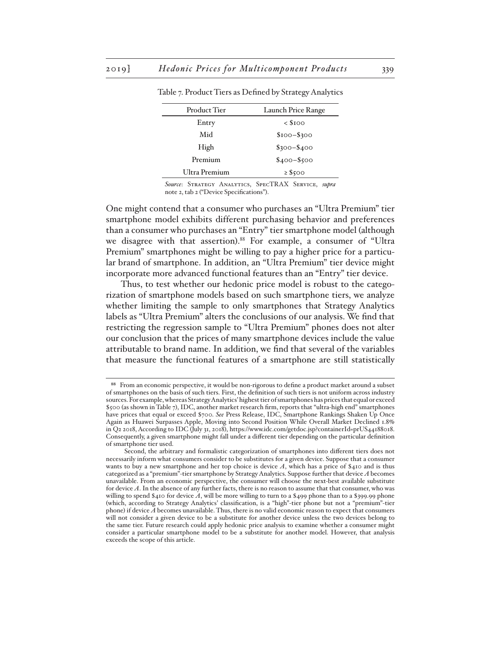| Product Tier  | Launch Price Range         |
|---------------|----------------------------|
| Entry         | $\langle$ S <sub>100</sub> |
| Mid           | $$100 - $300$              |
| High          | $$300 - $400$              |
| Premium       | $$400 - $500$              |
| Ultra Premium | $\geq$ \$500               |

Table 7. Product Tiers as Defined by Strategy Analytics

*Source*: Strategy Analytics, SpecTRAX Service, *supra* note 2, tab 2 ("Device Specifications").

One might contend that a consumer who purchases an "Ultra Premium" tier smartphone model exhibits different purchasing behavior and preferences than a consumer who purchases an "Entry" tier smartphone model (although we disagree with that assertion).<sup>88</sup> For example, a consumer of "Ultra Premium" smartphones might be willing to pay a higher price for a particular brand of smartphone. In addition, an "Ultra Premium" tier device might incorporate more advanced functional features than an "Entry" tier device.

Thus, to test whether our hedonic price model is robust to the categorization of smartphone models based on such smartphone tiers, we analyze whether limiting the sample to only smartphones that Strategy Analytics labels as "Ultra Premium" alters the conclusions of our analysis. We find that restricting the regression sample to "Ultra Premium" phones does not alter our conclusion that the prices of many smartphone devices include the value attributable to brand name. In addition, we find that several of the variables that measure the functional features of a smartphone are still statistically

<sup>88</sup> From an economic perspective, it would be non-rigorous to define a product market around a subset of smartphones on the basis of such tiers. First, the definition of such tiers is not uniform across industry sources. For example, whereas Strategy Analytics' highest tier of smartphones has prices that equal or exceed \$500 (as shown in Table 7), IDC, another market research firm, reports that "ultra-high end" smartphones have prices that equal or exceed \$700. *See* Press Release, IDC, Smartphone Rankings Shaken Up Once Again as Huawei Surpasses Apple, Moving into Second Position While Overall Market Declined 1.8% in Q2 2018, According to IDC (July 31, 2018), https://www.idc.com/getdoc.jsp?containerId=prUS44188018. Consequently, a given smartphone might fall under a different tier depending on the particular definition of smartphone tier used.

Second, the arbitrary and formalistic categorization of smartphones into different tiers does not necessarily inform what consumers consider to be substitutes for a given device. Suppose that a consumer wants to buy a new smartphone and her top choice is device *A*, which has a price of \$410 and is thus categorized as a "premium"-tier smartphone by Strategy Analytics. Suppose further that device *A* becomes unavailable. From an economic perspective, the consumer will choose the next-best available substitute for device *A*. In the absence of any further facts, there is no reason to assume that that consumer, who was willing to spend \$410 for device *A*, will be more willing to turn to a \$499 phone than to a \$399.99 phone (which, according to Strategy Analytics' classification, is a "high"-tier phone but not a "premium"-tier phone) if device *A* becomes unavailable. Thus, there is no valid economic reason to expect that consumers will not consider a given device to be a substitute for another device unless the two devices belong to the same tier. Future research could apply hedonic price analysis to examine whether a consumer might consider a particular smartphone model to be a substitute for another model. However, that analysis exceeds the scope of this article.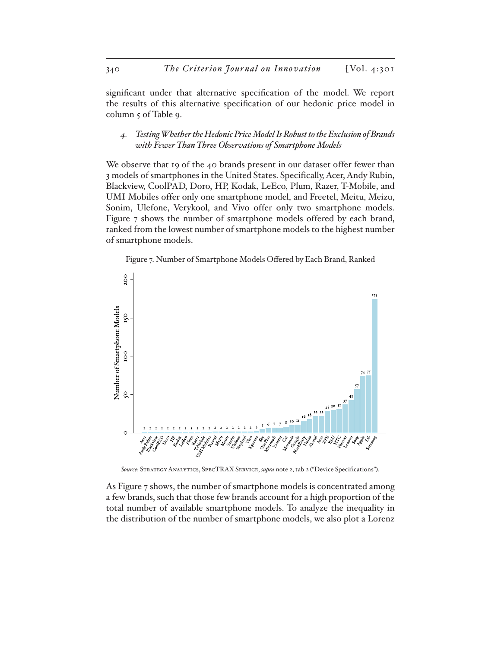significant under that alternative specification of the model. We report the results of this alternative specification of our hedonic price model in column 5 of Table 9.

*4. Testing Whether the Hedonic Price Model Is Robust to the Exclusion of Brands with Fewer Than Three Observations of Smartphone Models*

We observe that 19 of the 40 brands present in our dataset offer fewer than 3 models of smartphones in the United States. Specifically, Acer, Andy Rubin, Blackview, CoolPAD, Doro, HP, Kodak, LeEco, Plum, Razer, T-Mobile, and UMI Mobiles offer only one smartphone model, and Freetel, Meitu, Meizu, Sonim, Ulefone, Verykool, and Vivo offer only two smartphone models. Figure 7 shows the number of smartphone models offered by each brand, ranked from the lowest number of smartphone models to the highest number of smartphone models.

Figure 7. Number of Smartphone Models Offered by Each Brand, Ranked



*Source*: Strategy Analytics, SpecTRAX Service, *supra* note 2, tab 2 ("Device Specifications").

As Figure 7 shows, the number of smartphone models is concentrated among a few brands, such that those few brands account for a high proportion of the total number of available smartphone models. To analyze the inequality in the distribution of the number of smartphone models, we also plot a Lorenz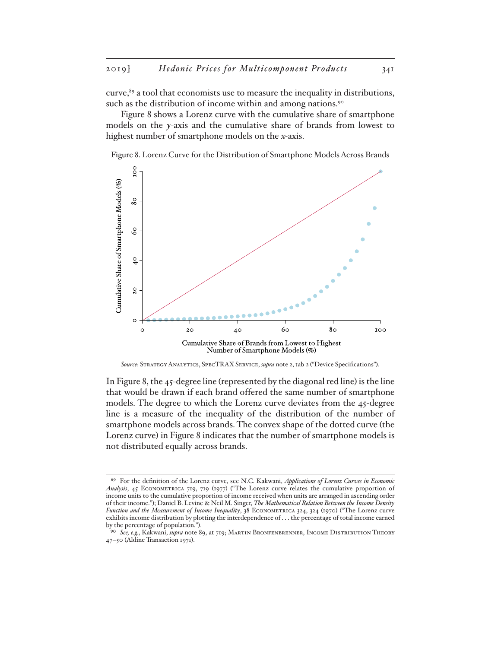curve,<sup>89</sup> a tool that economists use to measure the inequality in distributions, such as the distribution of income within and among nations.<sup>90</sup>

Figure 8 shows a Lorenz curve with the cumulative share of smartphone models on the *y*-axis and the cumulative share of brands from lowest to highest number of smartphone models on the *x-*axis.

Figure 8. Lorenz Curve for the Distribution of Smartphone Models Across Brands



*Source*: Strategy Analytics, SpecTRAX Service, *supra* note 2, tab 2 ("Device Specifications").

In Figure 8, the 45-degree line (represented by the diagonal red line) is the line that would be drawn if each brand offered the same number of smartphone models. The degree to which the Lorenz curve deviates from the 45-degree line is a measure of the inequality of the distribution of the number of smartphone models across brands. The convex shape of the dotted curve (the Lorenz curve) in Figure 8 indicates that the number of smartphone models is not distributed equally across brands.

<sup>89</sup> For the definition of the Lorenz curve, see N.C. Kakwani, *Applications of Lorenz Curves in Economic Analysis*, 45 Econometrica 719, 719 (1977) ("The Lorenz curve relates the cumulative proportion of income units to the cumulative proportion of income received when units are arranged in ascending order of their income."); Daniel B. Levine & Neil M. Singer, *The Mathematical Relation Between the Income Density Function and the Measurement of Income Inequality*, 38 Econometrica 324, 324 (1970) ("The Lorenz curve exhibits income distribution by plotting the interdependence of . . . the percentage of total income earned by the percentage of population.").

<sup>90</sup> *See, e.g.*, Kakwani, *supra* note 89, at 719; Martin Bronfenbrenner, Income Distribution Theory 47–50 (Aldine Transaction 1971).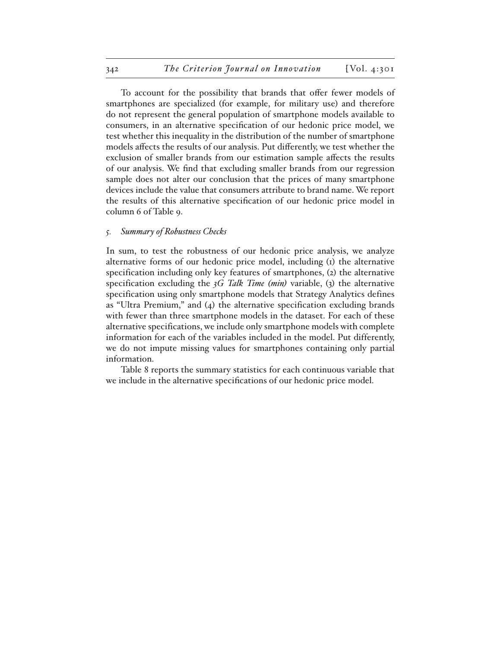To account for the possibility that brands that offer fewer models of smartphones are specialized (for example, for military use) and therefore do not represent the general population of smartphone models available to consumers, in an alternative specification of our hedonic price model, we test whether this inequality in the distribution of the number of smartphone models affects the results of our analysis. Put differently, we test whether the exclusion of smaller brands from our estimation sample affects the results of our analysis. We find that excluding smaller brands from our regression sample does not alter our conclusion that the prices of many smartphone devices include the value that consumers attribute to brand name. We report the results of this alternative specification of our hedonic price model in column 6 of Table 9.

#### *5. Summary of Robustness Checks*

In sum, to test the robustness of our hedonic price analysis, we analyze alternative forms of our hedonic price model, including (1) the alternative specification including only key features of smartphones, (2) the alternative specification excluding the *3G Talk Time (min)* variable, (3) the alternative specification using only smartphone models that Strategy Analytics defines as "Ultra Premium," and (4) the alternative specification excluding brands with fewer than three smartphone models in the dataset. For each of these alternative specifications, we include only smartphone models with complete information for each of the variables included in the model. Put differently, we do not impute missing values for smartphones containing only partial information.

Table 8 reports the summary statistics for each continuous variable that we include in the alternative specifications of our hedonic price model.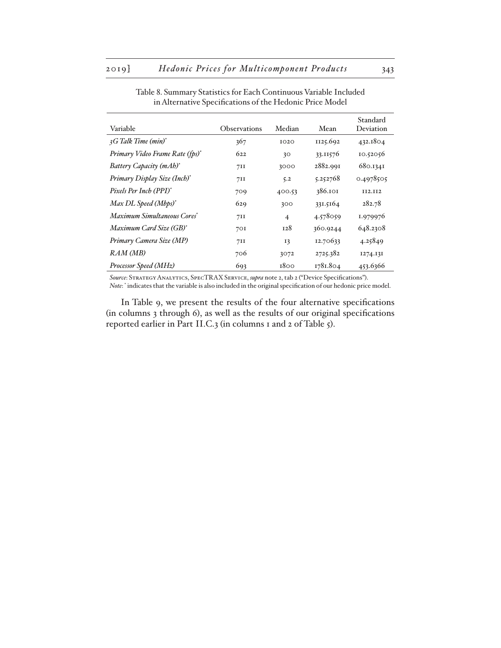| Variable                                    | Observations | Median         | Mean     | Standard<br>Deviation |
|---------------------------------------------|--------------|----------------|----------|-----------------------|
| 3G Talk Time (min) <sup>*</sup>             | 367          | IO2O           | 1125.692 | 432.1804              |
| Primary Video Frame Rate (fps) <sup>*</sup> | 622          | 30             | 33.11576 | 10.52056              |
| Battery Capacity (mAh)*                     | 711          | 3000           | 2882.991 | 680.1341              |
| Primary Display Size (Inch) <sup>*</sup>    | 711          | 5.2            | 5.252768 | 0.4978505             |
| Pixels Per Inch (PPI) <sup>*</sup>          | 709          | 400.53         | 386.101  | <b>II2.II2</b>        |
| Max DL Speed (Mbps) <sup>*</sup>            | 629          | 300            | 331.5164 | 282.78                |
| Maximum Simultaneous Cores*                 | 71I          | $\overline{4}$ | 4.578059 | 1.979976              |
| Maximum Card Size (GB)*                     | 701          | 128            | 360.9244 | 648.2308              |
| Primary Camera Size (MP)                    | 711          | I3             | 12.70633 | 4.25849               |
| RAM (MB)                                    | 706          | 3072           | 2725.382 | 1274.131              |
| Processor Speed (MHz)                       | 693          | 1800           | 1781.804 | 453.6366              |

Table 8. Summary Statistics for Each Continuous Variable Included in Alternative Specifications of the Hedonic Price Model

*Source*: Strategy Analytics, SpecTRAX Service, *supra* note 2, tab 2 ("Device Specifications"). *Note*: \* indicates that the variable is also included in the original specification of our hedonic price model.

In Table 9, we present the results of the four alternative specifications (in columns 3 through 6), as well as the results of our original specifications reported earlier in Part II.C.3 (in columns 1 and 2 of Table 5).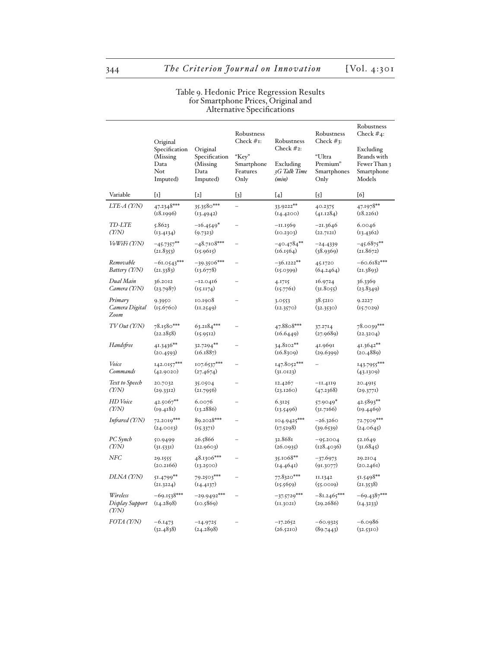|                                                  |                                                                  |                                                           | Robustness<br>Check $#I$ :              | Robustness                                          | Robustness<br>Check $#_3$ :               | Robustness<br>Check $#_4$ :                                      |
|--------------------------------------------------|------------------------------------------------------------------|-----------------------------------------------------------|-----------------------------------------|-----------------------------------------------------|-------------------------------------------|------------------------------------------------------------------|
|                                                  | Original<br>Specification<br>(Missing<br>Data<br>Not<br>Imputed) | Original<br>Specification<br>(Missing<br>Data<br>Imputed) | "Key"<br>Smartphone<br>Features<br>Only | Check $#_2$ :<br>Excluding<br>3G Talk Time<br>(min) | "Ultra<br>Premium"<br>Smartphones<br>Only | Excluding<br>Brands with<br>Fewer Than 3<br>Smartphone<br>Models |
| Variable                                         | $\{\mathrm{r}\}$                                                 | [2]                                                       | $[3]$                                   | [4]                                                 | $\{5\}$                                   | [6]                                                              |
| LTE-A (Y/N)                                      | $47.2348***$<br>(18.1996)                                        | 35.3580***<br>(13.4942)                                   | $\overline{a}$                          | 33.9222**<br>(14.4200)                              | 40.2375<br>(41.1284)                      | 47.1978**<br>(18.2261)                                           |
| <b>TD-LTE</b><br>$(\gamma/\gamma)$               | 5.8623<br>(13.4134)                                              | $-16.4549*$<br>(9.7323)                                   | $\overline{\phantom{0}}$                | $-11.1569$<br>(10.2303)                             | $-21.3646$<br>(22.7121)                   | 6.0046<br>(13.4362)                                              |
| $V_0W$ iFi $(Y/N)$                               | $-45.7357***$<br>(21.8353)                                       | $-48.7108***$<br>(15.9615)                                |                                         | $-40.4784**$<br>(16.1564)                           | $-24.4339$<br>(38.9369)                   | $-45.6875***$<br>(21.8672)                                       |
| Removable<br>Battery (Y/N)                       | $-61.0543***$<br>(21.3383)                                       | $-39.3506***$<br>(13.6778)                                |                                         | $-36.1222**$<br>(15.0399)                           | 45.1720<br>(64.2464)                      | $-60.6182***$<br>(21.3893)                                       |
| Dual Main<br>Camera (Y/N)                        | 36.2012<br>(23.7987)                                             | $-12.0416$<br>(15.1174)                                   | $\overline{\phantom{0}}$                | 4.1715<br>(15.7761)                                 | 16.9724<br>(31.8055)                      | 36.3369<br>(23.8349)                                             |
| Primary<br>Camera Digital<br>Zoom                | 9.3950<br>(15.6760)                                              | 10.1908<br>(11.2549)                                      | $\equiv$                                | 3.0553<br>(12.3570)                                 | 38.5210<br>(32.3530)                      | 9.2227<br>(15.7029)                                              |
| TVOut(T/N)                                       | 78.1580***<br>(22.2858)                                          | $63.2184***$<br>(15.9512)                                 | $\overline{a}$                          | 47.8808***<br>(16.6449)                             | 37.2714<br>(27.9689)                      | 78.0039***<br>(22.3204)                                          |
| Handsfree                                        | 41.3436**<br>(20.4593)                                           | 32.7294**<br>(16.1887)                                    | $\overline{\phantom{0}}$                | $34.8102**$<br>(16.8309)                            | 41.9691<br>(29.6399)                      | 41.3642**<br>(20.4889)                                           |
| Voice<br>Commands                                | $142.0157***$<br>(42.9020)                                       | 107.6537***<br>(27.4674)                                  | $\overline{\phantom{0}}$                | 147.8052***<br>(31.0123)                            |                                           | 143.7955***<br>(43.1309)                                         |
| Text to Speech<br>(1)                            | 20.7032<br>(29.3312)                                             | 35.0504<br>(21.7956)                                      |                                         | 12.4267<br>(23.1260)                                | $-11.4119$<br>(47.2368)                   | 20.4915<br>(29.377)                                              |
| <b>HD</b> Voice<br>(1)                           | 42.5067**<br>(19.4181)                                           | 6.0076<br>(13.2886)                                       |                                         | 6.3125<br>(13.5496)                                 | 57.9049*<br>(31.7166)                     | 42.5893**<br>(19.4469)                                           |
| Infrared (Y/N)                                   | 72.2019***<br>(24.0013)                                          | 89.2028***<br>(15.3371)                                   | $\overline{a}$                          | 104.9425***<br>(17.5298)                            | $-26.3260$<br>(39.6539)                   | 72.7509***<br>(24.0645)                                          |
| PC Synch<br>(1)                                  | 50.9499<br>(31.5331)                                             | 26.5866<br>(22.9603)                                      | $\overline{\phantom{0}}$                | 32.8681<br>(26.0935)                                | $-95.2004$<br>(128.4036)                  | 52.1649<br>(31.6845)                                             |
| NFC                                              | 29.1555<br>(20.2166)                                             | 48.1306***<br>(13.2500)                                   |                                         | 35.1068**<br>(14.4641)                              | $-37.6973$<br>(91.3077)                   | 29.2104<br>(20.2461)                                             |
| DLNA (Y/N)                                       | 51.4799**<br>(21.3224)                                           | 79.2503***<br>(14.4137)                                   |                                         | 77.8320***<br>(15.5659)                             | II.I342<br>(55.0019)                      | 51.5498**<br>(21.3538)                                           |
| Wireless<br>Display Support<br>$(\gamma/\gamma)$ | $-69.1538***$<br>(14.2898)                                       | $-29.9492***$<br>(10.5869)                                |                                         | $-37.5729***$<br>(11.3021)                          | $-81.2465***$<br>(29.2686)                | $-69.4387***$<br>(14.3233)                                       |
| FOTA (Y/N)                                       | $-6.1473$<br>(32.4838)                                           | $-14.9725$<br>(24.2898)                                   |                                         | $-17.2652$<br>(26.5210)                             | $-60.9325$<br>(89.7443)                   | $-6.0986$<br>(32.5310)                                           |

#### Table 9. Hedonic Price Regression Results for Smartphone Prices, Original and Alternative Specifications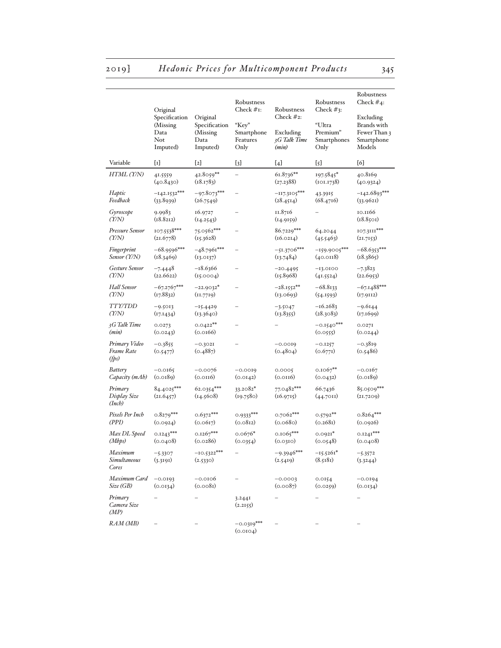# 2019] *Hedonic Prices for Multicomponent Products* 345

|                                         | Original<br>Specification<br>(Missing)<br>Data<br>Not<br>Imputed) | Original<br>Specification<br>(Missing)<br>Data<br>Imputed) | Robustness<br>Check $#I$ :<br>"Key"<br>Smartphone<br>Features<br>Only | Robustness<br>Check $#_2$ :<br>Excluding<br>3G Talk Time<br>(min) | Robustness<br>Check $#_3$ :<br>"Ultra<br>Premium"<br>Smartphones<br>Only | Robustness<br>Check $#_4$ :<br>Excluding<br>Brands with<br>Fewer Than 3<br>Smartphone<br>Models |
|-----------------------------------------|-------------------------------------------------------------------|------------------------------------------------------------|-----------------------------------------------------------------------|-------------------------------------------------------------------|--------------------------------------------------------------------------|-------------------------------------------------------------------------------------------------|
| Variable                                | $\{\mathrm{r}\}$                                                  | [2]                                                        | [3]                                                                   | [4]                                                               | $\{5\}$                                                                  | [6]                                                                                             |
| HTML (Y/N)                              | 41.5559<br>(40.8430)                                              | $42.8059**$<br>(18.1783)                                   |                                                                       | 61.8736**<br>(27.2388)                                            | 197.5845*<br>(101.1738)                                                  | 40.8169<br>(40.9324)                                                                            |
| Haptic<br>Feedback                      | $-142.1532***$<br>(33.8939)                                       | $-97.8073***$<br>(26.7549)                                 |                                                                       | $-117.3105***$<br>(28.4514)                                       | 43.3915<br>(68.4716)                                                     | $-142.6893***$<br>(33.9621)                                                                     |
| Gyroscope<br>$(\gamma/\gamma)$          | 9.9983<br>(18.8212)                                               | 16.9727<br>(14.2543)                                       |                                                                       | 11.8716<br>(14.9159)                                              |                                                                          | 10.1166<br>(18.8501)                                                                            |
| Pressure Sensor<br>$(\gamma/\gamma)$    | 107.5538***<br>(21.6778)                                          | 75.0562***<br>(15.3628)                                    |                                                                       | 86.7229***<br>(16.0214)                                           | 64.2044<br>(45.5463)                                                     | 107.3111***<br>(21.7153)                                                                        |
| Fingerprint<br>Sensor (Y/N)             | $-68.9596***$<br>(18.3469)                                        | $-48.7961***$<br>(13.0137)                                 |                                                                       | $-51.3706***$<br>(13.7484)                                        | $-159.9005***$<br>(40.0118)                                              | $-68.6353***$<br>(18.3865)                                                                      |
| Gesture Sensor<br>$(\gamma/\gamma)$     | $-7.4448$<br>(22.6622)                                            | $-18.6366$<br>(15.0004)                                    |                                                                       | $-20.4495$<br>(15.8968)                                           | $-13.0100$<br>(41.5524)                                                  | $-7.3823$<br>(22.6953)                                                                          |
| <b>Hall Sensor</b><br>$(\gamma/\gamma)$ | $-67.2767***$<br>(17.8832)                                        | $-22.9032*$<br>(11.7719)                                   |                                                                       | $-28.1552**$<br>(13.0693)                                         | $-68.8133$<br>(54.1593)                                                  | $-67.1488***$<br>(17.9112)                                                                      |
| <b>TTY/TDD</b><br>(1)                   | $-9.5013$<br>(17.1434)                                            | $-15.4429$<br>(13.3640)                                    |                                                                       | $-3.5047$<br>(13.8355)                                            | $-16.2683$<br>(28.3083)                                                  | $-9.6144$<br>(17.1699)                                                                          |
| 3G Talk Time<br>(min)                   | 0.0273<br>(0.0243)                                                | $0.0422**$<br>(0.0166)                                     |                                                                       |                                                                   | $-0.1540***$<br>(0.0555)                                                 | 0.027I<br>(0.0244)                                                                              |
| Primary Video<br>Frame Rate<br>(fps)    | $-0.3855$<br>(0.5477)                                             | $-0.3021$<br>(0.4887)                                      |                                                                       | $-0.0019$<br>(0.4804)                                             | $-0.1257$<br>(0.677I)                                                    | $-0.3819$<br>(0.5486)                                                                           |
| Battery<br>Capacity (mAh)               | $-0.0165$<br>(0.0189)                                             | $-0.0076$<br>(0.0116)                                      | $-0.0019$<br>(0.0142)                                                 | 0.0005<br>(0.0116)                                                | $0.1067**$<br>(0.0432)                                                   | $-0.0167$<br>(0.0189)                                                                           |
| Primary<br>Display Size<br>(Incb)       | 84.4025***<br>(21.6457)                                           | 62.0354***<br>(14.5608)                                    | $33.2082*$<br>(19.7580)                                               | 77.0482***<br>(16.9715)                                           | 66.7436<br>(44.7011)                                                     | 85.0509***<br>(21.7209)                                                                         |
| Pixels Per Inch<br>(PPI)                | $0.8279***$<br>(0.0924)                                           | $0.6372***$<br>(0.0617)                                    | $0.9333***$<br>(0.0812)                                               | 0.7062***<br>(0.0680)                                             | $0.5792**$<br>(0.2681)                                                   | $0.8264***$<br>(0.0926)                                                                         |
| Max DL Speed<br>(Mbps)                  | $0.1243***$<br>(0.0408)                                           | $0.1267***$<br>(0.0286)                                    | $0.0676*$<br>(0.0354)                                                 | $0.1065***$<br>(0.0310)                                           | $0.0921*$<br>(0.0548)                                                    | $0.1241***$<br>(0.0408)                                                                         |
| Maximum<br>Simultaneous<br>Cores        | -5.3307<br>(3.3191)                                               | $-10.5322***$<br>(2.5330)                                  |                                                                       | $-9.3946***$<br>(2.5419)                                          | $-15.5261*$<br>(8.5181)                                                  | $-5.3572$<br>(3.3244)                                                                           |
| Maximum Card<br>Size (GB)               | $-0.0193$<br>(0.0134)                                             | $-0.0106$<br>(0.0081)                                      |                                                                       | $-0.0003$<br>(0.0087)                                             | 0.0154<br>(0.0259)                                                       | $-0.0194$<br>(0.0134)                                                                           |
| Primary<br>Camera Size<br>(MP)          |                                                                   |                                                            | 3.244I<br>(2.2155)                                                    |                                                                   |                                                                          |                                                                                                 |
| RAM (MB)                                |                                                                   |                                                            | $-0.0319***$<br>(0.0104)                                              |                                                                   |                                                                          |                                                                                                 |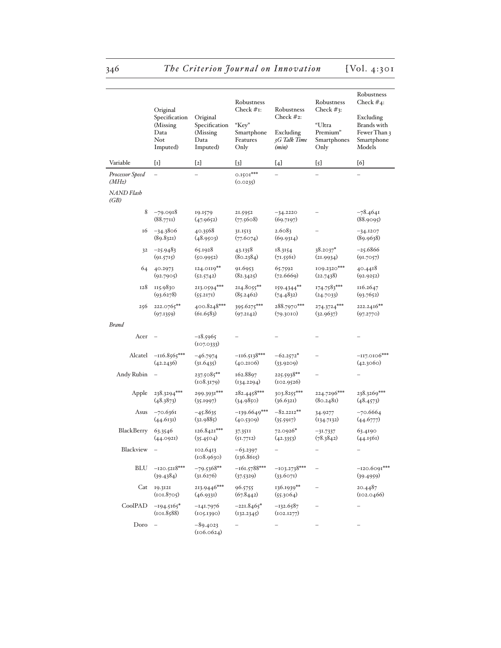|                           | Original<br>Specification<br>(Missing)<br>Data<br>Not<br>Imputed) | Original<br>Specification<br>(Missing)<br>Data<br>Imputed) | Robustness<br>Check $#I$ :<br>"Key"<br>Smartphone<br>Features<br>Only | Robustness<br>Check $#_2$ :<br>Excluding<br>3G Talk Time<br>(min) | Robustness<br>Check $#_3$ :<br>"Ultra<br>Premium"<br>Smartphones<br>Only | Robustness<br>Check $#_4$ :<br>Excluding<br>Brands with<br>Fewer Than 3<br>Smartphone<br>Models |
|---------------------------|-------------------------------------------------------------------|------------------------------------------------------------|-----------------------------------------------------------------------|-------------------------------------------------------------------|--------------------------------------------------------------------------|-------------------------------------------------------------------------------------------------|
| Variable                  | $\{1\}$                                                           | [2]                                                        | [3]                                                                   | [4]                                                               | [5]                                                                      | [6]                                                                                             |
| Processor Speed<br>(MHz)  |                                                                   |                                                            | $0.1501***$<br>(0.0235)                                               |                                                                   |                                                                          |                                                                                                 |
| <b>NAND</b> Flash<br>(GB) |                                                                   |                                                            |                                                                       |                                                                   |                                                                          |                                                                                                 |
| 8                         | $-79.0918$<br>(88.7711)                                           | 19.1579<br>(47.9652)                                       | 21.5952<br>(77.5608)                                                  | $-34.2220$<br>(69.7197)                                           |                                                                          | $-78.4641$<br>(88.9095)                                                                         |
| 16                        | $-34.3806$<br>(89.8321)                                           | 40.3568<br>(48.9503)                                       | 31.1513<br>(77.6074)                                                  | 2.6083<br>(69.9314)                                               |                                                                          | $-34.1207$<br>(89.9638)                                                                         |
| 32                        | $-25.9483$<br>(91.5715)                                           | 65.1928<br>(50.9952)                                       | 43.1358<br>(80.2384)                                                  | 18.3154<br>(71.5561)                                              | $38.2037*$<br>(21.9934)                                                  | $-25.6866$<br>(91.7057)                                                                         |
| 64                        | 40.2973<br>(92.7905)                                              | 124.0119**<br>(52.5742)                                    | 91.6953<br>(82.3425)                                                  | 65.7592<br>(72.6669)                                              | 109.2320***<br>(22.7438)                                                 | 40.4418<br>(92.9252)                                                                            |
| 128                       | 115.9830<br>(93.6278)                                             | 213.0594***<br>(55.2171)                                   | 214.8055**<br>(8, 5.2462)                                             | 159.4344**<br>(74.4832)                                           | 174.7583***<br>(24.7033)                                                 | 116.2647<br>(93.7652)                                                                           |
| 256                       | 222.0765**<br>(97.1359)                                           | 400.8248***<br>(61.6583)                                   | 395.6275***<br>(97.2142)                                              | 288.7970***<br>(79.3010)                                          | 274.3724***<br>(32.9637)                                                 | 222.2416**<br>(97.2770)                                                                         |
| <b>Brand</b>              |                                                                   |                                                            |                                                                       |                                                                   |                                                                          |                                                                                                 |
| Acer                      |                                                                   | $-18.5965$<br>(107.0333)                                   |                                                                       |                                                                   |                                                                          |                                                                                                 |
| Alcatel                   | $-116.8565***$<br>(42.2436)                                       | $-46.7974$<br>(31.6435)                                    | $-116.5138***$<br>(40.2106)                                           | $-62.2572*$<br>(33.9209)                                          |                                                                          | $-117.0106***$<br>(42.3060)                                                                     |
| Andy Rubin                |                                                                   | 237.5085**<br>(108.3179)                                   | 162.8897<br>(134.2294)                                                | 225.5938**<br>(102.9526)                                          |                                                                          |                                                                                                 |
| Apple                     | 238.3294***<br>(48.3873)                                          | 299.3931***<br>(35.1997)                                   | 282.4458***<br>(34.9850)                                              | $303.8255***$<br>(36.6321)                                        | 224.7296***<br>(80.2481)                                                 | 238.3269***<br>(48.4573)                                                                        |
| Asus                      | $-70.6361$<br>(44.6131)                                           | $-45.8635$<br>(32.9885)                                    | $-139.6649***$<br>(40.5309)                                           | $-82.2212**$<br>(35.5917)                                         | 34.9277<br>(134.7132)                                                    | $-70.6664$<br>(44.6777)                                                                         |
| BlackBerry                | 63.3546<br>(44.0921)                                              | $126.8421***$<br>(35.4504)                                 | 37.3511<br>(51.7712)                                                  | 72.0926*<br>(42.3353)                                             | $-31.7337$<br>(78.3842)                                                  | 63.4190<br>(44.1561)                                                                            |
| Blackview                 |                                                                   | 102.6413<br>(108.9630)                                     | $-63.2397$<br>(136.8615)                                              | -                                                                 | -                                                                        |                                                                                                 |
| <b>BLU</b>                | $-120.5218***$<br>(39.4384)                                       | $-79.5368**$<br>(31.6276)                                  | $-161.5788***$<br>(37.5329)                                           | $-103.2738***$<br>(33.6071)                                       |                                                                          | $-120.6091***$<br>(39.4959)                                                                     |
| Cat                       | 19.3121<br>(101.8705)                                             | 213.9446***<br>(46.9331)                                   | 96.5755<br>(67.8442)                                                  | 136.1939**<br>(55.3064)                                           |                                                                          | 20.4487<br>(102.0466)                                                                           |
| CoolPAD                   | $-194.5165*$<br>(101.8588)                                        | $-141.7976$<br>(105.1390)                                  | $-221.8465*$<br>(132.2345)                                            | $-132.6587$<br>(102.1277)                                         |                                                                          |                                                                                                 |
| Doro                      |                                                                   | $-89.4023$<br>(106.0624)                                   |                                                                       |                                                                   |                                                                          |                                                                                                 |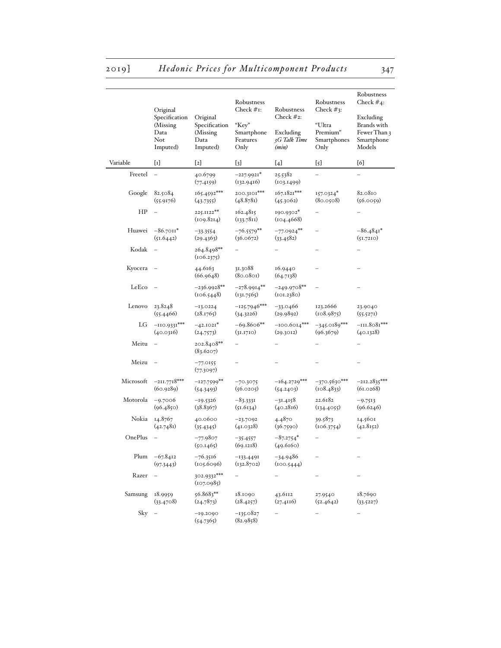|           | Original<br>Specification<br>(Missing<br>Data<br>Not<br>Imputed) | Original<br>Specification<br>(Missing<br>Data<br>Imputed) | Robustness<br>Check $#I$ :<br>"Key"<br>Smartphone<br>Features<br>Only | Robustness<br>Check $#_2$ :<br>Excluding<br>3G Talk Time<br>(min) | Robustness<br>Check $#_3$ :<br>"Ultra<br>Premium"<br>Smartphones<br>Only | Robustness<br>Check $#_4$ :<br>Excluding<br>Brands with<br>Fewer Than 3<br>Smartphone<br>Models |
|-----------|------------------------------------------------------------------|-----------------------------------------------------------|-----------------------------------------------------------------------|-------------------------------------------------------------------|--------------------------------------------------------------------------|-------------------------------------------------------------------------------------------------|
| Variable  | $\{1\}$                                                          | $\{2\}$                                                   | [3]                                                                   | [4]                                                               | [5]                                                                      | [6]                                                                                             |
| Freetel   | $\sim$                                                           | 40.6799<br>(77.4159)                                      | $-227.9921*$<br>(132.9416)                                            | 25.5382<br>(103.1499)                                             |                                                                          |                                                                                                 |
| Google    | 82.5084<br>(55.9176)                                             | 165.4592***<br>(43.7355)                                  | 200.3101***<br>(48.878)                                               | $167.1821***$<br>(45.3062)                                        | $157.0324*$<br>(80.0508)                                                 | 82.0810<br>(56.0059)                                                                            |
| HP        |                                                                  | 225.II22**<br>(109.8214)                                  | 162.4815<br>(133.7811)                                                | 190.9302*<br>(104.4668)                                           |                                                                          |                                                                                                 |
| Huawei    | $-86.7011*$<br>(51.6442)                                         | $-33.3554$<br>(29.4363)                                   | $-76.5579**$<br>(36.0672)                                             | $-77.0924**$<br>(33.4582)                                         |                                                                          | $-86.4841*$<br>(51.7210)                                                                        |
| Kodak     |                                                                  | 264.8498**<br>(106.2375)                                  |                                                                       |                                                                   |                                                                          |                                                                                                 |
| Kyocera   |                                                                  | 44.6163<br>(66.9648)                                      | 31.3088<br>(80.0801)                                                  | 16.9440<br>(64.7138)                                              |                                                                          |                                                                                                 |
| LeEco     |                                                                  | $-236.9928**$<br>(106.5448)                               | $-278.9914**$<br>(131.7565)                                           | $-249.9708**$<br>(101.2380)                                       |                                                                          |                                                                                                 |
| Lenovo    | 23.8248<br>(55.4466)                                             | $-13.0224$<br>(28.1765)                                   | $-125.7946***$<br>(34.3226)                                           | $-33.0466$<br>(29.9892)                                           | 123.2666<br>(108.9875)                                                   | 23.9040<br>(55.5271)                                                                            |
| LG        | $-110.9331***$<br>(40.0316)                                      | $-42.1021*$<br>(24.7573)                                  | $-69.8606**$<br>(31.1710)                                             | $-100.6014***$<br>(29.3012)                                       | $-345.0189***$<br>(96.3679)                                              | $-111.8081***$<br>(40.1328)                                                                     |
| Meitu     |                                                                  | 202.8408**<br>(83.6207)                                   |                                                                       |                                                                   |                                                                          |                                                                                                 |
| Meizu     |                                                                  | $-77.0155$<br>(77.3097)                                   |                                                                       |                                                                   |                                                                          |                                                                                                 |
| Microsoft | $-211.7718***$<br>(60.9289)                                      | $-127.7599$ **<br>(54.3493)                               | $-70.3075$<br>(56.0205)                                               | $-164.2729***$<br>(54.2403)                                       | $-370.5630***$<br>(108.4833)                                             | $-212.2835***$<br>(61.0268)                                                                     |
| Motorola  | $-9.7006$<br>(96.485)                                            | $-19.5326$<br>(38.8367)                                   | $-83.3331$<br>(51.6134)                                               | $-31.4158$<br>(40.2816)                                           | 22.6182<br>(134.4055)                                                    | $-9.7513$<br>(96.6246)                                                                          |
| Nokia     | 14.8767<br>(42.7481)                                             | 40.0600<br>(35.4345)                                      | $-23.7092$<br>(41.0328)                                               | 4.4870<br>(36.7590)                                               | 39.5873<br>(106.3754)                                                    | 14.5601<br>(42.8152)                                                                            |
| OnePlus   |                                                                  | $-77.9807$<br>(50.1465)                                   | $-35.4557$<br>(69.1218)                                               | $-87.2754*$<br>(49.6160)                                          |                                                                          |                                                                                                 |
| Plum      | $-67.8412$<br>(97.3443)                                          | $-76.3516$<br>(105.6096)                                  | $-133.4491$<br>(132.8702)                                             | $-34.9486$<br>(100.5444)                                          |                                                                          |                                                                                                 |
| Razer     |                                                                  | 302.9332***<br>(107.0985)                                 |                                                                       |                                                                   |                                                                          |                                                                                                 |
| Samsung   | 18.9959<br>(33.4708)                                             | 56.8683**<br>(24.7873)                                    | 18.1090<br>(28.4257)                                                  | 43.6112<br>(27.4116)                                              | 27.9540<br>(52.4642)                                                     | 18.7690<br>(33.5227)                                                                            |
| Sky       |                                                                  | $-19.2090$<br>(54.7365)                                   | $-135.0827$<br>(82.9858)                                              |                                                                   |                                                                          |                                                                                                 |

# 2019] *Hedonic Prices for Multicomponent Products* 347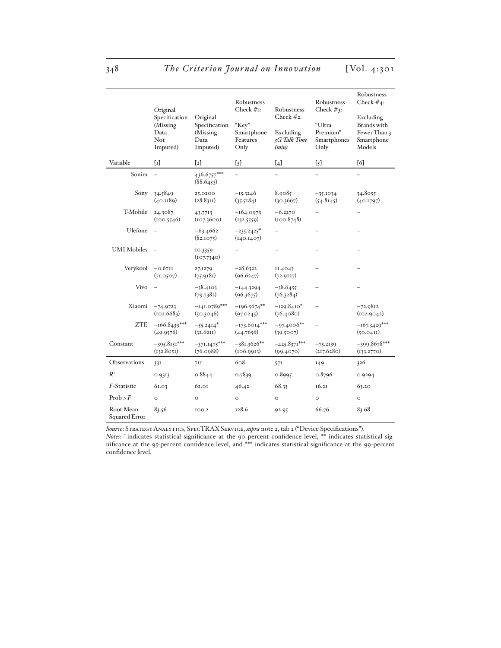|                            | Original<br>Specification<br>(Missing<br>Data<br>Not<br>Imputed) | Original<br>Specification<br>(Missing<br>Data<br>Imputed) | Robustness<br>Check $#I$ :<br>"Kev"<br>Smartphone<br>Features<br>Only | Robustness<br>Check $#_2$ :<br>Excluding<br>3G Talk Time<br>(min) | Robustness<br>Check $#_3$ :<br>"Ultra<br>Premium"<br>Smartphones<br>Only | Robustness<br>Check $#_4$ :<br>Excluding<br>Brands with<br>Fewer Than 3<br>Smartphone<br>Models |
|----------------------------|------------------------------------------------------------------|-----------------------------------------------------------|-----------------------------------------------------------------------|-------------------------------------------------------------------|--------------------------------------------------------------------------|-------------------------------------------------------------------------------------------------|
| Variable                   | $\{1\}$                                                          | $\lceil 2 \rceil$                                         | [3]                                                                   | [4]                                                               | $\{5\}$                                                                  | [6]                                                                                             |
| Sonim                      | $\equiv$                                                         | 436.6757***<br>(88.6453)                                  | $\equiv$                                                              |                                                                   | $\overline{\phantom{0}}$                                                 |                                                                                                 |
| Sony                       | 34.5849<br>(40.1189)                                             | 25.0200<br>(28.83I)                                       | $-15.3246$<br>(35.5184)                                               | 8.9085<br>(30.3667)                                               | $-35.1034$<br>(54.8145)                                                  | 34.8055<br>(40.1797)                                                                            |
| T-Mobile                   | 24.3087<br>(100.5546)                                            | 43.7713<br>(107.3600)                                     | $-164.0979$<br>(132.5559)                                             | $-6.2270$<br>(100.8748)                                           |                                                                          |                                                                                                 |
| Ulefone                    |                                                                  | $-63.4662$<br>(82.1075)                                   | $-235.2425$ <sup>*</sup><br>(I40.1407)                                |                                                                   |                                                                          |                                                                                                 |
| <b>UMI</b> Mobiles         |                                                                  | 10.3359<br>(107.7340)                                     |                                                                       |                                                                   |                                                                          |                                                                                                 |
| Verykool                   | $-0.6711$<br>(71.0507)                                           | 27.1279<br>(75.9181)                                      | $-28.6322$<br>(96.6247)                                               | II.4043<br>(72.9127)                                              |                                                                          |                                                                                                 |
| Vivo                       |                                                                  | $-38.4103$<br>(79.7382)                                   | $-144.3294$<br>(96.3675)                                              | $-38.6455$<br>(76.3284)                                           |                                                                          |                                                                                                 |
| Xiaomi                     | $-74.9723$<br>(102.6683)                                         | $-141.0789***$<br>(50.3046)                               | $-196.5674**$<br>(97.0245)                                            | $-129.8410*$<br>(76.4080)                                         |                                                                          | $-72.9812$<br>(102.9042)                                                                        |
| <b>ZTE</b>                 | $-166.8439***$<br>(49.9576)                                      | $-55.2414*$<br>(32.6211)                                  | $-173.6014***$<br>(44.7656)                                           | $-97.4006**$<br>(39.5007)                                         |                                                                          | $-167.3429***$<br>(50.0411)                                                                     |
| Constant                   | $-395.8151***$<br>(132.8051)                                     | $-371.1475***$<br>(76.0988)                               | $-381.3626**$<br>(106.9913)                                           | $-425.8371***$<br>(99.4070)                                       | $-75.2139$<br>(217.6280)                                                 | $-399.8678***$<br>(133.2770)                                                                    |
| <b>Observations</b>        | 33I                                                              | 711                                                       | 608                                                                   | 57I                                                               | 149                                                                      | 326                                                                                             |
| $R^2$                      | 0.9313                                                           | 0.8844                                                    | 0.7839                                                                | 0.8995                                                            | 0.8796                                                                   | 0.9294                                                                                          |
| F-Statistic                | 61.03                                                            | 62.01                                                     | 46.42                                                                 | 68.33                                                             | 16.21                                                                    | 63.20                                                                                           |
| Prob > F                   | $\circ$                                                          | $\circ$                                                   | $\circ$                                                               | $\circ$                                                           | $\circ$                                                                  | $\circ$                                                                                         |
| Root Mean<br>Squared Error | 83.56                                                            | 100.2                                                     | 128.6                                                                 | 92.95                                                             | 66.76                                                                    | 83.68                                                                                           |

*Source*: Strategy Analytics, SpecTRAX Service, *supra* note 2, tab 2 ("Device Specifications"). *Notes*: \* indicates statistical significance at the 90-percent confidence level, \*\* indicates statistical significance at the 95-percent confidence level, and \*\*\* indicates statistical significance at the 99-percent confidence level.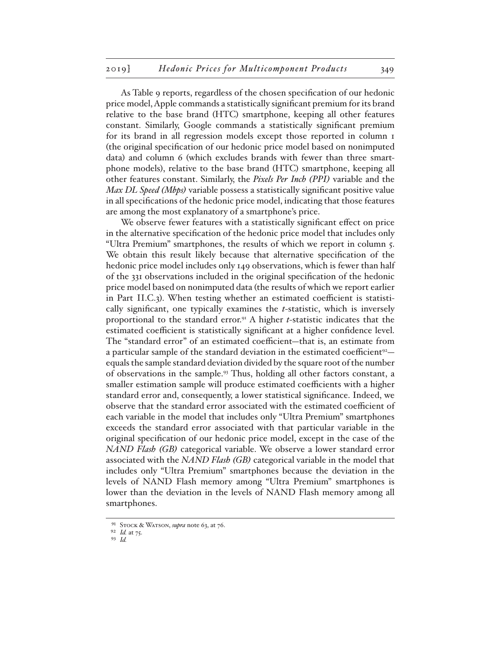As Table 9 reports, regardless of the chosen specification of our hedonic price model, Apple commands a statistically significant premium for its brand relative to the base brand (HTC) smartphone, keeping all other features constant. Similarly, Google commands a statistically significant premium for its brand in all regression models except those reported in column 1 (the original specification of our hedonic price model based on nonimputed data) and column 6 (which excludes brands with fewer than three smartphone models), relative to the base brand (HTC) smartphone, keeping all other features constant. Similarly, the *Pixels Per Inch (PPI)* variable and the *Max DL Speed (Mbps)* variable possess a statistically significant positive value in all specifications of the hedonic price model, indicating that those features are among the most explanatory of a smartphone's price.

We observe fewer features with a statistically significant effect on price in the alternative specification of the hedonic price model that includes only "Ultra Premium" smartphones, the results of which we report in column 5. We obtain this result likely because that alternative specification of the hedonic price model includes only 149 observations, which is fewer than half of the 331 observations included in the original specification of the hedonic price model based on nonimputed data (the results of which we report earlier in Part II.C.3). When testing whether an estimated coefficient is statistically significant, one typically examines the *t*-statistic, which is inversely proportional to the standard error.91 A higher *t*-statistic indicates that the estimated coefficient is statistically significant at a higher confidence level. The "standard error" of an estimated coefficient—that is, an estimate from a particular sample of the standard deviation in the estimated coefficient<sup>92</sup> equals the sample standard deviation divided by the square root of the number of observations in the sample.93 Thus, holding all other factors constant, a smaller estimation sample will produce estimated coefficients with a higher standard error and, consequently, a lower statistical significance. Indeed, we observe that the standard error associated with the estimated coefficient of each variable in the model that includes only "Ultra Premium" smartphones exceeds the standard error associated with that particular variable in the original specification of our hedonic price model, except in the case of the *NAND Flash (GB)* categorical variable. We observe a lower standard error associated with the *NAND Flash (GB)* categorical variable in the model that includes only "Ultra Premium" smartphones because the deviation in the levels of NAND Flash memory among "Ultra Premium" smartphones is lower than the deviation in the levels of NAND Flash memory among all smartphones.

<sup>91</sup> Stock & Watson, *supra* note 63, at 76.

<sup>92</sup> *Id.* at 75.

<sup>93</sup> *Id.*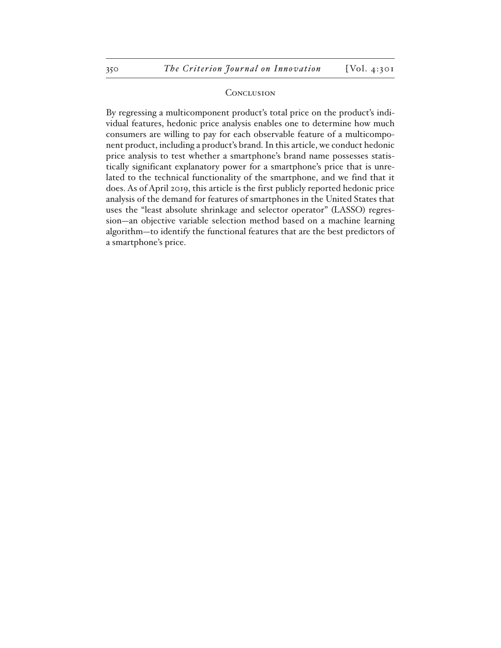#### **CONCLUSION**

By regressing a multicomponent product's total price on the product's individual features, hedonic price analysis enables one to determine how much consumers are willing to pay for each observable feature of a multicomponent product, including a product's brand. In this article, we conduct hedonic price analysis to test whether a smartphone's brand name possesses statistically significant explanatory power for a smartphone's price that is unrelated to the technical functionality of the smartphone, and we find that it does. As of April 2019, this article is the first publicly reported hedonic price analysis of the demand for features of smartphones in the United States that uses the "least absolute shrinkage and selector operator" (LASSO) regression—an objective variable selection method based on a machine learning algorithm—to identify the functional features that are the best predictors of a smartphone's price.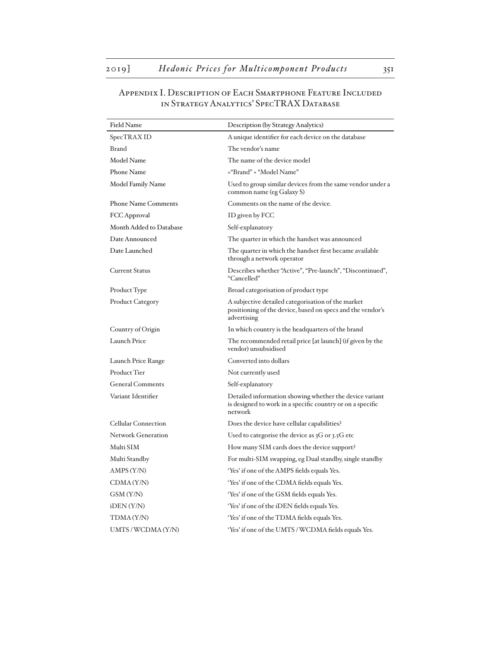### Appendix I. Description of Each Smartphone Feature Included in Strategy Analytics' SpecTRAX Database

| <b>Field Name</b>          | Description (by Strategy Analytics)                                                                                              |
|----------------------------|----------------------------------------------------------------------------------------------------------------------------------|
| SpecTRAX ID                | A unique identifier for each device on the database                                                                              |
| <b>Brand</b>               | The vendor's name                                                                                                                |
| Model Name                 | The name of the device model                                                                                                     |
| <b>Phone Name</b>          | ="Brand" + "Model Name"                                                                                                          |
| Model Family Name          | Used to group similar devices from the same vendor under a<br>common name (eg Galaxy S)                                          |
| <b>Phone Name Comments</b> | Comments on the name of the device.                                                                                              |
| FCC Approval               | ID given by FCC                                                                                                                  |
| Month Added to Database    | Self-explanatory                                                                                                                 |
| Date Announced             | The quarter in which the handset was announced                                                                                   |
| Date Launched              | The quarter in which the handset first became available<br>through a network operator                                            |
| Current Status             | Describes whether "Active", "Pre-launch", "Discontinued",<br>"Cancelled"                                                         |
| Product Type               | Broad categorisation of product type                                                                                             |
| <b>Product Category</b>    | A subjective detailed categorisation of the market<br>positioning of the device, based on specs and the vendor's<br>advertising  |
| Country of Origin          | In which country is the headquarters of the brand                                                                                |
| <b>Launch Price</b>        | The recommended retail price [at launch] (if given by the<br>vendor) unsubsidised                                                |
| Launch Price Range         | Converted into dollars                                                                                                           |
| Product Tier               | Not currently used                                                                                                               |
| <b>General Comments</b>    | Self-explanatory                                                                                                                 |
| Variant Identifier         | Detailed information showing whether the device variant<br>is designed to work in a specific country or on a specific<br>network |
| <b>Cellular Connection</b> | Does the device have cellular capabilities?                                                                                      |
| <b>Network Generation</b>  | Used to categorise the device as $3G$ or $3.5G$ etc                                                                              |
| Multi SIM                  | How many SIM cards does the device support?                                                                                      |
| Multi Standby              | For multi-SIM swapping, eg Dual standby, single standby                                                                          |
| AMPS(Y/N)                  | 'Yes' if one of the AMPS fields equals Yes.                                                                                      |
| CDMA(Y/N)                  | 'Yes' if one of the CDMA fields equals Yes.                                                                                      |
| GSM (Y/N)                  | 'Yes' if one of the GSM fields equals Yes.                                                                                       |
| $i$ DEN $(Y/N)$            | 'Yes' if one of the iDEN fields equals Yes.                                                                                      |
| TDMA (Y/N)                 | 'Yes' if one of the TDMA fields equals Yes.                                                                                      |
| UMTS/WCDMA(Y/N)            | 'Yes' if one of the UMTS / WCDMA fields equals Yes.                                                                              |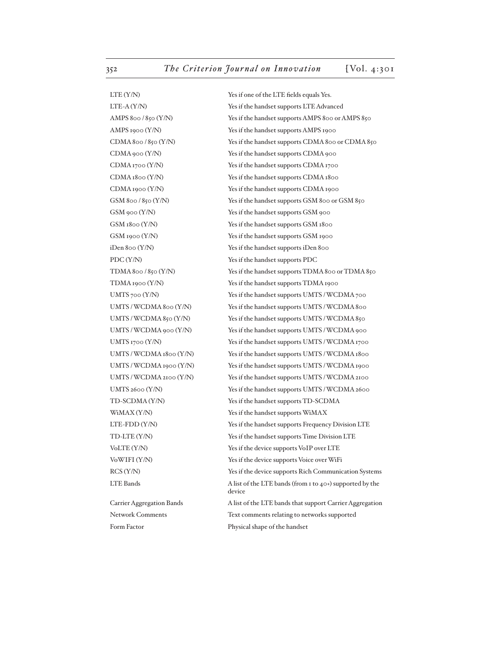GSM 900 (Y/N) Yes if the handset supports GSM 900 iDen 800 (Y/N) Yes if the handset supports iDen 800 PDC (Y/N) Yes if the handset supports PDC WiMAX (Y/N) Yes if the handset supports WiMAX

Form Factor Physical shape of the handset

LTE (Y/N) Yes if one of the LTE fields equals Yes. LTE-A (Y/N) Yes if the handset supports LTE Advanced AMPS 800 / 850 (Y/N) Yes if the handset supports AMPS 800 or AMPS 850 AMPS 1900 (Y/N) Yes if the handset supports AMPS 1900 CDMA 800 / 850 (Y/N) Yes if the handset supports CDMA 800 or CDMA 850 CDMA 900 (Y/N) Yes if the handset supports CDMA 900 CDMA 1700 (Y/N) Yes if the handset supports CDMA 1700 CDMA 1800 (Y/N) Yes if the handset supports CDMA 1800 CDMA 1900 (Y/N) Yes if the handset supports CDMA 1900 GSM 800 / 850 (Y/N) Yes if the handset supports GSM 800 or GSM 850 GSM 1800 (Y/N) Yes if the handset supports GSM 1800 GSM 1900 (Y/N) Yes if the handset supports GSM 1900 TDMA 800 / 850 (Y/N) Yes if the handset supports TDMA 800 or TDMA 850 TDMA 1900 (Y/N) Yes if the handset supports TDMA 1900 UMTS 700 (Y/N) Yes if the handset supports UMTS / WCDMA 700 UMTS / WCDMA 800 (Y/N) Yes if the handset supports UMTS / WCDMA 800 UMTS / WCDMA 850 (Y/N) Yes if the handset supports UMTS / WCDMA 850 UMTS/WCDMA 900 (Y/N) Yes if the handset supports UMTS/WCDMA 900 UMTS 1700 (Y/N) Yes if the handset supports UMTS / WCDMA 1700 UMTS / WCDMA 1800 (Y/N) Yes if the handset supports UMTS / WCDMA 1800 UMTS / WCDMA 1900 (Y/N) Yes if the handset supports UMTS / WCDMA 1900 UMTS / WCDMA 2100 (Y/N) Yes if the handset supports UMTS / WCDMA 2100 UMTS 2600 (Y/N) Yes if the handset supports UMTS / WCDMA 2600 TD-SCDMA (Y/N) Yes if the handset supports TD-SCDMA LTE-FDD (Y/N) Yes if the handset supports Frequency Division LTE TD-LTE (Y/N) Yes if the handset supports Time Division LTE VoLTE (Y/N) Yes if the device supports VoIP over LTE VoWIFI (Y/N) Yes if the device supports Voice over WiFi RCS (Y/N) Yes if the device supports Rich Communication Systems LTE Bands A list of the LTE bands (from 1 to 40+) supported by the device Carrier Aggregation Bands A list of the LTE bands that support Carrier Aggregation Network Comments Text comments relating to networks supported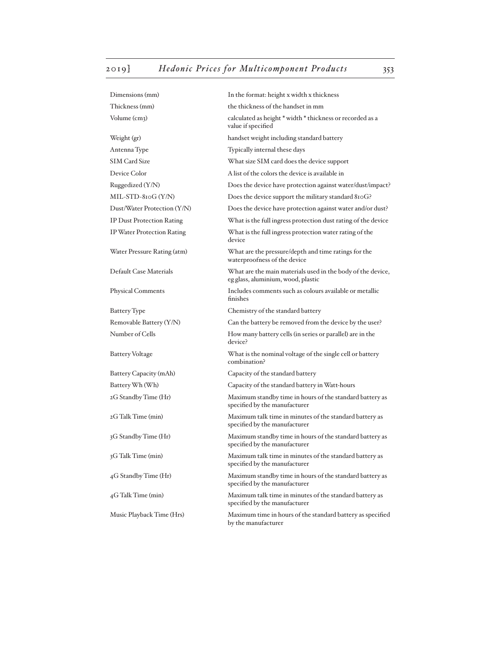| Dimensions (mm)                  | In the format: height x width x thickness                                                         |
|----------------------------------|---------------------------------------------------------------------------------------------------|
| Thickness (mm)                   | the thickness of the handset in mm                                                                |
| Volume (cm3)                     | calculated as height * width * thickness or recorded as a<br>value if specified                   |
| Weight (gr)                      | handset weight including standard battery                                                         |
| Antenna Type                     | Typically internal these days                                                                     |
| SIM Card Size                    | What size SIM card does the device support                                                        |
| Device Color                     | A list of the colors the device is available in                                                   |
| Ruggedized $(Y/N)$               | Does the device have protection against water/dust/impact?                                        |
| $MIL-STD-8IOG (Y/N)$             | Does the device support the military standard 810G?                                               |
| Dust/Water Protection (Y/N)      | Does the device have protection against water and/or dust?                                        |
| <b>IP Dust Protection Rating</b> | What is the full ingress protection dust rating of the device                                     |
| IP Water Protection Rating       | What is the full ingress protection water rating of the<br>device                                 |
| Water Pressure Rating (atm)      | What are the pressure/depth and time ratings for the<br>waterproofness of the device              |
| Default Case Materials           | What are the main materials used in the body of the device,<br>eg glass, aluminium, wood, plastic |
| <b>Physical Comments</b>         | Includes comments such as colours available or metallic<br>finishes                               |
| <b>Battery</b> Type              | Chemistry of the standard battery                                                                 |
| Removable Battery (Y/N)          | Can the battery be removed from the device by the user?                                           |
| Number of Cells                  | How many battery cells (in series or parallel) are in the<br>device?                              |
| <b>Battery Voltage</b>           | What is the nominal voltage of the single cell or battery<br>combination?                         |
| Battery Capacity (mAh)           | Capacity of the standard battery                                                                  |
| Battery Wh (Wh)                  | Capacity of the standard battery in Watt-hours                                                    |
| 2G Standby Time (Hr)             | Maximum standby time in hours of the standard battery as<br>specified by the manufacturer         |
| 2G Talk Time (min)               | Maximum talk time in minutes of the standard battery as<br>specified by the manufacturer          |
| 3G Standby Time (Hr)             | Maximum standby time in hours of the standard battery as<br>specified by the manufacturer         |
| 3G Talk Time (min)               | Maximum talk time in minutes of the standard battery as<br>specified by the manufacturer          |
| 4G Standby Time (Hr)             | Maximum standby time in hours of the standard battery as<br>specified by the manufacturer         |
| 4G Talk Time (min)               | Maximum talk time in minutes of the standard battery as<br>specified by the manufacturer          |
| Music Playback Time (Hrs)        | Maximum time in hours of the standard battery as specified<br>by the manufacturer                 |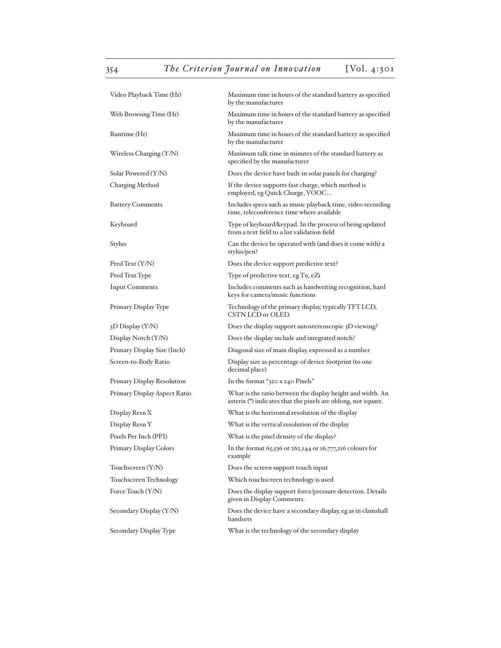| Video Playback Time (Hr)     | Maximum time in hours of the standard battery as specified<br>by the manufacturer                                           |
|------------------------------|-----------------------------------------------------------------------------------------------------------------------------|
| Web Browsing Time (Hr)       | Maximum time in hours of the standard battery as specified<br>by the manufacturer                                           |
| Runtime (Hr)                 | Maximum time in hours of the standard battery as specified<br>by the manufacturer                                           |
| Wireless Charging (Y/N)      | Maximum talk time in minutes of the standard battery as<br>specified by the manufacturer                                    |
| Solar Powered (Y/N)          | Does the device have built-in solar panels for charging?                                                                    |
| Charging Method              | If the device supports fast charge, which method is<br>employed, eg Quick Charge, VOOC                                      |
| Battery Comments             | Includes specs such as music playback time, video recording<br>time, teleconference time where available                    |
| Keyboard                     | Type of keyboard/keypad. In the process of being updated<br>from a text field to a list validation field                    |
| Stylus                       | Can the device be operated with (and does it come with) a<br>stylus/pen?                                                    |
| Pred Text (Y/N)              | Does the device support predictive text?                                                                                    |
| Pred Text Type               | Type of predictive text, eg T9, eZi                                                                                         |
| <b>Input Comments</b>        | Includes comments such as handwriting recognition, hard<br>keys for camera/music functions                                  |
| Primary Display Type         | Technology of the primary display, typically TFT LCD,<br>CSTN LCD or OLED.                                                  |
| 3D Display (Y/N)             | Does the display support autostereoscopic 3D viewing?                                                                       |
| Display Notch (Y/N)          | Does the display include and integrated notch?                                                                              |
| Primary Display Size (Inch)  | Diagonal size of main display, expressed as a number                                                                        |
| Screen-to-Body Ratio         | Display size as percentage of device footprint (to one<br>decimal place)                                                    |
| Primary Display Resolution   | In the format "320 x 240 Pixels"                                                                                            |
| Primary Display Aspect Ratio | What is the ratio between the display height and width. An<br>asterix (*) indicates that the pixels are oblong, not square. |
| Display Resn X               | What is the horizontal resolution of the display                                                                            |
| Display Resn Y               | What is the vertical resolution of the display                                                                              |
| Pixels Per Inch (PPI)        | What is the pixel density of the display?                                                                                   |
| Primary Display Colors       | In the format 65,536 or 262,144 or 16,777,216 colours for<br>example                                                        |
| Touchscreen (Y/N)            | Does the screen support touch input                                                                                         |
| Touchscreen Technology       | Which touchscreen technology is used                                                                                        |
| Force Touch (Y/N)            | Does the display support force/pressure detection. Details<br>given in Display Comments.                                    |
| Secondary Display (Y/N)      | Does the device have a secondary display, eg as in clamshall<br>handsets                                                    |
| Secondary Display Type       | What is the technology of the secondary display                                                                             |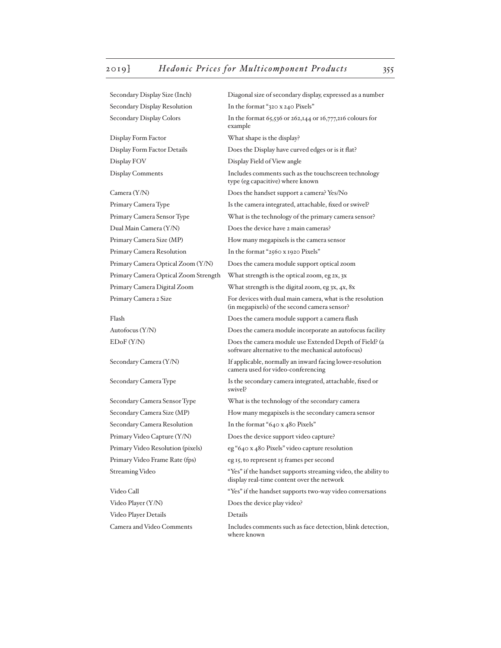Secondary Display Size (Inch) Diagonal size of secondary display, expressed as a number Secondary Display Resolution In the format "320 x 240 Pixels" Secondary Display Colors In the format 65,536 or 262,144 or 16,777,216 colours for example Display Form Factor What shape is the display? Display Form Factor Details Does the Display have curved edges or is it flat? Display FOV Display Field of View angle Display Comments Includes comments such as the touchscreen technology type (eg capacitive) where known Camera (Y/N) Does the handset support a camera? Yes/No Primary Camera Type Is the camera integrated, attachable, fixed or swivel? Primary Camera Sensor Type What is the technology of the primary camera sensor? Dual Main Camera (Y/N) Does the device have 2 main cameras? Primary Camera Size (MP) How many megapixels is the camera sensor Primary Camera Resolution In the format "2560 x 1920 Pixels" Primary Camera Optical Zoom (Y/N) Does the camera module support optical zoom Primary Camera Optical Zoom Strength What strength is the optical zoom, eg 2x, 3x Primary Camera Digital Zoom What strength is the digital zoom, eg 3x, 4x, 8x Primary Camera 2 Size For devices with dual main camera, what is the resolution (in megapixels) of the second camera sensor? Flash Does the camera module support a camera flash Autofocus (Y/N) Does the camera module incorporate an autofocus facility EDoF (Y/N) Does the camera module use Extended Depth of Field? (a software alternative to the mechanical autofocus) Secondary Camera (Y/N) If applicable, normally an inward facing lower-resolution camera used for video-conferencing Secondary Camera Type Is the secondary camera integrated, attachable, fixed or swivel? Secondary Camera Sensor Type What is the technology of the secondary camera Secondary Camera Size (MP) How many megapixels is the secondary camera sensor Secondary Camera Resolution In the format "640 x 480 Pixels" Primary Video Capture (Y/N) Does the device support video capture? Primary Video Resolution (pixels) eg "640 x 480 Pixels" video capture resolution Primary Video Frame Rate (fps) eg 15, to represent 15 frames per second Streaming Video "Yes" if the handset supports streaming video, the ability to display real-time content over the network Video Call "Yes" if the handset supports two-way video conversations" Video Player (Y/N) Does the device play video? Video Player Details Details Camera and Video Comments Includes comments such as face detection, blink detection, where known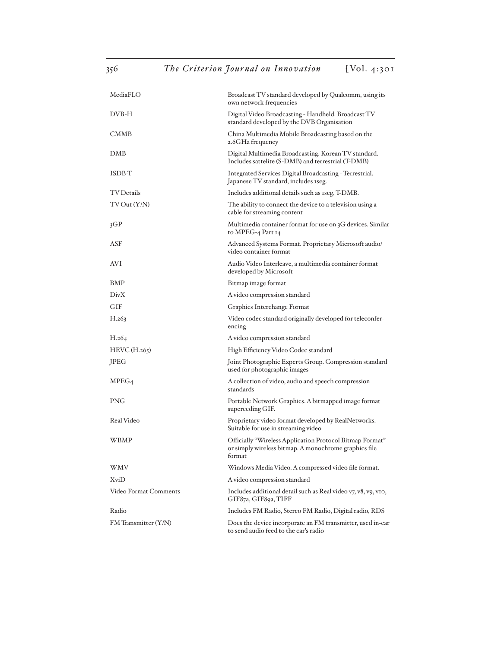| MediaFLO                     | Broadcast TV standard developed by Qualcomm, using its<br>own network frequencies                                           |
|------------------------------|-----------------------------------------------------------------------------------------------------------------------------|
| DVB-H                        | Digital Video Broadcasting - Handheld. Broadcast TV<br>standard developed by the DVB Organisation                           |
| <b>CMMB</b>                  | China Multimedia Mobile Broadcasting based on the<br>2.6GHz frequency                                                       |
| DMB                          | Digital Multimedia Broadcasting. Korean TV standard.<br>Includes sattelite (S-DMB) and terrestrial (T-DMB)                  |
| ISDB-T                       | Integrated Services Digital Broadcasting - Terrestrial.<br>Japanese TV standard, includes 1seg.                             |
| <b>TV</b> Details            | Includes additional details such as 1seg, T-DMB.                                                                            |
| TV Out (Y/N)                 | The ability to connect the device to a television using a<br>cable for streaming content                                    |
| 3GP                          | Multimedia container format for use on 3G devices. Similar<br>to MPEG-4 Part 14                                             |
| ASF                          | Advanced Systems Format. Proprietary Microsoft audio/<br>video container format                                             |
| AVI                          | Audio Video Interleave, a multimedia container format<br>developed by Microsoft                                             |
| BMP                          | Bitmap image format                                                                                                         |
| DivX                         | A video compression standard                                                                                                |
| <b>GIF</b>                   | Graphics Interchange Format                                                                                                 |
| H.263                        | Video codec standard originally developed for teleconfer-<br>encing                                                         |
| H.264                        | A video compression standard                                                                                                |
| $HEVC$ (H.265)               | High Efficiency Video Codec standard                                                                                        |
| JPEG                         | Joint Photographic Experts Group. Compression standard<br>used for photographic images                                      |
| MPEG <sub>4</sub>            | A collection of video, audio and speech compression<br>standards                                                            |
| <b>PNG</b>                   | Portable Network Graphics. A bitmapped image format<br>superceding GIF.                                                     |
| Real Video                   | Proprietary video format developed by RealNetworks.<br>Suitable for use in streaming video                                  |
| WBMP                         | Officially "Wireless Application Protocol Bitmap Format"<br>or simply wireless bitmap. A monochrome graphics file<br>format |
| WMV                          | Windows Media Video. A compressed video file format.                                                                        |
| XviD                         | A video compression standard                                                                                                |
| <b>Video Format Comments</b> | Includes additional detail such as Real video v7, v8, v9, v10,<br>GIF87a, GIF89a, TIFF                                      |
| Radio                        | Includes FM Radio, Stereo FM Radio, Digital radio, RDS                                                                      |
| FM Transmitter (Y/N)         | Does the device incorporate an FM transmitter, used in-car<br>to send audio feed to the car's radio                         |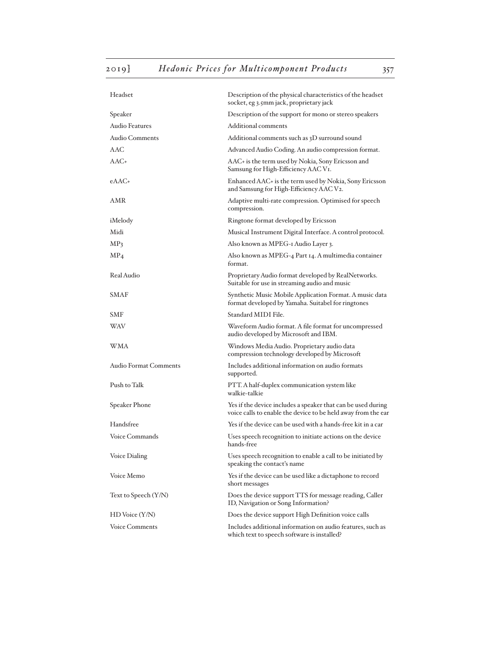| Headset                      | Description of the physical characteristics of the headset<br>socket, eg 3.5mm jack, proprietary jack                         |
|------------------------------|-------------------------------------------------------------------------------------------------------------------------------|
| Speaker                      | Description of the support for mono or stereo speakers                                                                        |
| Audio Features               | Additional comments                                                                                                           |
| <b>Audio Comments</b>        | Additional comments such as 3D surround sound                                                                                 |
| <b>AAC</b>                   | Advanced Audio Coding. An audio compression format.                                                                           |
| AAC+                         | AAC+ is the term used by Nokia, Sony Ericsson and<br>Samsung for High-Efficiency AAC VI.                                      |
| eAAC+                        | Enhanced AAC+ is the term used by Nokia, Sony Ericsson<br>and Samsung for High-Efficiency AAC V2.                             |
| AMR                          | Adaptive multi-rate compression. Optimised for speech<br>compression.                                                         |
| iMelody                      | Ringtone format developed by Ericsson                                                                                         |
| Midi                         | Musical Instrument Digital Interface. A control protocol.                                                                     |
| MP <sub>3</sub>              | Also known as MPEG-I Audio Layer 3.                                                                                           |
| MP <sub>4</sub>              | Also known as MPEG-4 Part 14. A multimedia container<br>format.                                                               |
| Real Audio                   | Proprietary Audio format developed by RealNetworks.<br>Suitable for use in streaming audio and music                          |
| <b>SMAF</b>                  | Synthetic Music Mobile Application Format. A music data<br>format developed by Yamaha. Suitabel for ringtones                 |
| <b>SMF</b>                   | Standard MIDI File.                                                                                                           |
| WAV                          | Waveform Audio format. A file format for uncompressed<br>audio developed by Microsoft and IBM.                                |
| WMA                          | Windows Media Audio. Proprietary audio data<br>compression technology developed by Microsoft                                  |
| <b>Audio Format Comments</b> | Includes additional information on audio formats<br>supported.                                                                |
| Push to Talk                 | PTT. A half-duplex communication system like<br>walkie-talkie                                                                 |
| Speaker Phone                | Yes if the device includes a speaker that can be used during<br>voice calls to enable the device to be held away from the ear |
| Handsfree                    | Yes if the device can be used with a hands-free kit in a car                                                                  |
| Voice Commands               | Uses speech recognition to initiate actions on the device<br>hands-free                                                       |
| Voice Dialing                | Uses speech recognition to enable a call to be initiated by<br>speaking the contact's name                                    |
| Voice Memo                   | Yes if the device can be used like a dictaphone to record<br>short messages                                                   |
| Text to Speech (Y/N)         | Does the device support TTS for message reading, Caller<br>ID, Navigation or Song Information?                                |
| $HD$ Voice $(Y/N)$           | Does the device support High Definition voice calls                                                                           |
| <b>Voice Comments</b>        | Includes additional information on audio features, such as<br>which text to speech software is installed?                     |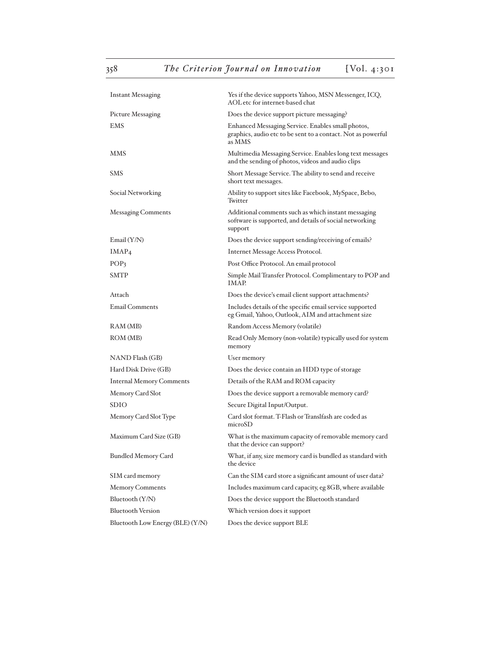| <b>Instant Messaging</b>         | Yes if the device supports Yahoo, MSN Messenger, ICQ,<br>AOL etc for internet-based chat                                    |
|----------------------------------|-----------------------------------------------------------------------------------------------------------------------------|
| Picture Messaging                | Does the device support picture messaging?                                                                                  |
| EMS                              | Enhanced Messaging Service. Enables small photos,<br>graphics, audio etc to be sent to a contact. Not as powerful<br>as MMS |
| <b>MMS</b>                       | Multimedia Messaging Service. Enables long text messages<br>and the sending of photos, videos and audio clips               |
| <b>SMS</b>                       | Short Message Service. The ability to send and receive<br>short text messages.                                              |
| Social Networking                | Ability to support sites like Facebook, MySpace, Bebo,<br>Twitter                                                           |
| <b>Messaging Comments</b>        | Additional comments such as which instant messaging<br>software is supported, and details of social networking<br>support   |
| Email $(Y/N)$                    | Does the device support sending/receiving of emails?                                                                        |
| IMAP <sub>4</sub>                | Internet Message Access Protocol.                                                                                           |
| POP <sub>3</sub>                 | Post Office Protocol. An email protocol                                                                                     |
| <b>SMTP</b>                      | Simple Mail Transfer Protocol. Complimentary to POP and<br><b>IMAP</b>                                                      |
| Attach                           | Does the device's email client support attachments?                                                                         |
| <b>Email Comments</b>            | Includes details of the specific email service supported<br>eg Gmail, Yahoo, Outlook, AIM and attachment size               |
| RAM (MB)                         | Random Access Memory (volatile)                                                                                             |
| ROM (MB)                         | Read Only Memory (non-volatile) typically used for system<br>memory                                                         |
| NAND Flash (GB)                  | User memory                                                                                                                 |
| Hard Disk Drive (GB)             | Does the device contain an HDD type of storage                                                                              |
| <b>Internal Memory Comments</b>  | Details of the RAM and ROM capacity                                                                                         |
| Memory Card Slot                 | Does the device support a removable memory card?                                                                            |
| <b>SDIO</b>                      | Secure Digital Input/Output.                                                                                                |
| Memory Card Slot Type            | Card slot format. T-Flash or Translfash are coded as<br>microSD                                                             |
| Maximum Card Size (GB)           | What is the maximum capacity of removable memory card<br>that the device can support?                                       |
| <b>Bundled Memory Card</b>       | What, if any, size memory card is bundled as standard with<br>the device                                                    |
| SIM card memory                  | Can the SIM card store a significant amount of user data?                                                                   |
| <b>Memory Comments</b>           | Includes maximum card capacity, eg 8GB, where available                                                                     |
| Bluetooth (Y/N)                  | Does the device support the Bluetooth standard                                                                              |
| <b>Bluetooth Version</b>         | Which version does it support                                                                                               |
| Bluetooth Low Energy (BLE) (Y/N) | Does the device support BLE                                                                                                 |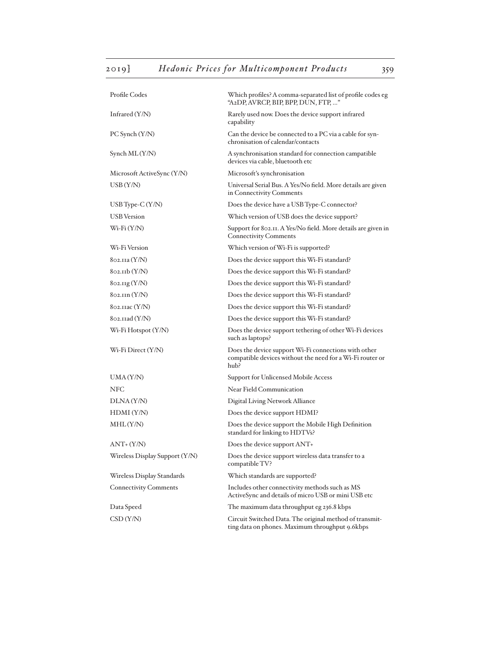| Profile Codes                           | Which profiles? A comma-separated list of profile codes eg<br>"A2DP, AVRCP, BIP, BPP, DUN, FTP, "                         |
|-----------------------------------------|---------------------------------------------------------------------------------------------------------------------------|
| Infrared $(Y/N)$                        | Rarely used now. Does the device support infrared<br>capability                                                           |
| PC Synch (Y/N)                          | Can the device be connected to a PC via a cable for syn-<br>chronisation of calendar/contacts                             |
| Synch ML (Y/N)                          | A synchronisation standard for connection campatible<br>devices via cable, bluetooth etc                                  |
| Microsoft ActiveSync (Y/N)              | Microsoft's synchronisation                                                                                               |
| $\mathrm{USB}\left(\mathrm{Y/N}\right)$ | Universal Serial Bus. A Yes/No field. More details are given<br>in Connectivity Comments                                  |
| USB Type-C $(Y/N)$                      | Does the device have a USB Type-C connector?                                                                              |
| <b>USB</b> Version                      | Which version of USB does the device support?                                                                             |
| $W_i$ -Fi $(Y/N)$                       | Support for 802.11. A Yes/No field. More details are given in<br><b>Connectivity Comments</b>                             |
| Wi-Fi Version                           | Which version of Wi-Fi is supported?                                                                                      |
| 802.11a (Y/N)                           | Does the device support this Wi-Fi standard?                                                                              |
| $802$ .IIb $(Y/N)$                      | Does the device support this Wi-Fi standard?                                                                              |
| $802.$ IIg $(Y/N)$                      | Does the device support this Wi-Fi standard?                                                                              |
| $802.$ IIn $(Y/N)$                      | Does the device support this Wi-Fi standard?                                                                              |
| 802.11ac (Y/N)                          | Does the device support this Wi-Fi standard?                                                                              |
| $8$ 02.11ad $(Y/N)$                     | Does the device support this Wi-Fi standard?                                                                              |
| Wi-Fi Hotspot $(Y/N)$                   | Does the device support tethering of other Wi-Fi devices<br>such as laptops?                                              |
| $Wi$ -Fi Direct $(Y/N)$                 | Does the device support Wi-Fi connections with other<br>compatible devices without the need for a Wi-Fi router or<br>hub? |
| UMA(Y/N)                                | Support for Unlicensed Mobile Access                                                                                      |
| NFC                                     | Near Field Communication                                                                                                  |
| DLNA (Y/N)                              | Digital Living Network Alliance                                                                                           |
| HDMI (Y/N)                              | Does the device support HDMI?                                                                                             |
| MHL(Y/N)                                | Does the device support the Mobile High Definition<br>standard for linking to HDTVs?                                      |
| $ANT+ (Y/N)$                            | Does the device support ANT+                                                                                              |
| Wireless Display Support (Y/N)          | Does the device support wireless data transfer to a<br>compatible TV?                                                     |
| Wireless Display Standards              | Which standards are supported?                                                                                            |
| <b>Connectivity Comments</b>            | Includes other connectivity methods such as MS<br>ActiveSync and details of micro USB or mini USB etc                     |
| Data Speed                              | The maximum data throughput eg 236.8 kbps                                                                                 |
| CSD(Y/N)                                | Circuit Switched Data. The original method of transmit-<br>ting data on phones. Maximum throughput 9.6kbps                |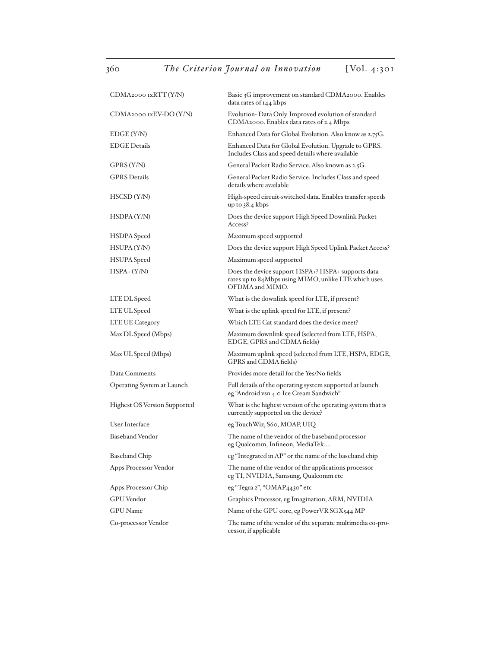| CDMA2000 IxRTT(Y/N)                 | Basic 3G improvement on standard CDMA2000. Enables<br>data rates of 144 kbps                                                  |
|-------------------------------------|-------------------------------------------------------------------------------------------------------------------------------|
| CDMA2000 IxEV-DO (Y/N)              | Evolution-Data Only. Improved evolution of standard<br>CDMA2000. Enables data rates of 2.4 Mbps                               |
| EDGE (Y/N)                          | Enhanced Data for Global Evolution. Also know as 2.75G.                                                                       |
| <b>EDGE Details</b>                 | Enhanced Data for Global Evolution. Upgrade to GPRS.<br>Includes Class and speed details where available                      |
| GPRS (Y/N)                          | General Packet Radio Service. Also known as 2.5G.                                                                             |
| <b>GPRS</b> Details                 | General Packet Radio Service. Includes Class and speed<br>details where available                                             |
| HSCSD (Y/N)                         | High-speed circuit-switched data. Enables transfer speeds<br>up to $38.4$ kbps                                                |
| HSDPA (Y/N)                         | Does the device support High Speed Downlink Packet<br>Access?                                                                 |
| HSDPA Speed                         | Maximum speed supported                                                                                                       |
| HSUPA (Y/N)                         | Does the device support High Speed Uplink Packet Access?                                                                      |
| <b>HSUPA</b> Speed                  | Maximum speed supported                                                                                                       |
| $HSPA+ (Y/N)$                       | Does the device support HSPA+? HSPA+ supports data<br>rates up to 84Mbps using MIMO, unlike LTE which uses<br>OFDMA and MIMO. |
| LTE DL Speed                        | What is the downlink speed for LTE, if present?                                                                               |
| LTE UL Speed                        | What is the uplink speed for LTE, if present?                                                                                 |
| LTE UE Category                     | Which LTE Cat standard does the device meet?                                                                                  |
| Max DL Speed (Mbps)                 | Maximum downlink speed (selected from LTE, HSPA,<br>EDGE, GPRS and CDMA fields)                                               |
| Max UL Speed (Mbps)                 | Maximum uplink speed (selected from LTE, HSPA, EDGE,<br>GPRS and CDMA fields)                                                 |
| Data Comments                       | Provides more detail for the Yes/No fields                                                                                    |
| Operating System at Launch          | Full details of the operating system supported at launch<br>eg "Android vsn 4.0 Ice Cream Sandwich"                           |
| <b>Highest OS Version Supported</b> | What is the highest version of the operating system that is<br>currently supported on the device?                             |
| User Interface                      | eg TouchWiz, S60, MOAP, UIQ                                                                                                   |
| <b>Baseband Vendor</b>              | The name of the vendor of the baseband processor<br>eg Qualcomm, Infineon, MediaTek                                           |
| <b>Baseband Chip</b>                | $\operatorname{\sf eg}$ "Integrated in AP" or the name of the baseband chip                                                   |
| Apps Processor Vendor               | The name of the vendor of the applications processor<br>eg TI, NVIDIA, Samsung, Qualcomm etc                                  |
| Apps Processor Chip                 | eg "Tegra 2", "OMAP4430" etc                                                                                                  |
| <b>GPU</b> Vendor                   | Graphics Processor, eg Imagination, ARM, NVIDIA                                                                               |
| <b>GPU</b> Name                     | Name of the GPU core, eg PowerVR SGX544 MP                                                                                    |
| Co-processor Vendor                 | The name of the vendor of the separate multimedia co-pro-<br>cessor, if applicable                                            |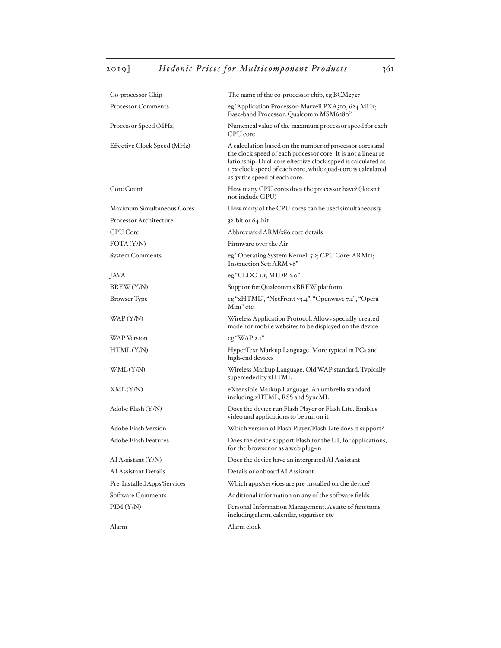| Co-processor Chip           | The name of the co-processor chip, eg BCM2727                                                                                                                                                                                                                                               |
|-----------------------------|---------------------------------------------------------------------------------------------------------------------------------------------------------------------------------------------------------------------------------------------------------------------------------------------|
| <b>Processor Comments</b>   | eg "Application Processor: Marvell PXA310, 624 MHz;<br>Base-band Processor: Qualcomm MSM6280"                                                                                                                                                                                               |
| Processor Speed (MHz)       | Numerical value of the maximum processor speed for each<br>CPU core                                                                                                                                                                                                                         |
| Effective Clock Speed (MHz) | A calculation based on the number of processor cores and<br>the clock speed of each processor core. It is not a linear re-<br>lationship. Dual-core effective clock spped is calculated as<br>1.7x clock speed of each core, while quad-core is calculated<br>as 3x the speed of each core. |
| Core Count                  | How many CPU cores does the processor have? (doesn't<br>not include GPU)                                                                                                                                                                                                                    |
| Maximum Simultaneous Cores  | How many of the CPU cores can be used simultaneously                                                                                                                                                                                                                                        |
| Processor Architecture      | $32$ -bit or $64$ -bit                                                                                                                                                                                                                                                                      |
| <b>CPU</b> Core             | Abbreviated ARM/x86 core details                                                                                                                                                                                                                                                            |
| FOTA (Y/N)                  | Firmware over the Air                                                                                                                                                                                                                                                                       |
| <b>System Comments</b>      | eg "Operating System Kernel: 5.2; CPU Core: ARMII;<br>Instruction Set: ARM v6"                                                                                                                                                                                                              |
| <b>JAVA</b>                 | eg "CLDC-1.1, MIDP-2.0"                                                                                                                                                                                                                                                                     |
| BREW (Y/N)                  | Support for Qualcomm's BREW platform                                                                                                                                                                                                                                                        |
| Browser Type                | eg "xHTML", "NetFront v3.4", "Openwave 7.2", "Opera<br>Mini" etc                                                                                                                                                                                                                            |
| WAP (Y/N)                   | Wireless Application Protocol. Allows specially-created<br>made-for-mobile websites to be displayed on the device                                                                                                                                                                           |
| <b>WAP</b> Version          | $eg$ "WAP $2.1$ "                                                                                                                                                                                                                                                                           |
| HTML(Y/N)                   | HyperText Markup Language. More typical in PCs and<br>high-end devices                                                                                                                                                                                                                      |
| WML(Y/N)                    | Wireless Markup Language. Old WAP standard. Typically<br>superceded by xHTML                                                                                                                                                                                                                |
| XML(Y/N)                    | eXtensible Markup Language. An umbrella standard<br>including xHTML, RSS and SyncML.                                                                                                                                                                                                        |
| Adobe Flash (Y/N)           | Does the device run Flash Player or Flash Lite. Enables<br>video and applications to be run on it                                                                                                                                                                                           |
| <b>Adobe Flash Version</b>  | Which version of Flash Player/Flash Lite does it support?                                                                                                                                                                                                                                   |
| Adobe Flash Features        | Does the device support Flash for the UI, for applications,<br>for the browser or as a web plug-in                                                                                                                                                                                          |
| AI Assistant (Y/N)          | Does the device have an intergrated AI Assistant                                                                                                                                                                                                                                            |
| AI Assistant Details        | Details of onboard AI Assistant                                                                                                                                                                                                                                                             |
| Pre-Installed Apps/Services | Which apps/services are pre-installed on the device?                                                                                                                                                                                                                                        |
| Software Comments           | Additional information on any of the software fields                                                                                                                                                                                                                                        |
| PIM(Y/N)                    | Personal Information Management. A suite of functions<br>including alarm, calendar, organiser etc                                                                                                                                                                                           |
| Alarm                       | Alarm clock                                                                                                                                                                                                                                                                                 |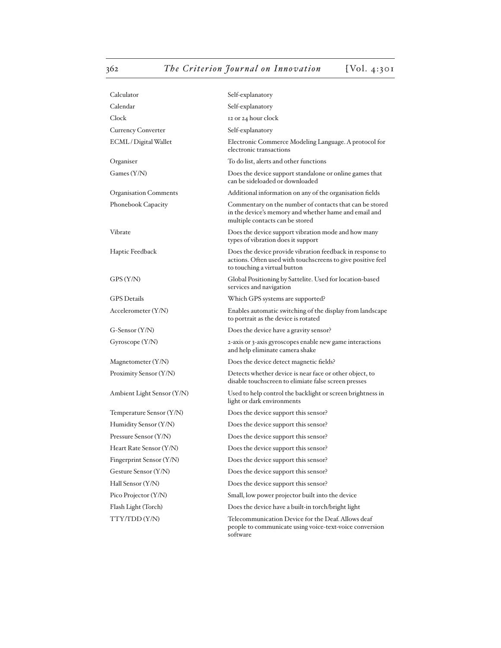| Calculator                   | Self-explanatory                                                                                                                                         |
|------------------------------|----------------------------------------------------------------------------------------------------------------------------------------------------------|
| Calendar                     | Self-explanatory                                                                                                                                         |
| Clock                        | 12 or 24 hour clock                                                                                                                                      |
| <b>Currency Converter</b>    | Self-explanatory                                                                                                                                         |
| ECML / Digital Wallet        | Electronic Commerce Modeling Language. A protocol for<br>electronic transactions                                                                         |
| Organiser                    | To do list, alerts and other functions                                                                                                                   |
| Games (Y/N)                  | Does the device support standalone or online games that<br>can be sideloaded or downloaded                                                               |
| <b>Organisation Comments</b> | Additional information on any of the organisation fields                                                                                                 |
| Phonebook Capacity           | Commentary on the number of contacts that can be stored<br>in the device's memory and whether hame and email and<br>multiple contacts can be stored      |
| Vibrate                      | Does the device support vibration mode and how many<br>types of vibration does it support                                                                |
| Haptic Feedback              | Does the device provide vibration feedback in response to<br>actions. Often used with touchscreens to give positive feel<br>to touching a virtual button |
| GPS (Y/N)                    | Global Positioning by Sattelite. Used for location-based<br>services and navigation                                                                      |
| GPS Details                  | Which GPS systems are supported?                                                                                                                         |
| Accelerometer (Y/N)          | Enables automatic switching of the display from landscape<br>to portrait as the device is rotated                                                        |
| G-Sensor (Y/N)               | Does the device have a gravity sensor?                                                                                                                   |
| Gyroscope (Y/N)              | 2-axis or 3-axis gyroscopes enable new game interactions<br>and help eliminate camera shake                                                              |
| Magnetometer (Y/N)           | Does the device detect magnetic fields?                                                                                                                  |
| Proximity Sensor (Y/N)       | Detects whether device is near face or other object, to<br>disable touchscreen to elimiate false screen presses                                          |
| Ambient Light Sensor (Y/N)   | Used to help control the backlight or screen brightness in<br>light or dark environments                                                                 |
| Temperature Sensor (Y/N)     | Does the device support this sensor?                                                                                                                     |
| Humidity Sensor (Y/N)        | Does the device support this sensor?                                                                                                                     |
| Pressure Sensor (Y/N)        | Does the device support this sensor?                                                                                                                     |
| Heart Rate Sensor (Y/N)      | Does the device support this sensor?                                                                                                                     |
| Fingerprint Sensor (Y/N)     | Does the device support this sensor?                                                                                                                     |
| Gesture Sensor (Y/N)         | Does the device support this sensor?                                                                                                                     |
| Hall Sensor (Y/N)            | Does the device support this sensor?                                                                                                                     |
| Pico Projector (Y/N)         | Small, low power projector built into the device                                                                                                         |
| Flash Light (Torch)          | Does the device have a built-in torch/bright light                                                                                                       |
| TTY/TDD(Y/N)                 | Telecommunication Device for the Deaf. Allows deaf<br>people to communicate using voice-text-voice conversion<br>software                                |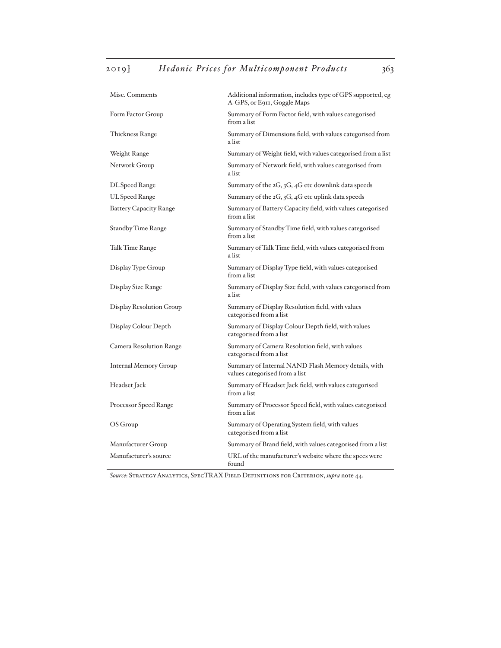| Misc. Comments                 | Additional information, includes type of GPS supported, eg<br>A-GPS, or E911, Goggle Maps |
|--------------------------------|-------------------------------------------------------------------------------------------|
| Form Factor Group              | Summary of Form Factor field, with values categorised<br>from a list                      |
| Thickness Range                | Summary of Dimensions field, with values categorised from<br>a list                       |
| Weight Range                   | Summary of Weight field, with values categorised from a list                              |
| Network Group                  | Summary of Network field, with values categorised from<br>a list                          |
| DL Speed Range                 | Summary of the 2G, 3G, 4G etc downlink data speeds                                        |
| UL Speed Range                 | Summary of the $2G$ , $3G$ , $4G$ etc uplink data speeds                                  |
| <b>Battery Capacity Range</b>  | Summary of Battery Capacity field, with values categorised<br>from a list                 |
| Standby Time Range             | Summary of Standby Time field, with values categorised<br>from a list                     |
| Talk Time Range                | Summary of Talk Time field, with values categorised from<br>a list                        |
| Display Type Group             | Summary of Display Type field, with values categorised<br>from a list                     |
| Display Size Range             | Summary of Display Size field, with values categorised from<br>a list                     |
| Display Resolution Group       | Summary of Display Resolution field, with values<br>categorised from a list               |
| Display Colour Depth           | Summary of Display Colour Depth field, with values<br>categorised from a list             |
| <b>Camera Resolution Range</b> | Summary of Camera Resolution field, with values<br>categorised from a list                |
| <b>Internal Memory Group</b>   | Summary of Internal NAND Flash Memory details, with<br>values categorised from a list     |
| Headset Jack                   | Summary of Headset Jack field, with values categorised<br>from a list                     |
| Processor Speed Range          | Summary of Processor Speed field, with values categorised<br>from a list                  |
| OS Group                       | Summary of Operating System field, with values<br>categorised from a list                 |
| Manufacturer Group             | Summary of Brand field, with values categorised from a list                               |
| Manufacturer's source          | URL of the manufacturer's website where the specs were<br>found                           |

*Source*: Strategy Analytics, SpecTRAX Field Definitions for Criterion, *supra* note 44.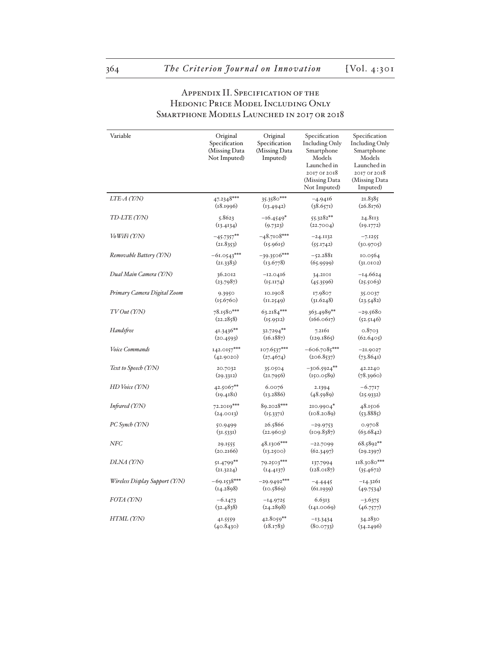### APPENDIX II. SPECIFICATION OF THE Hedonic Price Model Including Only Smartphone Models Launched in 2017 or 2018

| Variable                       | Original      | Original      | Specification                                                | Specification                                            |
|--------------------------------|---------------|---------------|--------------------------------------------------------------|----------------------------------------------------------|
|                                | Specification | Specification | Including Only                                               | <b>Including Only</b>                                    |
|                                | (Missing Data | (Missing Data | Smartphone                                                   | Smartphone                                               |
|                                | Not Imputed)  | Imputed)      | Models                                                       | Models                                                   |
|                                |               |               | Launched in<br>2017 or 2018<br>(Missing Data<br>Not Imputed) | Launched in<br>2017 or 2018<br>(Missing Data<br>Imputed) |
| $LTE-A$ (Y/N)                  | $47.2348***$  | $35.3580***$  | $-4.9416$                                                    | 21.8385                                                  |
|                                | (18.1996)     | (13.4942)     | (38.657)                                                     | (26.8176)                                                |
| TD-LTE (Y/N)                   | 5.8623        | $-16.4549*$   | $55.3282**$                                                  | 24.8113                                                  |
|                                | (13.4134)     | (9.7323)      | (22.7004)                                                    | (19.1772)                                                |
| $V_0W$ iFi $(Y/N)$             | $-45.7357***$ | $-48.7108***$ | $-24.1132$                                                   | $-7.1255$                                                |
|                                | (21.8353)     | (15.9615)     | (55.1742)                                                    | (30.9705)                                                |
| Removable Battery (Y/N)        | $-61.0543***$ | $-39.3506***$ | $-52.2881$                                                   | 10.0564                                                  |
|                                | (21.3383)     | (13.6778)     | (65.9599)                                                    | (31.0102)                                                |
| Dual Main Camera (Y/N)         | 36.2012       | $-12.0416$    | 34.2101                                                      | -14.6624                                                 |
|                                | (23.7987)     | (15.1174)     | (45.3596)                                                    | (25.5063)                                                |
| Primary Camera Digital Zoom    | 9.3950        | 10.1908       | 17.9807                                                      | 35.0037                                                  |
|                                | (15.6760)     | (11.2549)     | (31.6248)                                                    | (23.5482)                                                |
| TVOut(T/N)                     | 78.1580***    | $63.2184***$  | 363.4989**                                                   | $-29.5680$                                               |
|                                | (22.2858)     | (15.9512)     | (166.0617)                                                   | (52.5146)                                                |
| Handsfree                      | 41.3436**     | 32.7294**     | 7.2161                                                       | 0.8703                                                   |
|                                | (20.4593)     | (16.1887)     | (129.1865)                                                   | (62.6405)                                                |
| Voice Commands                 | $142.0157***$ | 107.6537***   | $-606.7085***$                                               | $-21.9027$                                               |
|                                | (42.9020)     | (27.4674)     | (206.8537)                                                   | (73.8641)                                                |
| Text to Speech (Y/N)           | 20.7032       | 35.0504       | $-306.5924**$                                                | 42.2240                                                  |
|                                | (29.3312)     | (21.7956)     | (150.0589)                                                   | (78.3960)                                                |
| HD Voice (Y/N)                 | 42.5067**     | 6.0076        | 2.1394                                                       | $-6.7717$                                                |
|                                | (19.4181)     | (13.2886)     | (48.5989)                                                    | (25.9332)                                                |
| Infrared (Y/N)                 | 72.2019***    | 89.2028***    | $210.9904*$                                                  | 48.1506                                                  |
|                                | (24.0013)     | (15.3371)     | (108.2089)                                                   | (53.8885)                                                |
| PC Synch (Y/N)                 | 50.9499       | 26.5866       | $-29.9753$                                                   | 0.9708                                                   |
|                                | (31.5331)     | (22.9603)     | (109.8387)                                                   | (63.6842)                                                |
| NFC                            | 29.1555       | 48.1306***    | $-22.7099$                                                   | $68.5892**$                                              |
|                                | (20.2166)     | (13.2500)     | (62.3497)                                                    | (29.2397)                                                |
| DLNA (Y/N)                     | $51.4799$ **  | 79.2503***    | 137.7994                                                     | 118.3080***                                              |
|                                | (21.3224)     | (I4.4I37)     | (128.0187)                                                   | (35.4672)                                                |
| Wireless Display Support (Y/N) | $-69.1538***$ | $-29.9492***$ | $-4.4445$                                                    | $-14.3261$                                               |
|                                | (14.2898)     | (10.5869)     | (61.1939)                                                    | (49.7534)                                                |
| FOTA (Y/N)                     | $-6.1473$     | $-14.9725$    | 6.6313                                                       | $-3.6375$                                                |
|                                | (32.4838)     | (24.2898)     | (141.0069)                                                   | (46.7577)                                                |
| HTML (Y/N)                     | 41.5559       | $42.8059**$   | $-13.3434$                                                   | 34.2830                                                  |
|                                | (40.8430)     | (18.1783)     | (80.0733)                                                    | (34.2496)                                                |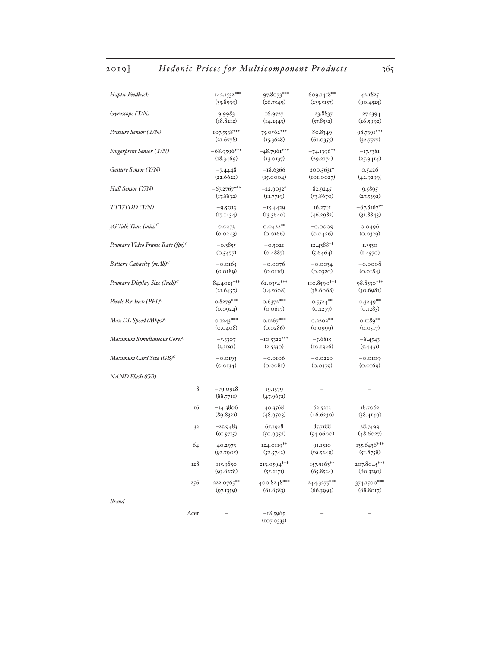## 2019] *Hedonic Prices for Multicomponent Products* 365

| Haptic Feedback                             | $-142.1532***$         | $-97.8073***$            | 609.1418**    | 42.1825      |
|---------------------------------------------|------------------------|--------------------------|---------------|--------------|
|                                             | (33.8939)              | (26.7549)                | (233.5137)    | (90.4525)    |
| Gyroscope (Y/N)                             | 9.9983                 | 16.9727                  | $-23.8837$    | $-27.2394$   |
|                                             | (18.8212)              | (14.2543)                | (37.8332)     | (26.5992)    |
| Pressure Sensor (Y/N)                       | 107.5538***            | 75.0562***               | 80.8349       | 98.7391***   |
|                                             | (21.6778)              | (15.3628)                | (61.0355)     | (32.7577)    |
| <b>Fingerprint Sensor (Y/N)</b>             | $-68.9596***$          | $-48.7961***$            | $-74.1396**$  | $-17.5381$   |
|                                             | (18.3469)              | (13.0137)                | (29.2174)     | (25.9414)    |
| Gesture Sensor (Y/N)                        | $-7.4448$              | $-18.6366$               | 200.5631*     | 0.5426       |
|                                             | (22.6622)              | (15.0004)                | (101.0027)    | (42.9299)    |
| Hall Sensor (Y/N)                           | $-67.2767***$          | $-22.9032*$              | 82.9245       | 9.5895       |
|                                             | (17.8832)              | (11.7719)                | (53.8670)     | (27.5392)    |
| TTY/TDD (Y/N)                               | $-9.5013$              | $-15.4429$               | 16.2715       | $-67.8167**$ |
|                                             | (17.1434)              | (13.3640)                | (46.2982)     | (31.8843)    |
| 3G Talk Time $(min)^C$                      | 0.0273                 | $0.0422**$               | $-0.0009$     | 0.0496       |
|                                             | (0.0243)               | (0.0166)                 | (0.0426)      | (0.0329)     |
| Primary Video Frame Rate (fps) <sup>C</sup> | $-0.3855$              | $-0.3021$                | 12.4388**     | 1.3530       |
|                                             | (0.5477)               | (0.4887)                 | (5.6464)      | (1.4570)     |
| Battery Capacity $(mAb)^C$                  | $-0.0165$              | $-0.0076$                | $-0.0034$     | $-0.0008$    |
|                                             | (0.0189)               | (0.0116)                 | (0.0320)      | (0.0184)     |
| Primary Display Size (Inch) <sup>C</sup>    | $84.4025***$           | 62.0354***               | $110.8590***$ | 98.8330***   |
|                                             | (21.6457)              | (14.5608)                | (38.6068)     | (30.6981)    |
| Pixels Per Inch (PPI) <sup>c</sup>          | $0.8279***$            | $0.6372***$              | $0.5524***$   | $0.3249**$   |
|                                             | (0.0924)               | (0.0617)                 | (0.2277)      | (0.1283)     |
| Max DL Speed (Mbps) $\mathcal{C}$           | $0.1243***$            | $0.1267***$              | $0.2202**$    | $0.1189**$   |
|                                             | (0.0408)               | (0.0286)                 | (0.0999)      | (0.0517)     |
| Maximum Simultaneous Cores <sup>C</sup>     | $-5.3307$              | $-10.5322***$            | $-5.6815$     | $-8.4543$    |
|                                             | (3.3191)               | (2.5330)                 | (10.1926)     | (5.4431)     |
| Maximum Card Size (GB) <sup>c</sup>         | $-0.0193$              | $-0.0106$                | $-0.0220$     | $-0.0109$    |
|                                             | (0.0134)               | (0.008I)                 | (0.0379)      | (0.0169)     |
| NAND Flash (GB)                             |                        |                          |               |              |
| 8                                           | $-79.0918$<br>(88.771) | 19.1579<br>(47.9652)     |               |              |
| 16                                          | -34.3806               | 40.3568                  | 62.5213       | 18.7062      |
|                                             | (89.8321)              | (48.9503)                | (46.6230)     | (38.4149)    |
| 32                                          | $-25.9483$             | 65.1928                  | 87.7188       | 28.7499      |
|                                             | (91.5715)              | (50.9952)                | (54.9600)     | (48.6027)    |
| 64                                          | 40.2973                | 124.0119**               | 91.1310       | 135.6436***  |
|                                             | (92.7905)              | (52.5742)                | (59.5249)     | (51.8758)    |
| 128                                         | 115.9830               | 213.0594***              | 157.9163**    | 207.8045***  |
|                                             | (93.6278)              | (55.2171)                | (65.8534)     | (60.3291)    |
| 256                                         | 222.0765**             | 400.8248***              | 244.3275***   | 374.1500***  |
|                                             | (97.1359)              | (61.6583)                | (66.3993)     | (68.8017)    |
| <b>Brand</b>                                |                        |                          |               |              |
| Acer                                        |                        | $-18.5965$<br>(107.0333) |               |              |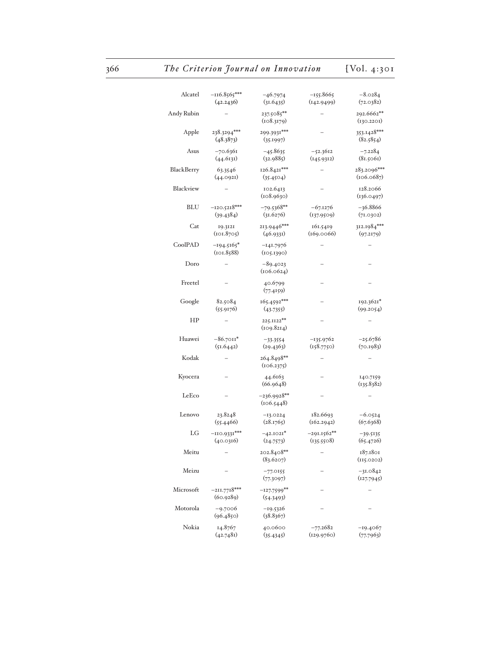# 366 The Criterion Journal on Innovation [Vol. 4:301]

| Alcatel    | $-116.8565***$<br>(42.2436) | $-46.7974$<br>(31.6435)     | $-155.8665$<br>(142.9499)   | $-8.0284$<br>(72.0382)    |
|------------|-----------------------------|-----------------------------|-----------------------------|---------------------------|
| Andy Rubin |                             | 237.5085**<br>(108.3179)    |                             | 292.6662**<br>(130.2201)  |
| Apple      | 238.3294***<br>(48.3873)    | 299.3931***<br>(35.1997)    |                             | 353.1428***<br>(82.5854)  |
| Asus       | -70.6361<br>(44.6131)       | -45.8635<br>(32.9885)       | $-52.3612$<br>(145.9312)    | $-7.2284$<br>(81.5061)    |
| BlackBerry | 63.3546<br>(44.0921)        | 126.8421***<br>(35.4504)    |                             | 283.2096***<br>(106.0687) |
| Blackview  |                             | 102.6413<br>(108.9630)      |                             | 128.2066<br>(136.0497)    |
| <b>BLU</b> | $-120.5218***$<br>(39.4384) | $-79.5368**$<br>(31.6276)   | $-67.1276$<br>(137.9509)    | $-36.8866$<br>(71.0302)   |
| Cat        | 19.3121<br>(101.8705)       | 213.9446***<br>(46.9331)    | 161.5419<br>(169.0066)      | 312.1984***<br>(97.2179)  |
| CoolPAD    | $-194.5165*$<br>(101.8588)  | -141.7976<br>(105.1390)     |                             |                           |
| Doro       |                             | $-89.4023$<br>(106.0624)    |                             |                           |
| Freetel    |                             | 40.6799<br>(77.4159)        |                             |                           |
| Google     | 82.5084<br>(55.9176)        | 165.4592***<br>(43.7355)    |                             | 192.3621*<br>(99.2054)    |
| ΗP         |                             | 225.II22**<br>(109.8214)    |                             |                           |
| Huawei     | $-86.7011*$<br>(51.6442)    | $-33.3554$<br>(29.4363)     | -135.9762<br>(158.7750)     | $-25.6786$<br>(70.1983)   |
| Kodak      |                             | 264.8498**<br>(106.2375)    |                             |                           |
| Kyocera    |                             | 44.6163<br>(66.9648)        |                             | 140.7159<br>(135.8382)    |
| LeEco      |                             | $-236.9928**$<br>(106.5448) |                             |                           |
| Lenovo     | 23.8248<br>(55.4466)        | $-13.0224$<br>(28.1765)     | 182.6693<br>(162.2942)      | $-6.0524$<br>(67.6368)    |
| LG         | $-110.9331***$<br>(40.0316) | $-42.1021*$<br>(24.7573)    | $-291.1562**$<br>(135.5508) | -39.5135<br>(65.4726)     |
| Meitu      |                             | 202.8408**<br>(83.6207)     |                             | 187.1801<br>(115.0202)    |
| Meizu      |                             | $-77.0155$<br>(77.3097)     |                             | $-31.0842$<br>(127.7945)  |
| Microsoft  | $-211.7718***$<br>(60.9289) | $-127.7599**$<br>(54.3493)  |                             |                           |
| Motorola   | -9.7006<br>(96.4850)        | -19.5326<br>(38.8367)       |                             |                           |
| Nokia      | 14.8767<br>(42.7481)        | 40.0600<br>(35.4345)        | $-77.2682$<br>(129.9760)    | -19.4067<br>(77.7963)     |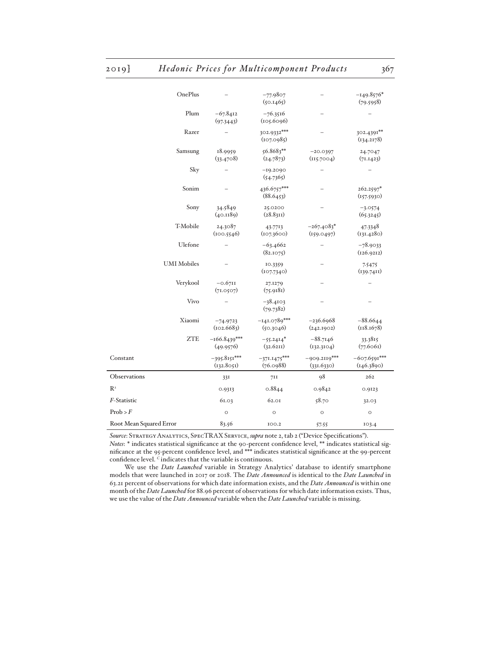| OnePlus                    |                              | $-77.9807$<br>(50.1465)     |                              | $-149.8576*$<br>(79.5958)    |
|----------------------------|------------------------------|-----------------------------|------------------------------|------------------------------|
| Plum                       | $-67.8412$<br>(97.3443)      | $-76.3516$<br>(105.6096)    |                              |                              |
| Razer                      |                              | 302.9332***<br>(107.0985)   |                              | 302.4391**<br>(134.2178)     |
| Samsung                    | 18.9959<br>(33.4708)         | $56.8683**$<br>(24.7873)    | $-20.0397$<br>(115.7004)     | 24.7047<br>(71.1423)         |
| Sky                        |                              | $-19.2090$<br>(54.7365)     |                              |                              |
| Sonim                      |                              | 436.6757***<br>(88.6453)    |                              | 262.2597*<br>(157.5930)      |
| Sony                       | 34.5849<br>(40.1189)         | 25.0200<br>(28.831)         |                              | $-3.0574$<br>(65.3245)       |
| T-Mobile                   | 24.3087<br>(100.5546)        | 43.7713<br>(107.3600)       | $-267.4083*$<br>(159.0497)   | 47.3348<br>(131.4280)        |
| Ulefone                    |                              | $-63.4662$<br>(82.1075)     |                              | $-78.9033$<br>(126.9212)     |
| <b>UMI</b> Mobiles         |                              | 10.3359<br>(107.7340)       |                              | 7.5475<br>(139.7411)         |
| Verykool                   | $-0.6711$<br>(71.0507)       | 27.1279<br>(75.9181)        |                              |                              |
| Vivo                       |                              | $-38.4103$<br>(79.7382)     |                              |                              |
| Xiaomi                     | $-74.9723$<br>(102.6683)     | $-141.0789***$<br>(50.3046) | $-236.6968$<br>(242.1902)    | $-88.6644$<br>(118.1678)     |
| <b>ZTE</b>                 | $-166.8439***$<br>(49.9576)  | $-55.2414*$<br>(32.6211)    | $-88.7146$<br>(132.3104)     | 33.3815<br>(77.6061)         |
| Constant                   | $-395.8151***$<br>(132.8051) | $-371.1475***$<br>(76.0988) | $-909.2119***$<br>(331.6330) | $-607.6591***$<br>(146.3890) |
| Observations               | 33I                          | 7II                         | 98                           | 262                          |
| $\mathbb{R}^{\frac{1}{2}}$ | 0.9313                       | 0.8844                      | 0.9842                       | 0.9123                       |
| F-Statistic                | 61.03                        | 62.01                       | 58.70                        | 32.03                        |
| $\mathrm{Prob}$ > $F$      | $\circ$                      | $\circ$                     | $\circ$                      | $\circ$                      |
| Root Mean Squared Error    | 83.56                        | 100.2                       | 57.55                        | 103.4                        |

*Source*: Strategy Analytics, SpecTRAX Service, *supra* note 2, tab 2 ("Device Specifications"). *Notes*: \* indicates statistical significance at the 90-percent confidence level, \*\* indicates statistical significance at the 95-percent confidence level, and \*\*\* indicates statistical significance at the 99-percent confidence level. *C* indicates that the variable is continuous.

We use the *Date Launched* variable in Strategy Analytics' database to identify smartphone models that were launched in 2017 or 2018. The *Date Announced* is identical to the *Date Launched* in 63.21 percent of observations for which date information exists, and the *Date Announced* is within one month of the *Date Launched* for 88.96 percent of observations for which date information exists. Thus, we use the value of the *Date Announced* variable when the *Date Launched* variable is missing.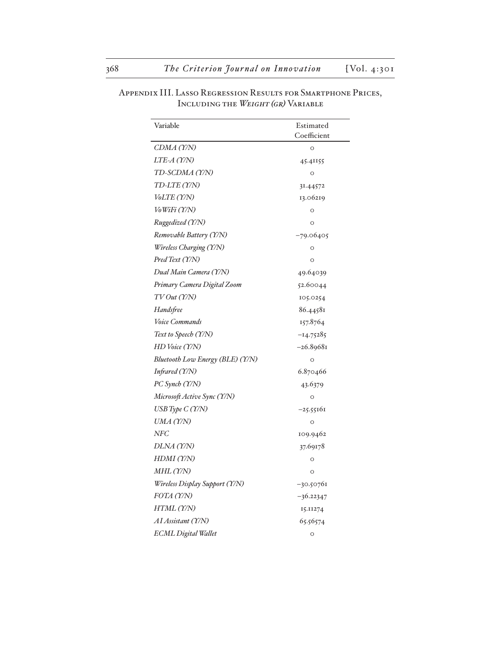| Variable                                | Estimated<br>Coefficient |
|-----------------------------------------|--------------------------|
| CDMA (Y/N)                              | $\circ$                  |
| LTE-A (Y/N)                             | 45.41155                 |
| TD-SCDMA (Y/N)                          | $\circ$                  |
| TD-LTE (Y/N)                            | 31.44572                 |
| <i>VoLTE (Y/N)</i>                      | 13.06219                 |
| VoWiFi (Y/N)                            | $\circ$                  |
| Ruggedized (Y/N)                        | $\circ$                  |
| Removable Battery (Y/N)                 | $-79.06405$              |
| Wireless Charging (Y/N)                 | $\circ$                  |
| Pred Text (Y/N)                         | $\circ$                  |
| Dual Main Camera (Y/N)                  | 49.64039                 |
| Primary Camera Digital Zoom             | 52.60044                 |
| TV Out (Y/N)                            | 105.0254                 |
| Handsfree                               | 86.44581                 |
| Voice Commands                          | 157.8764                 |
| Text to Speech (Y/N)                    | $-14.75285$              |
| HD Voice (Y/N)                          | $-26.89681$              |
| <b>Bluetooth Low Energy (BLE) (Y/N)</b> | $\circ$                  |
| Infrared (Y/N)                          | 6.870466                 |
| PC Synch (Y/N)                          | 43.6379                  |
| Microsoft Active Sync (Y/N)             | $\circ$                  |
| USB Type C (Y/N)                        | $-25.55161$              |
| UMA (Y/N)                               | $\circ$                  |
| NFC                                     | 109.9462                 |
| DLNA (Y/N)                              | 37.69178                 |
| HDMI (Y/N)                              | $\circ$                  |
| MHL(T/N)                                | $\circ$                  |
| Wireless Display Support (Y/N)          | -30.50761                |
| FOTA (Y/N)                              | $-36.22347$              |
| HTML (Y/N)                              | 15.11274                 |
| AI Assistant (Y/N)                      | 65.56574                 |
| <b>ECML</b> Digital Wallet              | $\circ$                  |

Appendix III. Lasso Regression Results for Smartphone Prices, Including the *Weight (gr)* Variable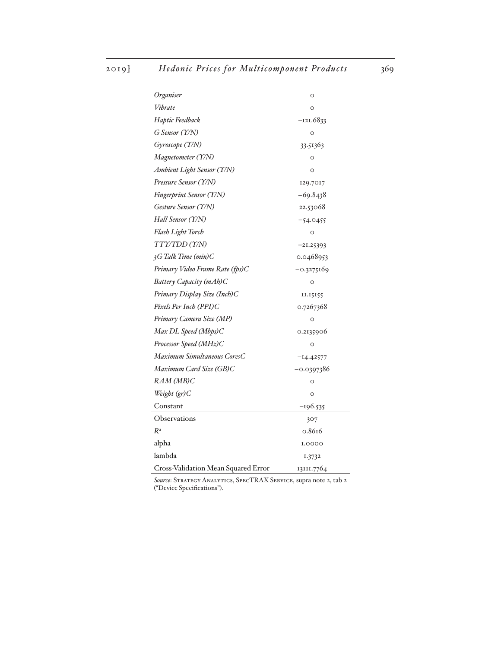| Organiser                           | $\circ$      |
|-------------------------------------|--------------|
| Vibrate                             | $\circ$      |
| Haptic Feedback                     | $-121.6833$  |
| G Sensor (Y/N)                      | $\circ$      |
| Gyroscope (Y/N)                     | 33.51363     |
| Magnetometer (Y/N)                  | O            |
| Ambient Light Sensor (Y/N)          | $\circ$      |
| Pressure Sensor (Y/N)               | 129.7017     |
| Fingerprint Sensor (Y/N)            | $-69.8438$   |
| Gesture Sensor (Y/N)                | 22.53068     |
| Hall Sensor (Y/N)                   | $-54.0455$   |
| Flash Light Torch                   | $\circ$      |
| TTY/TDD (Y/N)                       | $-21.25393$  |
| $3G$ Talk Time (min) C              | 0.0468953    |
| Primary Video Frame Rate (fps)C     | -0.3275169   |
| Battery Capacity (mAh)C             | $\circ$      |
| Primary Display Size (Inch)C        | 11.15155     |
| Pixels Per Inch (PPI)C              | 0.7267368    |
| Primary Camera Size (MP)            | $\circ$      |
| Max DL Speed (Mbps)C                | 0.2135906    |
| Processor Speed (MHz)C              | $\circ$      |
| Maximum Simultaneous CoresC         | $-14.42577$  |
| Maximum Card Size (GB)C             | $-0.0397386$ |
| RAM (MB)C                           | $\circ$      |
| Weight (gr)C                        | $\circ$      |
| Constant                            | $-196.535$   |
| Observations                        | 307          |
| $R^2$                               | 0.8616       |
| alpha                               | 1.0000       |
| lambda                              | 1.3732       |
| Cross-Validation Mean Squared Error | 13III.7764   |

*Source*: Strategy Analytics, SpecTRAX Service, supra note 2, tab 2 ("Device Specifications").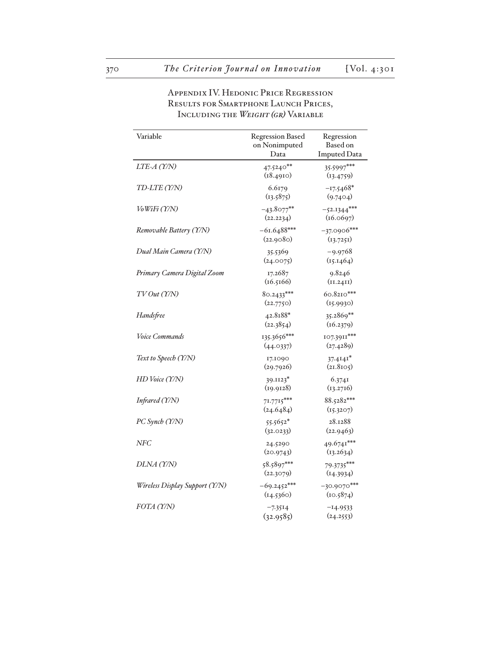| Variable                       | <b>Regression Based</b><br>on Nonimputed | Regression<br>Based on     |
|--------------------------------|------------------------------------------|----------------------------|
|                                | Data                                     | <b>Imputed Data</b>        |
| LTE-A (Y/N)                    | 47.5240**<br>(18.4910)                   | 35.5997***<br>(13.4759)    |
| TD-LTE (Y/N)                   | 6.6179<br>(13.5875)                      | $-17.5468*$<br>(9.7404)    |
| VoWiFi (Y/N)                   | $-43.8077***$<br>(22.2234)               | $-52.1344***$<br>(16.0697) |
| Removable Battery (Y/N)        | $-61.6488***$<br>(22.9080)               | $-37.0906***$<br>(13.7251) |
| Dual Main Camera (Y/N)         | 35.5369<br>(24.0075)                     | $-9.9768$<br>(15.1464)     |
| Primary Camera Digital Zoom    | 17.2687<br>(16.5166)                     | 9.8246<br>(II.24II)        |
| TVOut(T/N)                     | $80.2433***$<br>(22.7750)                | $60.8210***$<br>(15.9930)  |
| Handsfree                      | 42.8188*<br>(22.3854)                    | 35.2869**<br>(16.2379)     |
| Voice Commands                 | 135.3656***<br>(44.0337)                 | 107.3911***<br>(27.4289)   |
| Text to Speech (Y/N)           | 17.1090<br>(29.7926)                     | $37.4141$ *<br>(21.8105)   |
| HD Voice (Y/N)                 | 39.II23*<br>(19.9128)                    | 6.3741<br>(13.2716)        |
| Infrared (Y/N)                 | $71.7715***$<br>(24.6484)                | 88.5282***<br>(15.3207)    |
| PC Synch (Y/N)                 | 55.5652*<br>(32.0233)                    | 28.1288<br>(22.9463)       |
| NFC                            | 24.5290<br>(20.9743)                     | 49.6741***<br>(13.2634)    |
| DLNA (Y/N)                     | $58.5897***$<br>(22.3079)                | 79.3735***<br>(14.3934)    |
| Wireless Display Support (Y/N) | $-69.2452***$<br>(14.5360)               | $-30.9070***$<br>(10.5874) |
| FOTA (Y/N)                     | $-7.3514$<br>(32.9585)                   | $-14.9533$<br>(24.2553)    |

Appendix IV. Hedonic Price Regression RESULTS FOR SMARTPHONE LAUNCH PRICES, Including the *Weight (gr)* Variable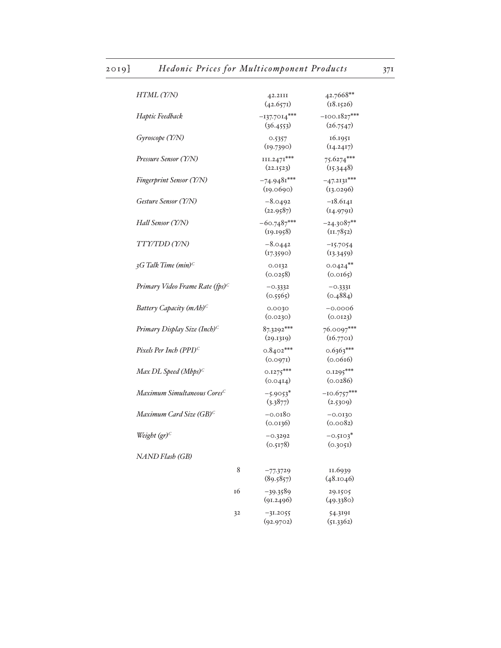| HTML (Y/N)                                  | 42.2III<br>(42.657)          | 42.7668**<br>(18.1526)      |
|---------------------------------------------|------------------------------|-----------------------------|
| Haptic Feedback                             | $-137.7014***$<br>(36.4553)  | $-100.1827***$<br>(26.7547) |
| Gyroscope (Y/N)                             | 0.5357<br>(19.7390)          | 16.1951<br>(14.2417)        |
| Pressure Sensor (Y/N)                       | $III.247I***$<br>(22.1523)   | 75.6274***<br>(15.3448)     |
| <b>Fingerprint Sensor (Y/N)</b>             | $-74.9481***$<br>(19.0690)   | $-47.2131***$<br>(13.0296)  |
| Gesture Sensor (Y/N)                        | $-8.0492$<br>(22.9587)       | $-18.6141$<br>(14.9791)     |
| Hall Sensor (Y/N)                           | $-60.7487***$<br>(19.1958)   | $-24.3087**$<br>(I1.7852)   |
| TTY/TDD(Y/N)                                | $-8.0442$<br>(17.3590)       | $-15.7054$<br>(13.3459)     |
| 3G Talk Time $(min)^C$                      | 0.0132<br>(0.0258)           | $0.0424***$<br>(0.0165)     |
| Primary Video Frame Rate (fps) <sup>C</sup> | $-0.3332$<br>(0.5565)        | $-0.3331$<br>(0.4884)       |
| Battery Capacity $(mAb)^C$                  | 0.0030<br>(0.0230)           | $-0.0006$<br>(0.0123)       |
| Primary Display Size (Inch) <sup>C</sup>    | 87.3292***<br>(29.1319)      | 76.0097***<br>(16.7701)     |
| Pixels Per Inch (PPI) <sup>C</sup>          | $0.8402***$<br>(0.097)       | $0.6363***$<br>(0.0616)     |
| Max DL Speed (Mbps) $C$                     | $0.1275***$<br>(0.04I4)      | $0.1295***$<br>(0.0286)     |
| Maximum Simultaneous Cores <sup>C</sup>     | $-5.9053$ *<br>(3.3877)      | $-10.6757***$<br>(2.5309)   |
| Maximum Card Size (GB) <sup>C</sup>         | $-0.0180$<br>(0.0136)        | $-0.0130$<br>(0.0082)       |
| Weight $(qr)^C$                             | $-0.3292$<br>(0.5178)        | $-0.5103*$<br>(0.3051)      |
| NAND Flash (GB)                             |                              |                             |
|                                             | 8<br>$-77.3729$<br>(89.5857) | 11.6939<br>(48.1046)        |
| 16                                          | $-39.3589$<br>(91.2496)      | 29.1505<br>(49.3380)        |
| 32                                          | $-31.2055$<br>(92.9702)      | 54.3191<br>(51.3362)        |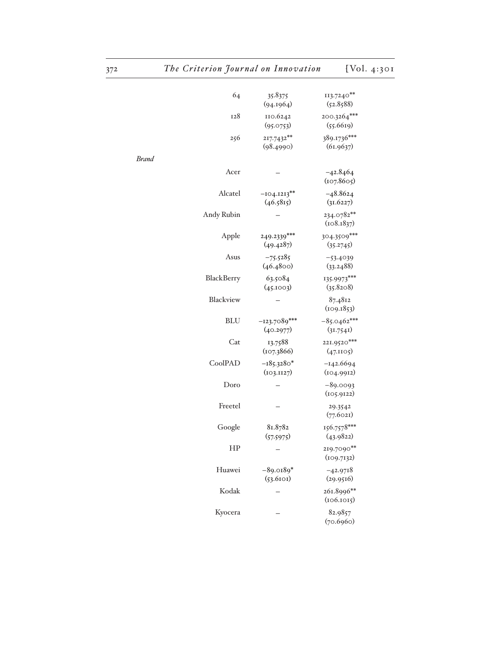| 64         | 35.8375<br>(94.1964)        | 113.7240**<br>(52.8588)    |
|------------|-----------------------------|----------------------------|
| 128        | 110.6242<br>(95.0753)       | 200.3264***<br>(55.6619)   |
| 256        | 217.7432**<br>(98.4990)     | 389.1736***<br>(61.9637)   |
| Brand      |                             |                            |
| Acer       |                             | $-42.8464$<br>(107.8605)   |
| Alcatel    | $-104.1213**$<br>(46.5815)  | $-48.8624$<br>(31.6227)    |
| Andy Rubin |                             | 234.0782**<br>(108.1837)   |
| Apple      | 249.2339***<br>(49.4287)    | 304.3509***<br>(35.2745)   |
| Asus       | $-75.5285$<br>(46.4800)     | $-53.4039$<br>(33.2488)    |
| BlackBerry | 63.5084<br>(45.1003)        | 135.9973***<br>(35.8208)   |
| Blackview  |                             | 87.4812<br>(109.1853)      |
| <b>BLU</b> | $-123.7089***$<br>(40.2977) | $-85.0462***$<br>(31.7541) |
| Cat        | 13.7588<br>(107.3866)       | 221.9520***<br>(47.1105)   |
| CoolPAD    | $-185.3280*$<br>(103.1127)  | $-142.6694$<br>(104.9912)  |
| Doro       |                             | $-89.0093$<br>(105.9122)   |
| Freetel    |                             | 29.3542<br>(77.6021)       |
| Google     | 81.8782<br>(57.5975)        | 156.7578***<br>(43.9822)   |
| HP         |                             | 219.7090**<br>(109.7132)   |
| Huawei     | $-89.0189*$<br>(53.6101)    | $-42.9718$<br>(29.9516)    |
| Kodak      |                             | 261.8996**<br>(106.1015)   |
| Kyocera    |                             | 82.9857<br>(70.6960)       |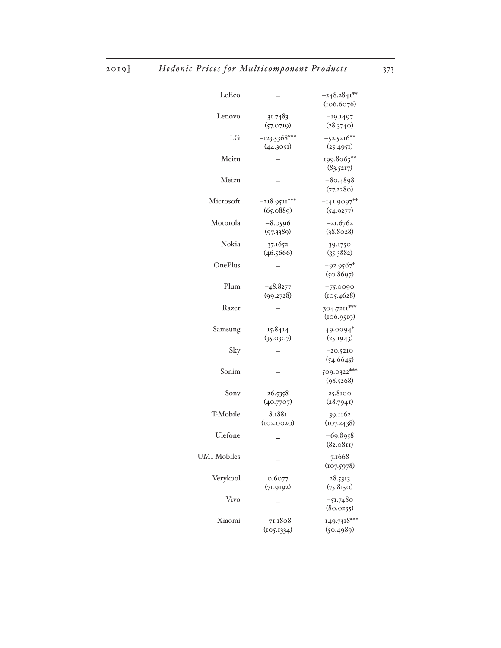| LeEco              |                             | $-248.2841**$<br>(106.6076) |
|--------------------|-----------------------------|-----------------------------|
| Lenovo             | 31.7483<br>(57.0719)        | $-19.1497$<br>(28.3740)     |
| LG                 | $-123.5368***$<br>(44.3051) | $-52.5216**$<br>(25.4951)   |
| Meitu              |                             | 199.8063**<br>(83.5217)     |
| Meizu              |                             | $-80.4898$<br>(77.2280)     |
| Microsoft          | $-218.9511***$<br>(65.0889) | $-141.9097**$<br>(54.9277)  |
| Motorola           | $-8.0596$<br>(97.3389)      | $-21.6762$<br>(38.8028)     |
| Nokia              | 37.1652<br>(46.5666)        | 39.1750<br>(35.3882)        |
| OnePlus            |                             | $-92.9567*$<br>(50.8697)    |
| Plum               | $-48.8277$<br>(99.2728)     | $-75.0090$<br>(105.4628)    |
| Razer              |                             | 304.7211***<br>(106.9519)   |
| Samsung            | 15.8414<br>(35.0307)        | 49.0094*<br>(25.1943)       |
| Sky                |                             | $-20.5210$<br>(54.6645)     |
| Sonim              |                             | 509.0322***<br>(98.5268)    |
| Sony               | 26.5358<br>(40.7707)        | 25.8100<br>(28.7941)        |
| T-Mobile           | 8.1881<br>(102.0020)        | 39.1162<br>(107.2438)       |
| Ulefone            |                             | $-69.8958$<br>(82.081)      |
| <b>UMI</b> Mobiles |                             | 7.1668<br>(107.5978)        |
| Verykool           | 0.6077<br>(71.9192)         | 28.5313<br>(75.8150)        |
| Vivo               |                             | -51.7480<br>(80.0235)       |
| Xiaomi             | $-71.1808$<br>(105.1334)    | $-149.7318***$<br>(50.4989) |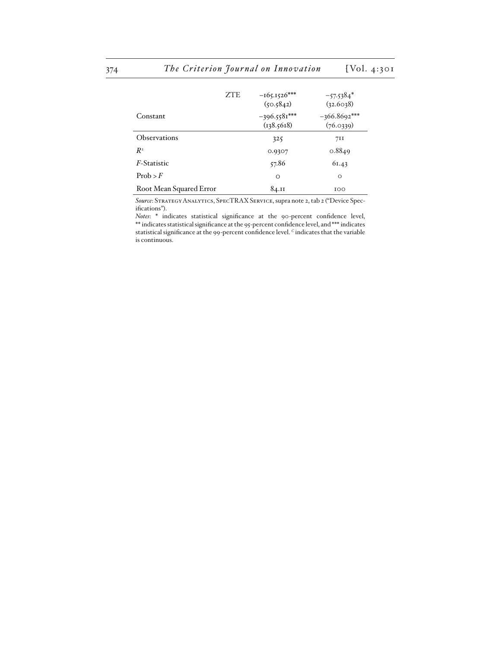|                         | <b>ZTE</b> | $-165.1526***$<br>(50.5842)  | $-57.5384*$<br>(32.6038)    |
|-------------------------|------------|------------------------------|-----------------------------|
| Constant                |            | $-396.5581***$<br>(138.5618) | $-366.8692***$<br>(76.0339) |
| <b>Observations</b>     |            | 325                          | 71I                         |
| $R^2$                   |            | 0.9307                       | 0.8849                      |
| <i>F</i> -Statistic     |            | 57.86                        | 61.43                       |
| Prob > F                |            | $\circ$                      | $\circ$                     |
| Root Mean Squared Error |            | 84.II                        | 100                         |

*Source*: Strategy Analytics, SpecTRAX Service, supra note 2, tab 2 ("Device Specifications").

*Notes*: \* indicates statistical significance at the 90-percent confidence level, \*\* indicates statistical significance at the 95-percent confidence level, and \*\*\* indicates statistical significance at the 99-percent confidence level. *C* indicates that the variable is continuous.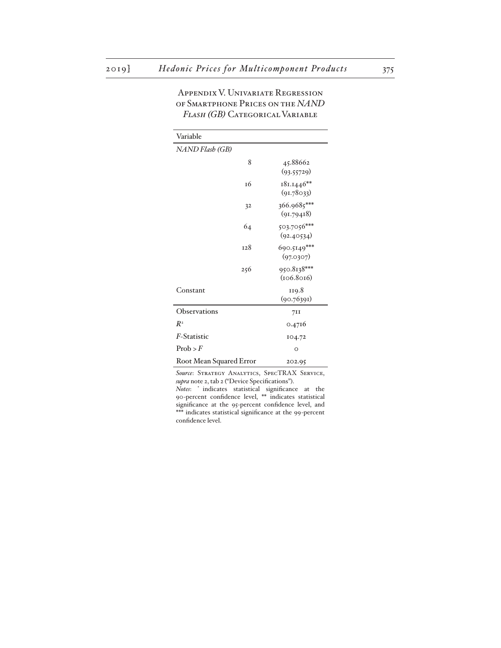| Variable                |                           |
|-------------------------|---------------------------|
| NAND Flash (GB)         |                           |
| 8                       | 45.88662<br>(93.55729)    |
| <b>16</b>               | 181.1446**<br>(91.78033)  |
| 32                      | 366.9685***<br>(91.79418) |
| 64                      | 503.7056***<br>(92.40534) |
| <b>128</b>              | 690.5149***<br>(97.0307)  |
| 256                     | 950.8138***<br>(106.8016) |
| Constant                | 119.8<br>(90.76391)       |
| Observations            | 711                       |
| $R^2$                   | 0.4716                    |
| F-Statistic             | 104.72                    |
| Prob > F                | $\circ$                   |
| Root Mean Squared Error | 202.95                    |

Appendix V. Univariate Regression of Smartphone Prices on the *NAND Flash (GB)* Categorical Variable

*Source*: Strategy Analytics, SpecTRAX Service, *supra* note 2, tab 2 ("Device Specifications").

*Notes*: \* indicates statistical significance at the 90-percent confidence level, \*\* indicates statistical significance at the 95-percent confidence level, and \*\*\* indicates statistical significance at the 99-percent confidence level.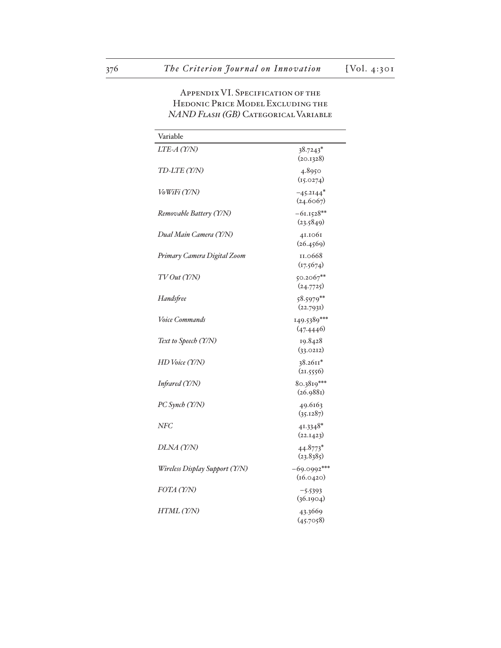## Appendix VI. Specification of the Hedonic Price Model Excluding the *NAND Flash (GB)* Categorical Variable

| Variable                       |                                      |
|--------------------------------|--------------------------------------|
| LTE-A (Y/N)                    | 38.7243*<br>(20.1328)                |
| TD-LTE (Y/N)                   | 4.8950<br>(15.0274)                  |
| VoWiFi (Y/N)                   | $-45.2144$ <sup>*</sup><br>(24.6067) |
| Removable Battery (Y/N)        | $-61.1528**$<br>(23.5849)            |
| Dual Main Camera (Y/N)         | 41.1061<br>(26.4569)                 |
| Primary Camera Digital Zoom    | 11.0668<br>(17.5674)                 |
| TV Out (Y/N)                   | $50.2067***$<br>(24.7725)            |
| Handsfree                      | $58.5979***$<br>(22.7931)            |
| <i>Voice Commands</i>          | 149.5389***<br>(47.4446)             |
| Text to Speech (Y/N)           | 19.8428<br>(33.0212)                 |
| HD Voice (Y/N)                 | $38.2611*$<br>(21.5556)              |
| Infrared (Y/N)                 | $80.3819***$<br>(26.988)             |
| PC Synch (Y/N)                 | 49.6163<br>(35.1287)                 |
| NFC                            | $41.3348*$<br>(22.1423)              |
| DLNA (Y/N)                     | 44.8773*<br>(23.8385)                |
| Wireless Display Support (Y/N) | $-69.0992***$<br>(16.0420)           |
| FOTA (Y/N)                     | $-5.5393$<br>(36.1904)               |
| HTML (Y/N)                     | 43.3669<br>(45.7058)                 |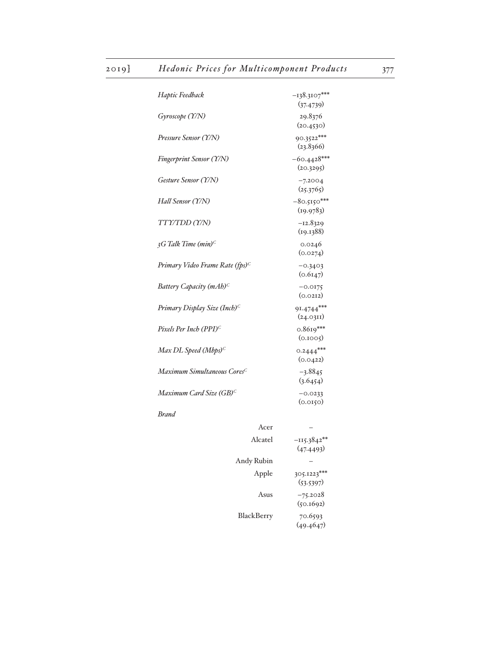| Haptic Feedback                                 | $-138.3107***$<br>(37.4739) |
|-------------------------------------------------|-----------------------------|
| Gyroscope (Y/N)                                 | 29.8376<br>(20.4530)        |
| Pressure Sensor (Y/N)                           | 90.3522***<br>(23.8366)     |
| Fingerprint Sensor (Y/N)                        | $-60.4428***$<br>(20.3295)  |
| Gesture Sensor (Y/N)                            | $-7.2004$<br>(25.3765)      |
| Hall Sensor (Y/N)                               | $-80.5150***$<br>(19.9783)  |
| TTY/TDD (Y/N)                                   | $-I2.8329$<br>(19.1388)     |
| $3G$ Talk Time (min) <sup>C</sup>               | 0.0246<br>(0.0274)          |
| Primary Video Frame Rate (fps) <sup>C</sup>     | $-0.3403$<br>(0.6147)       |
| Battery Capacity (mAh) <sup>C</sup>             | $-0.0175$<br>(0.0212)       |
| Primary Display Size (Inch) <sup>C</sup>        | 91.4744***<br>(24.0311)     |
| Pixels Per Inch (PPI) <sup><math>C</math></sup> | $0.8619***$<br>(0.1005)     |
| Max DL Speed (Mbps) <sup>C</sup>                | $0.2444***$<br>(0.0422)     |
| Maximum Simultaneous Cores <sup>C</sup>         | $-3.8845$<br>(3.6454)       |
| Maximum Card Size (GB) <sup>C</sup>             | $-0.0233$<br>(0.0150)       |
| <b>Brand</b>                                    |                             |
| Acer                                            |                             |
| Alcatel                                         | $-115.3842**$<br>(47.4493)  |
| Andy Rubin                                      |                             |
| Apple                                           | 305.1223***<br>(53.5397)    |
| Asus                                            | $-75.2028$                  |

(50.1692)  $\textsc{BlackBerry}$ 

70.6593<br>(49.4647)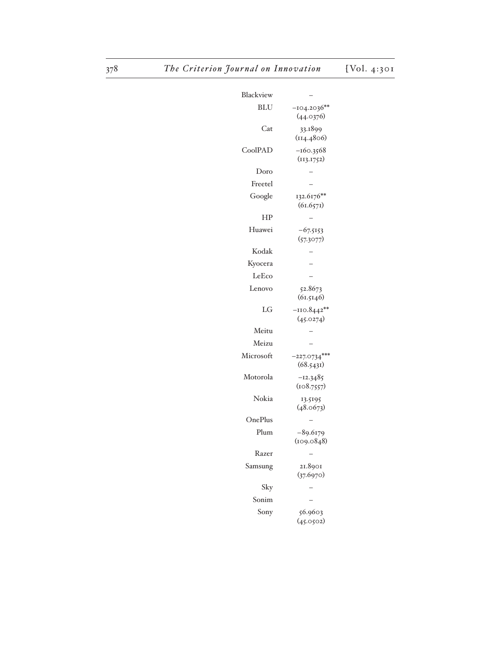| Blackview  |                             |
|------------|-----------------------------|
| <b>BLU</b> | $-104.2036**$<br>(44.0376)  |
| Cat        | 33.1899                     |
|            | (114.4806)                  |
| CoolPAD    | $-160.3568$                 |
| Doro       | (113.1752)                  |
| Freetel    |                             |
| Google     | 132.6176**                  |
|            | (61.657)                    |
| ΗP         |                             |
| Huawei     | $-67.5153$<br>(57.3077)     |
| Kodak      |                             |
| Kyocera    |                             |
| LeEco      |                             |
| Lenovo     | 52.8673<br>(61.5146)        |
| LG         | $-110.8442**$<br>(45.0274)  |
| Meitu      |                             |
| Meizu      |                             |
| Microsoft  | $-227.0734***$<br>(68.5431) |
| Motorola   | $-12.3485$<br>(108.7557)    |
| Nokia      | 13.5195<br>(48.0673)        |
| OnePlus    |                             |
| Plum       | $-89.6179$<br>(109.0848)    |
| Razer      |                             |
| Samsung    | 21.8901<br>(37.6970)        |
| Sky        |                             |
| Sonim      |                             |
| Sony       | 56.9603<br>(45.0502)        |